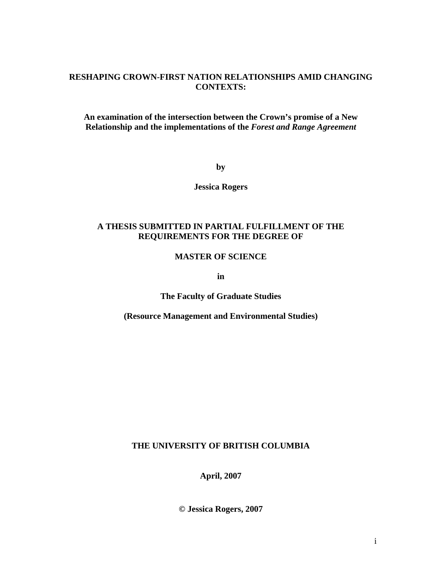## **RESHAPING CROWN-FIRST NATION RELATIONSHIPS AMID CHANGING CONTEXTS:**

**An examination of the intersection between the Crown's promise of a New Relationship and the implementations of the** *Forest and Range Agreement*

**by** 

**Jessica Rogers** 

## **A THESIS SUBMITTED IN PARTIAL FULFILLMENT OF THE REQUIREMENTS FOR THE DEGREE OF**

## **MASTER OF SCIENCE**

**in** 

**The Faculty of Graduate Studies** 

**(Resource Management and Environmental Studies)** 

## **THE UNIVERSITY OF BRITISH COLUMBIA**

**April, 2007** 

**© Jessica Rogers, 2007**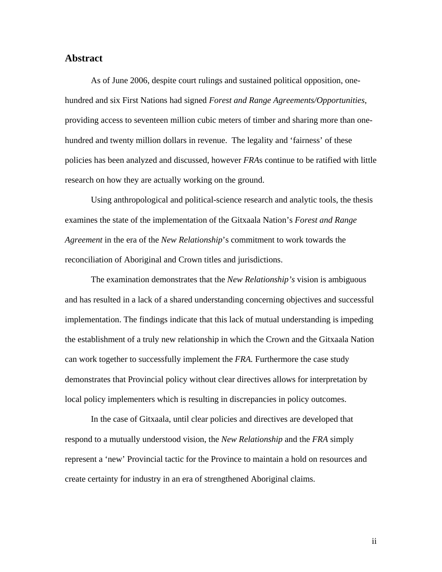## <span id="page-1-0"></span>**Abstract**

As of June 2006, despite court rulings and sustained political opposition, onehundred and six First Nations had signed *Forest and Range Agreements/Opportunities*, providing access to seventeen million cubic meters of timber and sharing more than onehundred and twenty million dollars in revenue. The legality and 'fairness' of these policies has been analyzed and discussed, however *FRA*s continue to be ratified with little research on how they are actually working on the ground.

Using anthropological and political-science research and analytic tools, the thesis examines the state of the implementation of the Gitxaala Nation's *Forest and Range Agreement* in the era of the *New Relationship*'s commitment to work towards the reconciliation of Aboriginal and Crown titles and jurisdictions.

The examination demonstrates that the *New Relationship's* vision is ambiguous and has resulted in a lack of a shared understanding concerning objectives and successful implementation. The findings indicate that this lack of mutual understanding is impeding the establishment of a truly new relationship in which the Crown and the Gitxaala Nation can work together to successfully implement the *FRA.* Furthermore the case study demonstrates that Provincial policy without clear directives allows for interpretation by local policy implementers which is resulting in discrepancies in policy outcomes.

In the case of Gitxaala, until clear policies and directives are developed that respond to a mutually understood vision, the *New Relationship* and the *FRA* simply represent a 'new' Provincial tactic for the Province to maintain a hold on resources and create certainty for industry in an era of strengthened Aboriginal claims.

ii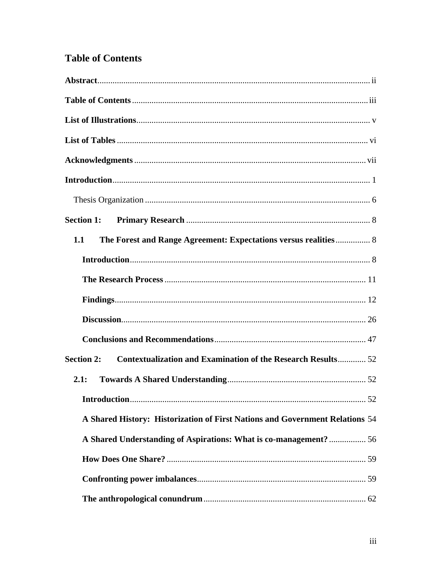## <span id="page-2-0"></span>**Table of Contents**

| The Forest and Range Agreement: Expectations versus realities 8<br>1.1                   |  |
|------------------------------------------------------------------------------------------|--|
|                                                                                          |  |
|                                                                                          |  |
|                                                                                          |  |
|                                                                                          |  |
|                                                                                          |  |
| <b>Contextualization and Examination of the Research Results 52</b><br><b>Section 2:</b> |  |
| 2.1:                                                                                     |  |
|                                                                                          |  |
| A Shared History: Historization of First Nations and Government Relations 54             |  |
| A Shared Understanding of Aspirations: What is co-management?  56                        |  |
|                                                                                          |  |
|                                                                                          |  |
|                                                                                          |  |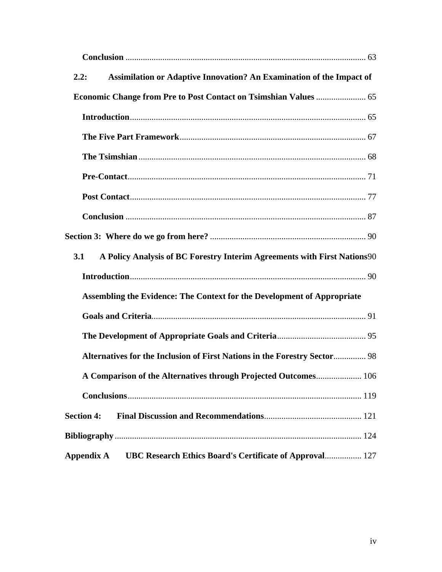| Assimilation or Adaptive Innovation? An Examination of the Impact of<br>2.2:    |  |
|---------------------------------------------------------------------------------|--|
|                                                                                 |  |
|                                                                                 |  |
|                                                                                 |  |
|                                                                                 |  |
|                                                                                 |  |
|                                                                                 |  |
|                                                                                 |  |
|                                                                                 |  |
| A Policy Analysis of BC Forestry Interim Agreements with First Nations90<br>3.1 |  |
|                                                                                 |  |
| Assembling the Evidence: The Context for the Development of Appropriate         |  |
|                                                                                 |  |
|                                                                                 |  |
| Alternatives for the Inclusion of First Nations in the Forestry Sector 98       |  |
| A Comparison of the Alternatives through Projected Outcomes 106                 |  |
|                                                                                 |  |
| <b>Section 4:</b>                                                               |  |
|                                                                                 |  |
| UBC Research Ethics Board's Certificate of Approval 127<br>Appendix A           |  |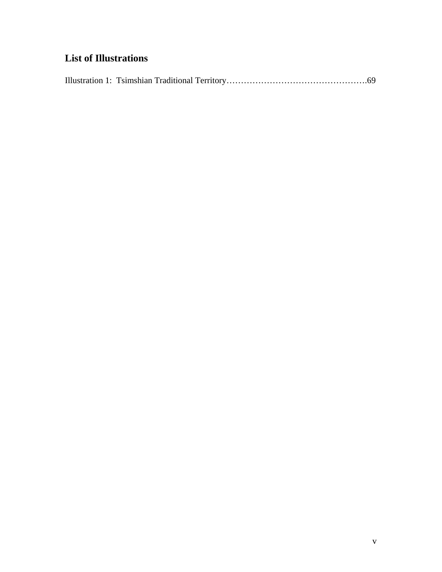## <span id="page-4-0"></span>**List of Illustrations**

|--|--|--|--|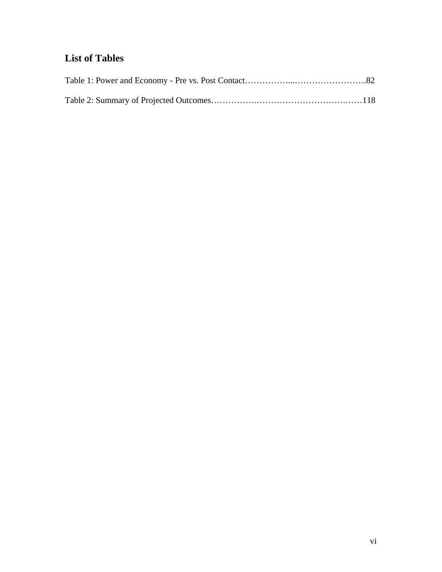## <span id="page-5-0"></span>**List of Tables**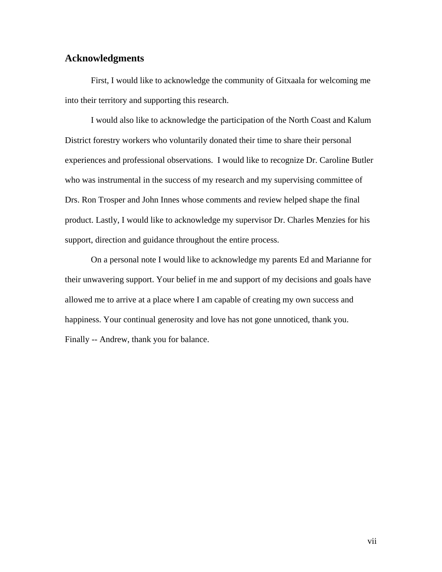## <span id="page-6-0"></span>**Acknowledgments**

First, I would like to acknowledge the community of Gitxaala for welcoming me into their territory and supporting this research.

I would also like to acknowledge the participation of the North Coast and Kalum District forestry workers who voluntarily donated their time to share their personal experiences and professional observations. I would like to recognize Dr. Caroline Butler who was instrumental in the success of my research and my supervising committee of Drs. Ron Trosper and John Innes whose comments and review helped shape the final product. Lastly, I would like to acknowledge my supervisor Dr. Charles Menzies for his support, direction and guidance throughout the entire process.

On a personal note I would like to acknowledge my parents Ed and Marianne for their unwavering support. Your belief in me and support of my decisions and goals have allowed me to arrive at a place where I am capable of creating my own success and happiness. Your continual generosity and love has not gone unnoticed, thank you. Finally -- Andrew, thank you for balance.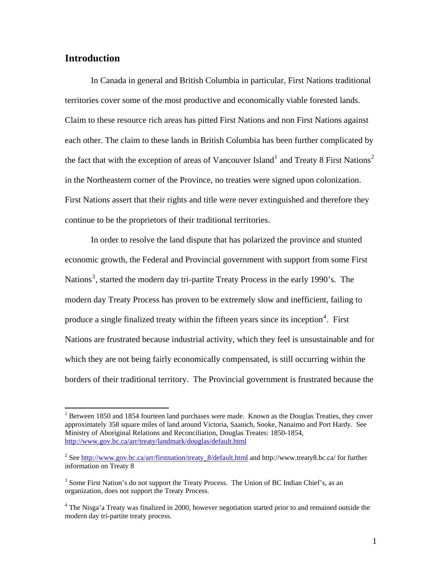## <span id="page-7-0"></span>**Introduction**

 $\overline{a}$ 

In Canada in general and British Columbia in particular, First Nations traditional territories cover some of the most productive and economically viable forested lands. Claim to these resource rich areas has pitted First Nations and non First Nations against each other. The claim to these lands in British Columbia has been further complicated by the fact that with the exception of areas of Vancouver Island<sup>[1](#page-7-1)</sup> and Treaty 8 First Nations<sup>[2](#page-7-2)</sup> in the Northeastern corner of the Province, no treaties were signed upon colonization. First Nations assert that their rights and title were never extinguished and therefore they continue to be the proprietors of their traditional territories.

In order to resolve the land dispute that has polarized the province and stunted economic growth, the Federal and Provincial government with support from some First Nations<sup>[3](#page-7-3)</sup>, started the modern day tri-partite Treaty Process in the early 1990's. The modern day Treaty Process has proven to be extremely slow and inefficient, failing to produce a single finalized treaty within the fifteen years since its inception<sup>[4](#page-7-4)</sup>. First Nations are frustrated because industrial activity, which they feel is unsustainable and for which they are not being fairly economically compensated, is still occurring within the borders of their traditional territory. The Provincial government is frustrated because the

<span id="page-7-1"></span><sup>&</sup>lt;sup>1</sup> Between 1850 and 1854 fourteen land purchases were made. Known as the Douglas Treaties, they cover approximately 358 square miles of land around Victoria, Saanich, Sooke, Nanaimo and Port Hardy. See Ministry of Aboriginal Relations and Reconciliation, Douglas Treates: 1850-1854, <http://www.gov.bc.ca/arr/treaty/landmark/douglas/default.html>

<span id="page-7-2"></span><sup>&</sup>lt;sup>2</sup> See [http://www.gov.bc.ca/arr/firstnation/treaty\\_8/default.html](http://www.gov.bc.ca/arr/firstnation/treaty_8/default.html) and http://www.treaty8.bc.ca/ for further information on Treaty 8

<span id="page-7-3"></span><sup>&</sup>lt;sup>3</sup> Some First Nation's do not support the Treaty Process. The Union of BC Indian Chief's, as an organization, does not support the Treaty Process.

<span id="page-7-4"></span><sup>&</sup>lt;sup>4</sup> The Nisga'a Treaty was finalized in 2000, however negotiation started prior to and remained outside the modern day tri-partite treaty process.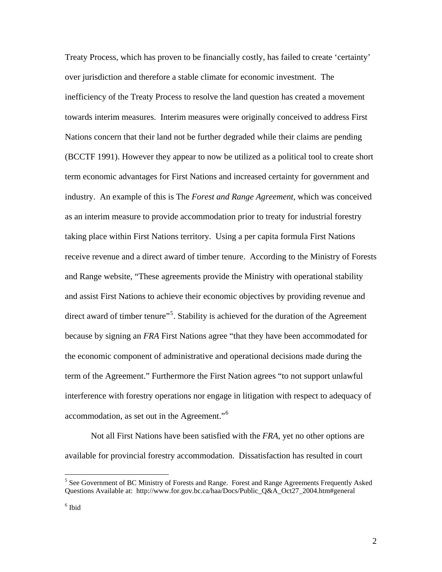Treaty Process, which has proven to be financially costly, has failed to create 'certainty' over jurisdiction and therefore a stable climate for economic investment. The inefficiency of the Treaty Process to resolve the land question has created a movement towards interim measures. Interim measures were originally conceived to address First Nations concern that their land not be further degraded while their claims are pending (BCCTF 1991). However they appear to now be utilized as a political tool to create short term economic advantages for First Nations and increased certainty for government and industry. An example of this is The *Forest and Range Agreement*, which was conceived as an interim measure to provide accommodation prior to treaty for industrial forestry taking place within First Nations territory. Using a per capita formula First Nations receive revenue and a direct award of timber tenure. According to the Ministry of Forests and Range website, "These agreements provide the Ministry with operational stability and assist First Nations to achieve their economic objectives by providing revenue and direct award of timber tenure"<sup>[5](#page-8-0)</sup>. Stability is achieved for the duration of the Agreement because by signing an *FRA* First Nations agree "that they have been accommodated for the economic component of administrative and operational decisions made during the term of the Agreement." Furthermore the First Nation agrees "to not support unlawful interference with forestry operations nor engage in litigation with respect to adequacy of accommodation, as set out in the Agreement."[6](#page-8-1)

Not all First Nations have been satisfied with the *FRA*, yet no other options are available for provincial forestry accommodation. Dissatisfaction has resulted in court

<span id="page-8-0"></span><sup>&</sup>lt;sup>5</sup> See Government of BC Ministry of Forests and Range. Forest and Range Agreements Frequently Asked Questions Available at: http://www.for.gov.bc.ca/haa/Docs/Public\_Q&A\_Oct27\_2004.htm#general

<span id="page-8-1"></span><sup>6</sup> Ibid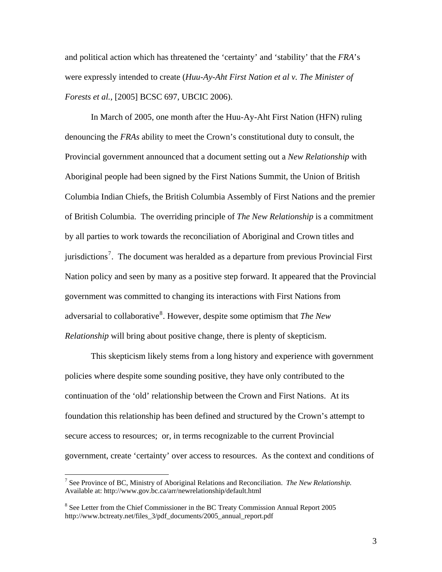and political action which has threatened the 'certainty' and 'stability' that the *FRA*'s were expressly intended to create (*Huu-Ay-Aht First Nation et al v. The Minister of Forests et al.*, [2005] BCSC 697, UBCIC 2006).

In March of 2005, one month after the Huu-Ay-Aht First Nation (HFN) ruling denouncing the *FRAs* ability to meet the Crown's constitutional duty to consult, the Provincial government announced that a document setting out a *New Relationship* with Aboriginal people had been signed by the First Nations Summit, the Union of British Columbia Indian Chiefs, the British Columbia Assembly of First Nations and the premier of British Columbia. The overriding principle of *The New Relationship* is a commitment by all parties to work towards the reconciliation of Aboriginal and Crown titles and jurisdictions<sup>[7](#page-9-0)</sup>. The document was heralded as a departure from previous Provincial First Nation policy and seen by many as a positive step forward. It appeared that the Provincial government was committed to changing its interactions with First Nations from adversarial to collaborative<sup>[8](#page-9-1)</sup>. However, despite some optimism that *The New Relationship* will bring about positive change, there is plenty of skepticism.

This skepticism likely stems from a long history and experience with government policies where despite some sounding positive, they have only contributed to the continuation of the 'old' relationship between the Crown and First Nations. At its foundation this relationship has been defined and structured by the Crown's attempt to secure access to resources; or, in terms recognizable to the current Provincial government, create 'certainty' over access to resources. As the context and conditions of

<span id="page-9-0"></span><sup>7</sup> See Province of BC, Ministry of Aboriginal Relations and Reconciliation. *The New Relationship.* Available at: http://www.gov.bc.ca/arr/newrelationship/default.html

<span id="page-9-1"></span><sup>&</sup>lt;sup>8</sup> See Letter from the Chief Commissioner in the BC Treaty Commission Annual Report 2005 http://www.bctreaty.net/files\_3/pdf\_documents/2005\_annual\_report.pdf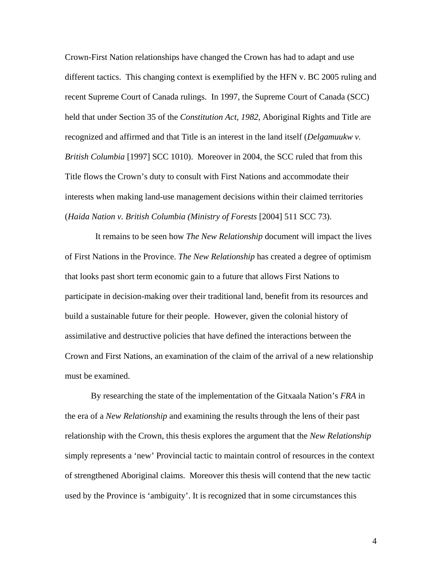Crown-First Nation relationships have changed the Crown has had to adapt and use different tactics. This changing context is exemplified by the HFN v. BC 2005 ruling and recent Supreme Court of Canada rulings. In 1997, the Supreme Court of Canada (SCC) held that under Section 35 of the *Constitution Act, 1982*, Aboriginal Rights and Title are recognized and affirmed and that Title is an interest in the land itself (*Delgamuukw v. British Columbia* [1997] SCC 1010). Moreover in 2004, the SCC ruled that from this Title flows the Crown's duty to consult with First Nations and accommodate their interests when making land-use management decisions within their claimed territories (*Haida Nation v. British Columbia (Ministry of Forests* [2004] 511 SCC 73).

 It remains to be seen how *The New Relationship* document will impact the lives of First Nations in the Province. *The New Relationship* has created a degree of optimism that looks past short term economic gain to a future that allows First Nations to participate in decision-making over their traditional land, benefit from its resources and build a sustainable future for their people. However, given the colonial history of assimilative and destructive policies that have defined the interactions between the Crown and First Nations, an examination of the claim of the arrival of a new relationship must be examined.

By researching the state of the implementation of the Gitxaala Nation's *FRA* in the era of a *New Relationship* and examining the results through the lens of their past relationship with the Crown, this thesis explores the argument that the *New Relationship* simply represents a 'new' Provincial tactic to maintain control of resources in the context of strengthened Aboriginal claims. Moreover this thesis will contend that the new tactic used by the Province is 'ambiguity'. It is recognized that in some circumstances this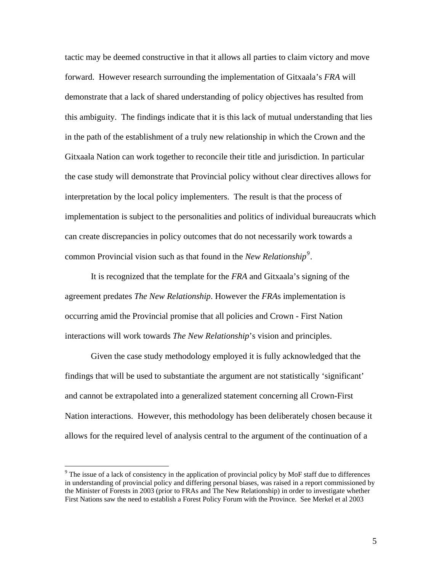tactic may be deemed constructive in that it allows all parties to claim victory and move forward. However research surrounding the implementation of Gitxaala's *FRA* will demonstrate that a lack of shared understanding of policy objectives has resulted from this ambiguity. The findings indicate that it is this lack of mutual understanding that lies in the path of the establishment of a truly new relationship in which the Crown and the Gitxaala Nation can work together to reconcile their title and jurisdiction. In particular the case study will demonstrate that Provincial policy without clear directives allows for interpretation by the local policy implementers. The result is that the process of implementation is subject to the personalities and politics of individual bureaucrats which can create discrepancies in policy outcomes that do not necessarily work towards a common Provincial vision such as that found in the *New Relationship[9](#page-11-0)* .

It is recognized that the template for the *FRA* and Gitxaala's signing of the agreement predates *The New Relationship*. However the *FRA*s implementation is occurring amid the Provincial promise that all policies and Crown - First Nation interactions will work towards *The New Relationship*'s vision and principles.

 Given the case study methodology employed it is fully acknowledged that the findings that will be used to substantiate the argument are not statistically 'significant' and cannot be extrapolated into a generalized statement concerning all Crown-First Nation interactions. However, this methodology has been deliberately chosen because it allows for the required level of analysis central to the argument of the continuation of a

<span id="page-11-0"></span><sup>&</sup>lt;sup>9</sup> The issue of a lack of consistency in the application of provincial policy by MoF staff due to differences in understanding of provincial policy and differing personal biases, was raised in a report commissioned by the Minister of Forests in 2003 (prior to FRAs and The New Relationship) in order to investigate whether First Nations saw the need to establish a Forest Policy Forum with the Province. See Merkel et al 2003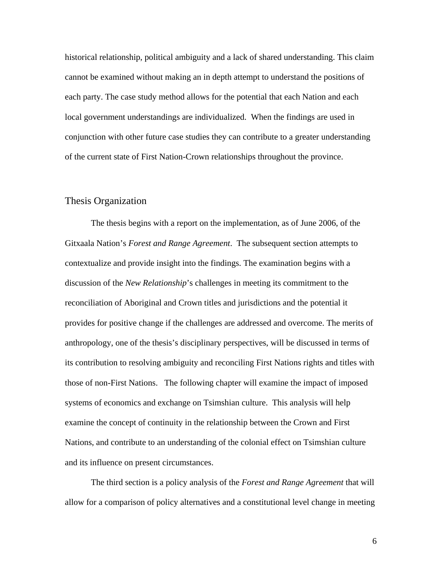<span id="page-12-0"></span>historical relationship, political ambiguity and a lack of shared understanding. This claim cannot be examined without making an in depth attempt to understand the positions of each party. The case study method allows for the potential that each Nation and each local government understandings are individualized. When the findings are used in conjunction with other future case studies they can contribute to a greater understanding of the current state of First Nation-Crown relationships throughout the province.

## Thesis Organization

The thesis begins with a report on the implementation, as of June 2006, of the Gitxaala Nation's *Forest and Range Agreement*. The subsequent section attempts to contextualize and provide insight into the findings. The examination begins with a discussion of the *New Relationship*'s challenges in meeting its commitment to the reconciliation of Aboriginal and Crown titles and jurisdictions and the potential it provides for positive change if the challenges are addressed and overcome. The merits of anthropology, one of the thesis's disciplinary perspectives, will be discussed in terms of its contribution to resolving ambiguity and reconciling First Nations rights and titles with those of non-First Nations. The following chapter will examine the impact of imposed systems of economics and exchange on Tsimshian culture. This analysis will help examine the concept of continuity in the relationship between the Crown and First Nations, and contribute to an understanding of the colonial effect on Tsimshian culture and its influence on present circumstances.

The third section is a policy analysis of the *Forest and Range Agreement* that will allow for a comparison of policy alternatives and a constitutional level change in meeting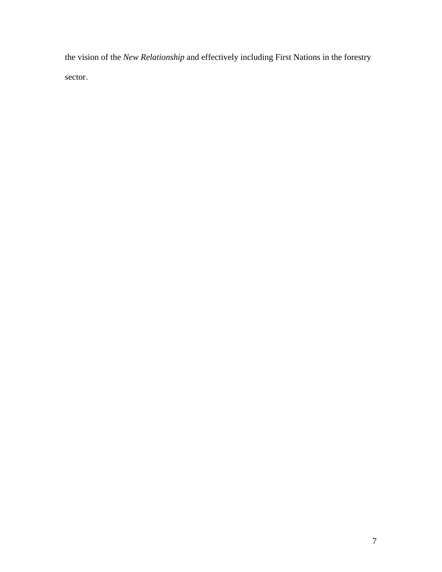the vision of the *New Relationship* and effectively including First Nations in the forestry sector.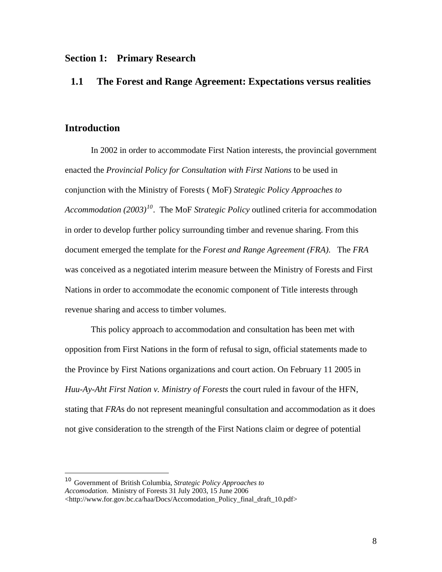## <span id="page-14-0"></span>**Section 1: Primary Research**

## **1.1 The Forest and Range Agreement: Expectations versus realities**

## **Introduction**

 $\overline{a}$ 

In 2002 in order to accommodate First Nation interests, the provincial government enacted the *Provincial Policy for Consultation with First Nations* to be used in conjunction with the Ministry of Forests ( MoF) *Strategic Policy Approaches to Accommodation (2003)[10](#page-14-1)*. The MoF *Strategic Policy* outlined criteria for accommodation in order to develop further policy surrounding timber and revenue sharing. From this document emerged the template for the *Forest and Range Agreement (FRA)*. The *FRA* was conceived as a negotiated interim measure between the Ministry of Forests and First Nations in order to accommodate the economic component of Title interests through revenue sharing and access to timber volumes.

This policy approach to accommodation and consultation has been met with opposition from First Nations in the form of refusal to sign, official statements made to the Province by First Nations organizations and court action. On February 11 2005 in *Huu-Ay-Aht First Nation v. Ministry of Forests* the court ruled in favour of the HFN, stating that *FRA*s do not represent meaningful consultation and accommodation as it does not give consideration to the strength of the First Nations claim or degree of potential

<span id="page-14-1"></span><sup>10</sup> Government of British Columbia, *Strategic Policy Approaches to Accomodation*. Ministry of Forests 31 July 2003, 15 June 2006

<sup>&</sup>lt;http://www.for.gov.bc.ca/haa/Docs/Accomodation\_Policy\_final\_draft\_10.pdf>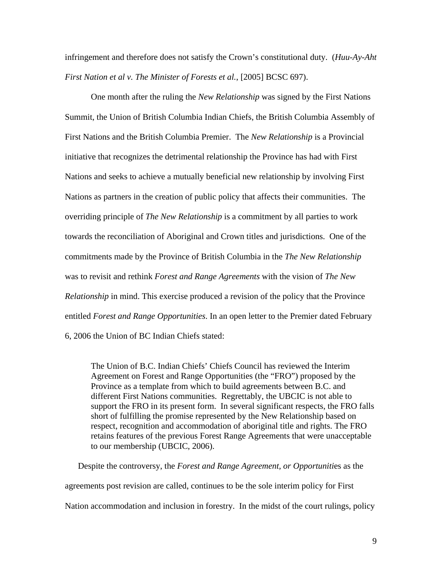infringement and therefore does not satisfy the Crown's constitutional duty. (*Huu-Ay-Aht First Nation et al v. The Minister of Forests et al.*, [2005] BCSC 697).

One month after the ruling the *New Relationship* was signed by the First Nations Summit, the Union of British Columbia Indian Chiefs, the British Columbia Assembly of First Nations and the British Columbia Premier. The *New Relationship* is a Provincial initiative that recognizes the detrimental relationship the Province has had with First Nations and seeks to achieve a mutually beneficial new relationship by involving First Nations as partners in the creation of public policy that affects their communities. The overriding principle of *The New Relationship* is a commitment by all parties to work towards the reconciliation of Aboriginal and Crown titles and jurisdictions. One of the commitments made by the Province of British Columbia in the *The New Relationship* was to revisit and rethink *Forest and Range Agreements* with the vision of *The New Relationship* in mind. This exercise produced a revision of the policy that the Province entitled *Forest and Range Opportunities*. In an open letter to the Premier dated February 6, 2006 the Union of BC Indian Chiefs stated:

The Union of B.C. Indian Chiefs' Chiefs Council has reviewed the Interim Agreement on Forest and Range Opportunities (the "FRO") proposed by the Province as a template from which to build agreements between B.C. and different First Nations communities. Regrettably, the UBCIC is not able to support the FRO in its present form. In several significant respects, the FRO falls short of fulfilling the promise represented by the New Relationship based on respect, recognition and accommodation of aboriginal title and rights. The FRO retains features of the previous Forest Range Agreements that were unacceptable to our membership (UBCIC, 2006).

Despite the controversy, the *Forest and Range Agreement, or Opportuniti*es as the agreements post revision are called, continues to be the sole interim policy for First Nation accommodation and inclusion in forestry. In the midst of the court rulings, policy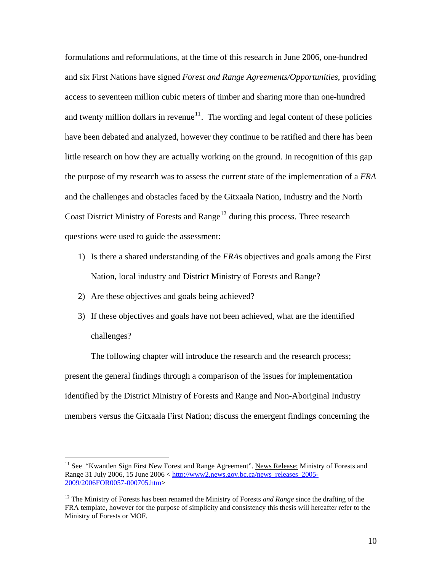formulations and reformulations, at the time of this research in June 2006, one-hundred and six First Nations have signed *Forest and Range Agreements/Opportunities*, providing access to seventeen million cubic meters of timber and sharing more than one-hundred and twenty million dollars in revenue<sup>[11](#page-16-0)</sup>. The wording and legal content of these policies have been debated and analyzed, however they continue to be ratified and there has been little research on how they are actually working on the ground. In recognition of this gap the purpose of my research was to assess the current state of the implementation of a *FRA* and the challenges and obstacles faced by the Gitxaala Nation, Industry and the North Coast District Ministry of Forests and Range<sup>[12](#page-16-1)</sup> during this process. Three research questions were used to guide the assessment:

- 1) Is there a shared understanding of the *FRA*s objectives and goals among the First Nation, local industry and District Ministry of Forests and Range?
- 2) Are these objectives and goals being achieved?

 $\overline{a}$ 

3) If these objectives and goals have not been achieved, what are the identified challenges?

The following chapter will introduce the research and the research process; present the general findings through a comparison of the issues for implementation identified by the District Ministry of Forests and Range and Non-Aboriginal Industry members versus the Gitxaala First Nation; discuss the emergent findings concerning the

<span id="page-16-0"></span><sup>&</sup>lt;sup>11</sup> See "Kwantlen Sign First New Forest and Range Agreement". News Release: Ministry of Forests and Range 31 July 2006, 15 June 2006 < [http://www2.news.gov.bc.ca/news\\_releases\\_2005-](http://www2.news.gov.bc.ca/news_releases_2005-2009/2006FOR0057-000705.htm) [2009/2006FOR0057-000705.htm>](http://www2.news.gov.bc.ca/news_releases_2005-2009/2006FOR0057-000705.htm)

<span id="page-16-1"></span><sup>&</sup>lt;sup>12</sup> The Ministry of Forests has been renamed the Ministry of Forests *and Range* since the drafting of the FRA template, however for the purpose of simplicity and consistency this thesis will hereafter refer to the Ministry of Forests or MOF.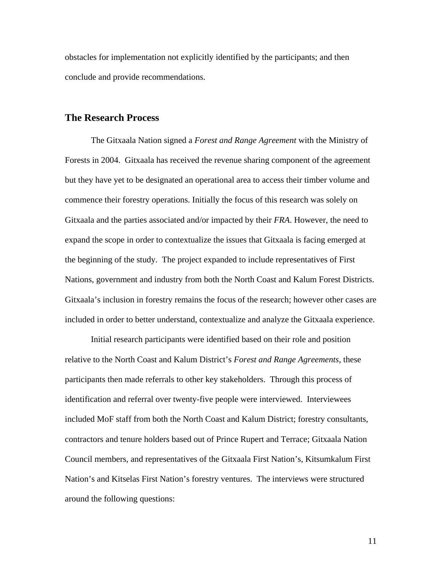<span id="page-17-0"></span>obstacles for implementation not explicitly identified by the participants; and then conclude and provide recommendations.

## **The Research Process**

The Gitxaala Nation signed a *Forest and Range Agreement* with the Ministry of Forests in 2004. Gitxaala has received the revenue sharing component of the agreement but they have yet to be designated an operational area to access their timber volume and commence their forestry operations. Initially the focus of this research was solely on Gitxaala and the parties associated and/or impacted by their *FRA*. However, the need to expand the scope in order to contextualize the issues that Gitxaala is facing emerged at the beginning of the study. The project expanded to include representatives of First Nations, government and industry from both the North Coast and Kalum Forest Districts. Gitxaala's inclusion in forestry remains the focus of the research; however other cases are included in order to better understand, contextualize and analyze the Gitxaala experience.

Initial research participants were identified based on their role and position relative to the North Coast and Kalum District's *Forest and Range Agreements*, these participants then made referrals to other key stakeholders. Through this process of identification and referral over twenty-five people were interviewed. Interviewees included MoF staff from both the North Coast and Kalum District; forestry consultants, contractors and tenure holders based out of Prince Rupert and Terrace; Gitxaala Nation Council members, and representatives of the Gitxaala First Nation's, Kitsumkalum First Nation's and Kitselas First Nation's forestry ventures. The interviews were structured around the following questions: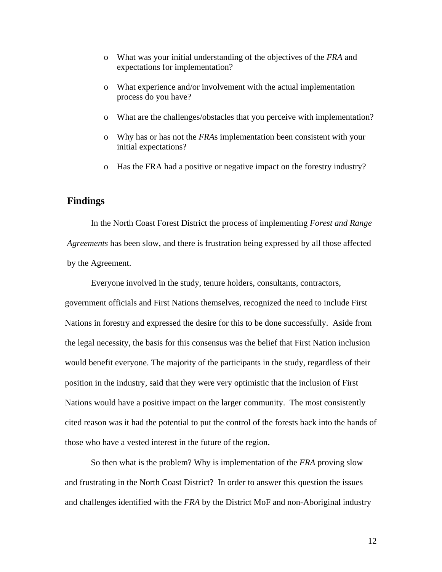- <span id="page-18-0"></span>o What was your initial understanding of the objectives of the *FRA* and expectations for implementation?
- o What experience and/or involvement with the actual implementation process do you have?
- o What are the challenges/obstacles that you perceive with implementation?
- o Why has or has not the *FRA*s implementation been consistent with your initial expectations?
- o Has the FRA had a positive or negative impact on the forestry industry?

## **Findings**

In the North Coast Forest District the process of implementing *Forest and Range Agreements* has been slow, and there is frustration being expressed by all those affected by the Agreement.

Everyone involved in the study, tenure holders, consultants, contractors,

government officials and First Nations themselves, recognized the need to include First Nations in forestry and expressed the desire for this to be done successfully. Aside from the legal necessity, the basis for this consensus was the belief that First Nation inclusion would benefit everyone. The majority of the participants in the study, regardless of their position in the industry, said that they were very optimistic that the inclusion of First Nations would have a positive impact on the larger community. The most consistently cited reason was it had the potential to put the control of the forests back into the hands of those who have a vested interest in the future of the region.

 So then what is the problem? Why is implementation of the *FRA* proving slow and frustrating in the North Coast District? In order to answer this question the issues and challenges identified with the *FRA* by the District MoF and non-Aboriginal industry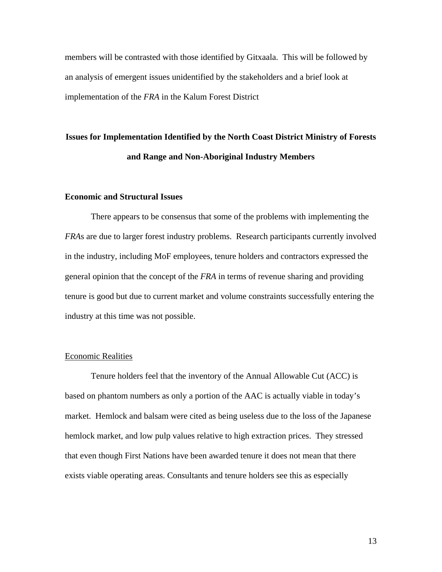members will be contrasted with those identified by Gitxaala. This will be followed by an analysis of emergent issues unidentified by the stakeholders and a brief look at implementation of the *FRA* in the Kalum Forest District

# **Issues for Implementation Identified by the North Coast District Ministry of Forests and Range and Non-Aboriginal Industry Members**

#### **Economic and Structural Issues**

There appears to be consensus that some of the problems with implementing the *FRA*s are due to larger forest industry problems. Research participants currently involved in the industry, including MoF employees, tenure holders and contractors expressed the general opinion that the concept of the *FRA* in terms of revenue sharing and providing tenure is good but due to current market and volume constraints successfully entering the industry at this time was not possible.

#### Economic Realities

Tenure holders feel that the inventory of the Annual Allowable Cut (ACC) is based on phantom numbers as only a portion of the AAC is actually viable in today's market. Hemlock and balsam were cited as being useless due to the loss of the Japanese hemlock market, and low pulp values relative to high extraction prices. They stressed that even though First Nations have been awarded tenure it does not mean that there exists viable operating areas. Consultants and tenure holders see this as especially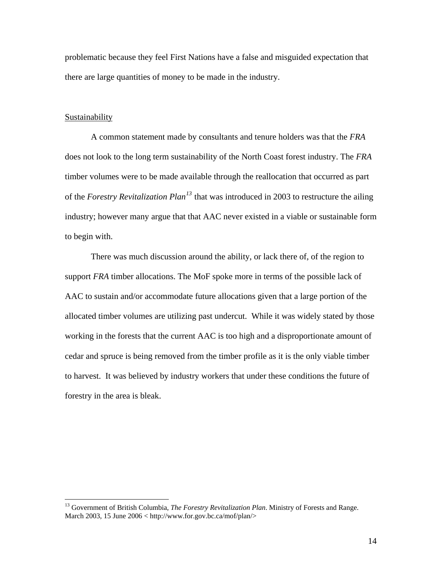problematic because they feel First Nations have a false and misguided expectation that there are large quantities of money to be made in the industry.

#### Sustainability

 $\overline{a}$ 

A common statement made by consultants and tenure holders was that the *FRA* does not look to the long term sustainability of the North Coast forest industry. The *FRA* timber volumes were to be made available through the reallocation that occurred as part of the *Forestry Revitalization Plan[13](#page-20-0)* that was introduced in 2003 to restructure the ailing industry; however many argue that that AAC never existed in a viable or sustainable form to begin with.

There was much discussion around the ability, or lack there of, of the region to support *FRA* timber allocations. The MoF spoke more in terms of the possible lack of AAC to sustain and/or accommodate future allocations given that a large portion of the allocated timber volumes are utilizing past undercut. While it was widely stated by those working in the forests that the current AAC is too high and a disproportionate amount of cedar and spruce is being removed from the timber profile as it is the only viable timber to harvest. It was believed by industry workers that under these conditions the future of forestry in the area is bleak.

<span id="page-20-0"></span><sup>13</sup> Government of British Columbia, *The Forestry Revitalization Plan*. Ministry of Forests and Range. March 2003, 15 June 2006 < http://www.for.gov.bc.ca/mof/plan/>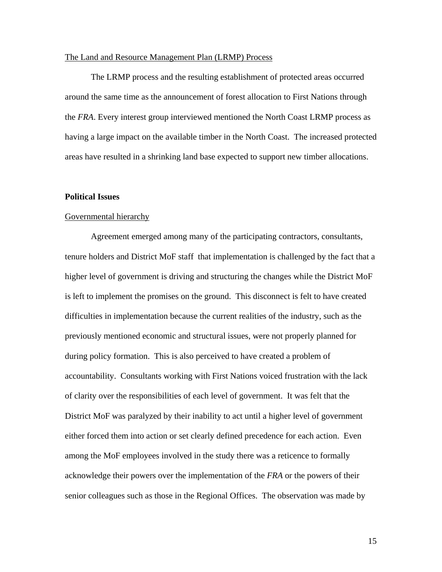#### The Land and Resource Management Plan (LRMP) Process

 The LRMP process and the resulting establishment of protected areas occurred around the same time as the announcement of forest allocation to First Nations through the *FRA*. Every interest group interviewed mentioned the North Coast LRMP process as having a large impact on the available timber in the North Coast. The increased protected areas have resulted in a shrinking land base expected to support new timber allocations.

#### **Political Issues**

## Governmental hierarchy

Agreement emerged among many of the participating contractors, consultants, tenure holders and District MoF staff that implementation is challenged by the fact that a higher level of government is driving and structuring the changes while the District MoF is left to implement the promises on the ground. This disconnect is felt to have created difficulties in implementation because the current realities of the industry, such as the previously mentioned economic and structural issues, were not properly planned for during policy formation. This is also perceived to have created a problem of accountability. Consultants working with First Nations voiced frustration with the lack of clarity over the responsibilities of each level of government. It was felt that the District MoF was paralyzed by their inability to act until a higher level of government either forced them into action or set clearly defined precedence for each action. Even among the MoF employees involved in the study there was a reticence to formally acknowledge their powers over the implementation of the *FRA* or the powers of their senior colleagues such as those in the Regional Offices. The observation was made by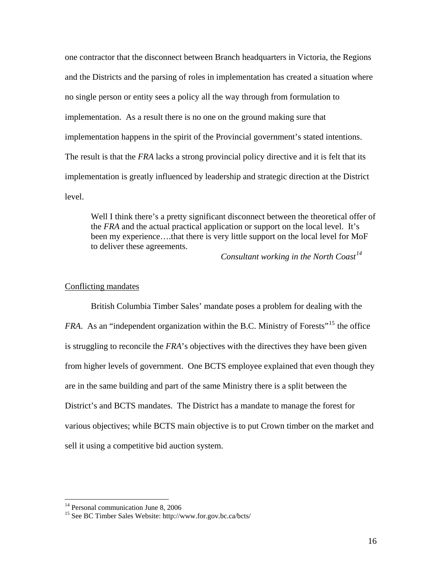one contractor that the disconnect between Branch headquarters in Victoria, the Regions and the Districts and the parsing of roles in implementation has created a situation where no single person or entity sees a policy all the way through from formulation to implementation. As a result there is no one on the ground making sure that implementation happens in the spirit of the Provincial government's stated intentions. The result is that the *FRA* lacks a strong provincial policy directive and it is felt that its implementation is greatly influenced by leadership and strategic direction at the District level.

Well I think there's a pretty significant disconnect between the theoretical offer of the *FRA* and the actual practical application or support on the local level. It's been my experience….that there is very little support on the local level for MoF to deliver these agreements.

*Consultant working in the North Coast[14](#page-22-0)* 

#### Conflicting mandates

British Columbia Timber Sales' mandate poses a problem for dealing with the *FRA*. As an "independent organization within the B.C. Ministry of Forests"<sup>[15](#page-22-1)</sup> the office is struggling to reconcile the *FRA*'s objectives with the directives they have been given from higher levels of government. One BCTS employee explained that even though they are in the same building and part of the same Ministry there is a split between the District's and BCTS mandates. The District has a mandate to manage the forest for various objectives; while BCTS main objective is to put Crown timber on the market and sell it using a competitive bid auction system.

<sup>&</sup>lt;sup>14</sup> Personal communication June 8, 2006

<span id="page-22-1"></span><span id="page-22-0"></span><sup>15</sup> See BC Timber Sales Website: http://www.for.gov.bc.ca/bcts/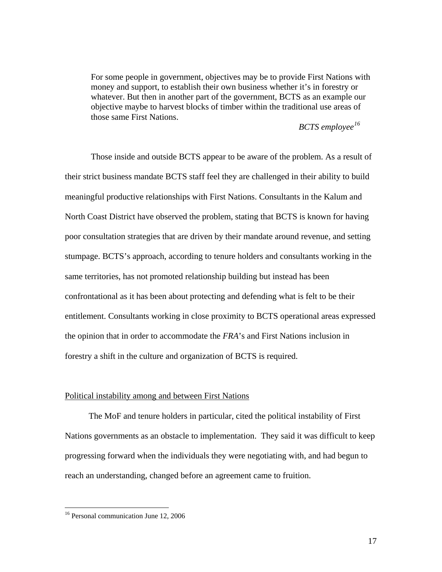For some people in government, objectives may be to provide First Nations with money and support, to establish their own business whether it's in forestry or whatever. But then in another part of the government, BCTS as an example our objective maybe to harvest blocks of timber within the traditional use areas of those same First Nations.

## *BCTS employee[16](#page-23-0)*

Those inside and outside BCTS appear to be aware of the problem. As a result of their strict business mandate BCTS staff feel they are challenged in their ability to build meaningful productive relationships with First Nations. Consultants in the Kalum and North Coast District have observed the problem, stating that BCTS is known for having poor consultation strategies that are driven by their mandate around revenue, and setting stumpage. BCTS's approach, according to tenure holders and consultants working in the same territories, has not promoted relationship building but instead has been confrontational as it has been about protecting and defending what is felt to be their entitlement. Consultants working in close proximity to BCTS operational areas expressed the opinion that in order to accommodate the *FRA*'s and First Nations inclusion in forestry a shift in the culture and organization of BCTS is required.

#### Political instability among and between First Nations

The MoF and tenure holders in particular, cited the political instability of First Nations governments as an obstacle to implementation. They said it was difficult to keep progressing forward when the individuals they were negotiating with, and had begun to reach an understanding, changed before an agreement came to fruition.

<span id="page-23-0"></span><sup>&</sup>lt;sup>16</sup> Personal communication June 12, 2006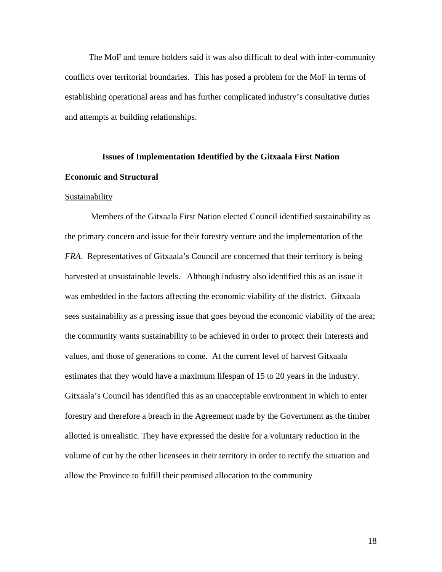The MoF and tenure holders said it was also difficult to deal with inter-community conflicts over territorial boundaries. This has posed a problem for the MoF in terms of establishing operational areas and has further complicated industry's consultative duties and attempts at building relationships.

# **Issues of Implementation Identified by the Gitxaala First Nation Economic and Structural**

#### Sustainability

Members of the Gitxaala First Nation elected Council identified sustainability as the primary concern and issue for their forestry venture and the implementation of the *FRA*. Representatives of Gitxaala's Council are concerned that their territory is being harvested at unsustainable levels. Although industry also identified this as an issue it was embedded in the factors affecting the economic viability of the district. Gitxaala sees sustainability as a pressing issue that goes beyond the economic viability of the area; the community wants sustainability to be achieved in order to protect their interests and values, and those of generations to come. At the current level of harvest Gitxaala estimates that they would have a maximum lifespan of 15 to 20 years in the industry. Gitxaala's Council has identified this as an unacceptable environment in which to enter forestry and therefore a breach in the Agreement made by the Government as the timber allotted is unrealistic. They have expressed the desire for a voluntary reduction in the volume of cut by the other licensees in their territory in order to rectify the situation and allow the Province to fulfill their promised allocation to the community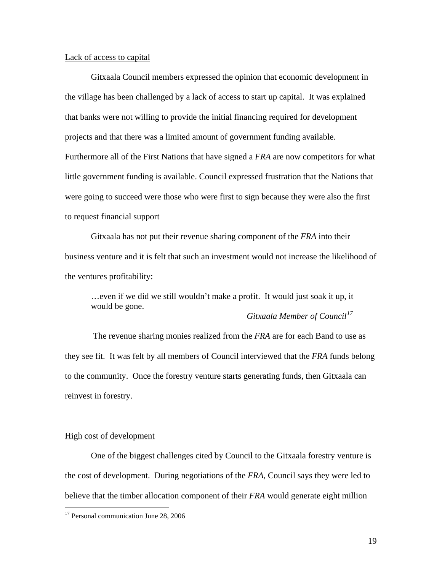#### Lack of access to capital

Gitxaala Council members expressed the opinion that economic development in the village has been challenged by a lack of access to start up capital. It was explained that banks were not willing to provide the initial financing required for development projects and that there was a limited amount of government funding available. Furthermore all of the First Nations that have signed a *FRA* are now competitors for what little government funding is available. Council expressed frustration that the Nations that were going to succeed were those who were first to sign because they were also the first to request financial support

Gitxaala has not put their revenue sharing component of the *FRA* into their business venture and it is felt that such an investment would not increase the likelihood of the ventures profitability:

…even if we did we still wouldn't make a profit. It would just soak it up, it would be gone. *Gitxaala Member of Council[17](#page-25-0)* 

 The revenue sharing monies realized from the *FRA* are for each Band to use as they see fit. It was felt by all members of Council interviewed that the *FRA* funds belong to the community. Once the forestry venture starts generating funds, then Gitxaala can reinvest in forestry.

### High cost of development

 $\overline{a}$ 

One of the biggest challenges cited by Council to the Gitxaala forestry venture is the cost of development. During negotiations of the *FRA*, Council says they were led to believe that the timber allocation component of their *FRA* would generate eight million

<span id="page-25-0"></span><sup>&</sup>lt;sup>17</sup> Personal communication June 28, 2006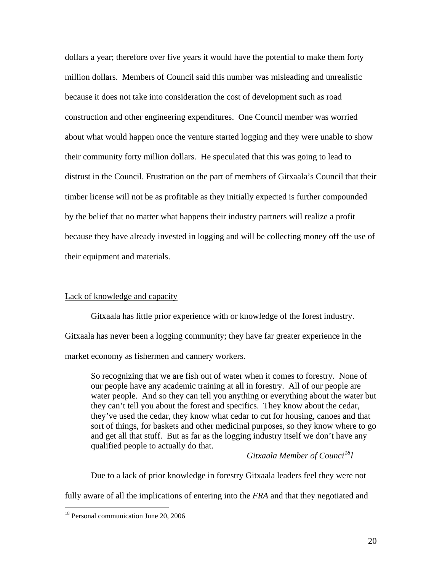dollars a year; therefore over five years it would have the potential to make them forty million dollars. Members of Council said this number was misleading and unrealistic because it does not take into consideration the cost of development such as road construction and other engineering expenditures. One Council member was worried about what would happen once the venture started logging and they were unable to show their community forty million dollars. He speculated that this was going to lead to distrust in the Council. Frustration on the part of members of Gitxaala's Council that their timber license will not be as profitable as they initially expected is further compounded by the belief that no matter what happens their industry partners will realize a profit because they have already invested in logging and will be collecting money off the use of their equipment and materials.

## Lack of knowledge and capacity

Gitxaala has little prior experience with or knowledge of the forest industry. Gitxaala has never been a logging community; they have far greater experience in the market economy as fishermen and cannery workers.

 So recognizing that we are fish out of water when it comes to forestry. None of our people have any academic training at all in forestry. All of our people are water people. And so they can tell you anything or everything about the water but they can't tell you about the forest and specifics. They know about the cedar, they've used the cedar, they know what cedar to cut for housing, canoes and that sort of things, for baskets and other medicinal purposes, so they know where to go and get all that stuff. But as far as the logging industry itself we don't have any qualified people to actually do that.

## *Gitxaala Member of Counci[18](#page-26-0)l*

Due to a lack of prior knowledge in forestry Gitxaala leaders feel they were not

fully aware of all the implications of entering into the *FRA* and that they negotiated and

<span id="page-26-0"></span><sup>&</sup>lt;sup>18</sup> Personal communication June 20, 2006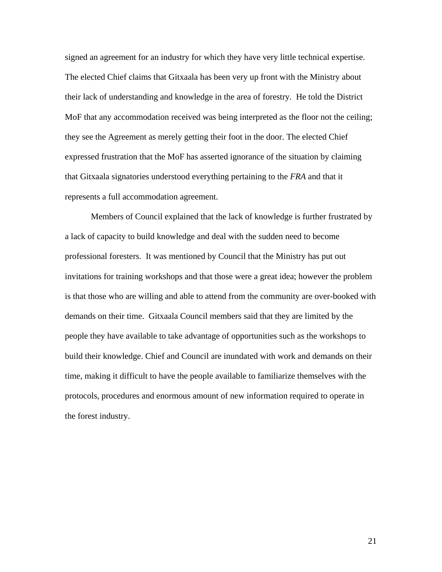signed an agreement for an industry for which they have very little technical expertise. The elected Chief claims that Gitxaala has been very up front with the Ministry about their lack of understanding and knowledge in the area of forestry. He told the District MoF that any accommodation received was being interpreted as the floor not the ceiling; they see the Agreement as merely getting their foot in the door. The elected Chief expressed frustration that the MoF has asserted ignorance of the situation by claiming that Gitxaala signatories understood everything pertaining to the *FRA* and that it represents a full accommodation agreement.

Members of Council explained that the lack of knowledge is further frustrated by a lack of capacity to build knowledge and deal with the sudden need to become professional foresters. It was mentioned by Council that the Ministry has put out invitations for training workshops and that those were a great idea; however the problem is that those who are willing and able to attend from the community are over-booked with demands on their time. Gitxaala Council members said that they are limited by the people they have available to take advantage of opportunities such as the workshops to build their knowledge. Chief and Council are inundated with work and demands on their time, making it difficult to have the people available to familiarize themselves with the protocols, procedures and enormous amount of new information required to operate in the forest industry.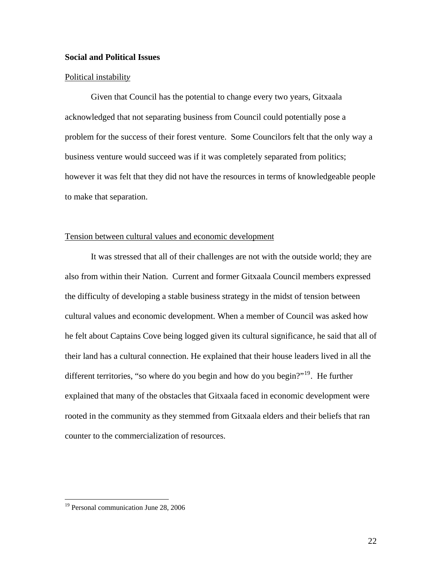## **Social and Political Issues**

#### Political instabilit*y*

Given that Council has the potential to change every two years, Gitxaala acknowledged that not separating business from Council could potentially pose a problem for the success of their forest venture. Some Councilors felt that the only way a business venture would succeed was if it was completely separated from politics; however it was felt that they did not have the resources in terms of knowledgeable people to make that separation.

## Tension between cultural values and economic development

It was stressed that all of their challenges are not with the outside world; they are also from within their Nation. Current and former Gitxaala Council members expressed the difficulty of developing a stable business strategy in the midst of tension between cultural values and economic development. When a member of Council was asked how he felt about Captains Cove being logged given its cultural significance, he said that all of their land has a cultural connection. He explained that their house leaders lived in all the different territories, "so where do you begin and how do you begin?"<sup>[19](#page-28-0)</sup>. He further explained that many of the obstacles that Gitxaala faced in economic development were rooted in the community as they stemmed from Gitxaala elders and their beliefs that ran counter to the commercialization of resources.

<span id="page-28-0"></span><sup>&</sup>lt;sup>19</sup> Personal communication June 28, 2006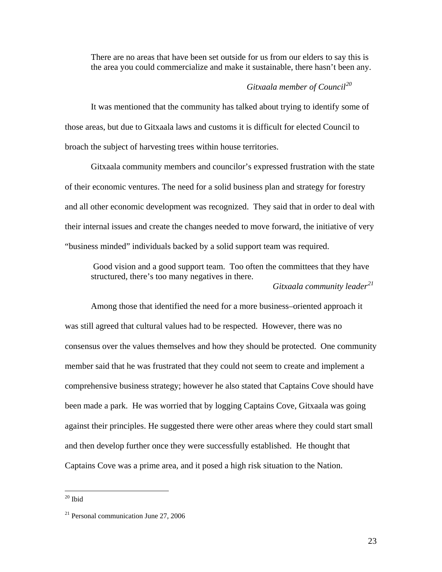There are no areas that have been set outside for us from our elders to say this is the area you could commercialize and make it sustainable, there hasn't been any.

## *Gitxaala member of Council[20](#page-29-0)*

It was mentioned that the community has talked about trying to identify some of those areas, but due to Gitxaala laws and customs it is difficult for elected Council to broach the subject of harvesting trees within house territories.

Gitxaala community members and councilor's expressed frustration with the state of their economic ventures. The need for a solid business plan and strategy for forestry and all other economic development was recognized. They said that in order to deal with their internal issues and create the changes needed to move forward, the initiative of very "business minded" individuals backed by a solid support team was required.

Good vision and a good support team. Too often the committees that they have structured, there's too many negatives in there. *Gitxaala community leader[21](#page-29-1)*

Among those that identified the need for a more business–oriented approach it was still agreed that cultural values had to be respected. However, there was no consensus over the values themselves and how they should be protected. One community member said that he was frustrated that they could not seem to create and implement a comprehensive business strategy; however he also stated that Captains Cove should have been made a park. He was worried that by logging Captains Cove, Gitxaala was going against their principles. He suggested there were other areas where they could start small and then develop further once they were successfully established. He thought that Captains Cove was a prime area, and it posed a high risk situation to the Nation.

<span id="page-29-0"></span> $20$  Ibid

<span id="page-29-1"></span><sup>21</sup> Personal communication June 27, 2006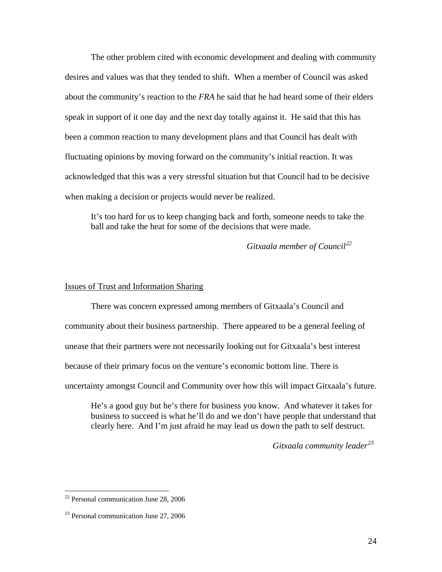The other problem cited with economic development and dealing with community desires and values was that they tended to shift. When a member of Council was asked about the community's reaction to the *FRA* he said that he had heard some of their elders speak in support of it one day and the next day totally against it. He said that this has been a common reaction to many development plans and that Council has dealt with fluctuating opinions by moving forward on the community's initial reaction. It was acknowledged that this was a very stressful situation but that Council had to be decisive when making a decision or projects would never be realized.

It's too hard for us to keep changing back and forth, someone needs to take the ball and take the heat for some of the decisions that were made.

*Gitxaala member of Council[22](#page-30-0)*

### Issues of Trust and Information Sharing

There was concern expressed among members of Gitxaala's Council and community about their business partnership. There appeared to be a general feeling of unease that their partners were not necessarily looking out for Gitxaala's best interest because of their primary focus on the venture's economic bottom line. There is uncertainty amongst Council and Community over how this will impact Gitxaala's future.

He's a good guy but he's there for business you know. And whatever it takes for business to succeed is what he'll do and we don't have people that understand that clearly here. And I'm just afraid he may lead us down the path to self destruct.

*Gitxaala community leader[23](#page-30-1)*

<span id="page-30-0"></span> $22$  Personal communication June 28, 2006

<span id="page-30-1"></span><sup>&</sup>lt;sup>23</sup> Personal communication June 27, 2006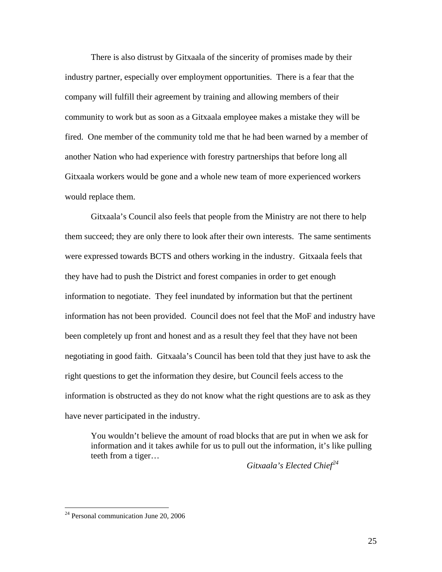There is also distrust by Gitxaala of the sincerity of promises made by their industry partner, especially over employment opportunities. There is a fear that the company will fulfill their agreement by training and allowing members of their community to work but as soon as a Gitxaala employee makes a mistake they will be fired. One member of the community told me that he had been warned by a member of another Nation who had experience with forestry partnerships that before long all Gitxaala workers would be gone and a whole new team of more experienced workers would replace them.

Gitxaala's Council also feels that people from the Ministry are not there to help them succeed; they are only there to look after their own interests. The same sentiments were expressed towards BCTS and others working in the industry. Gitxaala feels that they have had to push the District and forest companies in order to get enough information to negotiate. They feel inundated by information but that the pertinent information has not been provided. Council does not feel that the MoF and industry have been completely up front and honest and as a result they feel that they have not been negotiating in good faith. Gitxaala's Council has been told that they just have to ask the right questions to get the information they desire, but Council feels access to the information is obstructed as they do not know what the right questions are to ask as they have never participated in the industry.

You wouldn't believe the amount of road blocks that are put in when we ask for information and it takes awhile for us to pull out the information, it's like pulling teeth from a tiger…

*Gitxaala's Elected Chief[24](#page-31-0)*

<span id="page-31-0"></span> $24$  Personal communication June 20, 2006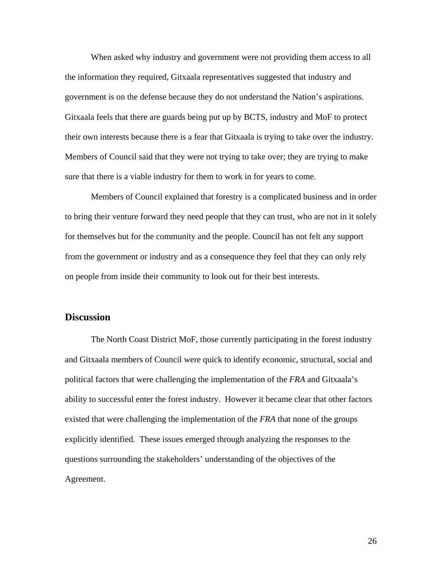<span id="page-32-0"></span>When asked why industry and government were not providing them access to all the information they required, Gitxaala representatives suggested that industry and government is on the defense because they do not understand the Nation's aspirations. Gitxaala feels that there are guards being put up by BCTS, industry and MoF to protect their own interests because there is a fear that Gitxaala is trying to take over the industry. Members of Council said that they were not trying to take over; they are trying to make sure that there is a viable industry for them to work in for years to come.

Members of Council explained that forestry is a complicated business and in order to bring their venture forward they need people that they can trust, who are not in it solely for themselves but for the community and the people. Council has not felt any support from the government or industry and as a consequence they feel that they can only rely on people from inside their community to look out for their best interests.

## **Discussion**

The North Coast District MoF, those currently participating in the forest industry and Gitxaala members of Council were quick to identify economic, structural, social and political factors that were challenging the implementation of the *FRA* and Gitxaala's ability to successful enter the forest industry. However it became clear that other factors existed that were challenging the implementation of the *FRA* that none of the groups explicitly identified. These issues emerged through analyzing the responses to the questions surrounding the stakeholders' understanding of the objectives of the Agreement.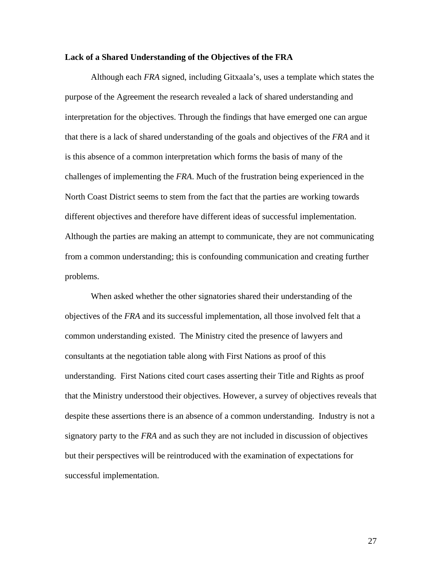#### **Lack of a Shared Understanding of the Objectives of the FRA**

Although each *FRA* signed, including Gitxaala's, uses a template which states the purpose of the Agreement the research revealed a lack of shared understanding and interpretation for the objectives. Through the findings that have emerged one can argue that there is a lack of shared understanding of the goals and objectives of the *FRA* and it is this absence of a common interpretation which forms the basis of many of the challenges of implementing the *FRA*. Much of the frustration being experienced in the North Coast District seems to stem from the fact that the parties are working towards different objectives and therefore have different ideas of successful implementation. Although the parties are making an attempt to communicate, they are not communicating from a common understanding; this is confounding communication and creating further problems.

When asked whether the other signatories shared their understanding of the objectives of the *FRA* and its successful implementation, all those involved felt that a common understanding existed. The Ministry cited the presence of lawyers and consultants at the negotiation table along with First Nations as proof of this understanding. First Nations cited court cases asserting their Title and Rights as proof that the Ministry understood their objectives. However, a survey of objectives reveals that despite these assertions there is an absence of a common understanding. Industry is not a signatory party to the *FRA* and as such they are not included in discussion of objectives but their perspectives will be reintroduced with the examination of expectations for successful implementation.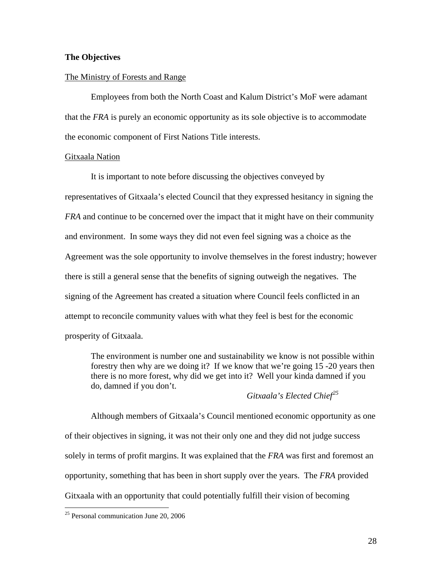### **The Objectives**

#### The Ministry of Forests and Range

Employees from both the North Coast and Kalum District's MoF were adamant that the *FRA* is purely an economic opportunity as its sole objective is to accommodate the economic component of First Nations Title interests.

#### Gitxaala Nation

It is important to note before discussing the objectives conveyed by representatives of Gitxaala's elected Council that they expressed hesitancy in signing the *FRA* and continue to be concerned over the impact that it might have on their community and environment. In some ways they did not even feel signing was a choice as the Agreement was the sole opportunity to involve themselves in the forest industry; however there is still a general sense that the benefits of signing outweigh the negatives. The signing of the Agreement has created a situation where Council feels conflicted in an attempt to reconcile community values with what they feel is best for the economic prosperity of Gitxaala.

 The environment is number one and sustainability we know is not possible within forestry then why are we doing it? If we know that we're going 15 -20 years then there is no more forest, why did we get into it? Well your kinda damned if you do, damned if you don't.

## *Gitxaala's Elected Chief[25](#page-34-0)*

Although members of Gitxaala's Council mentioned economic opportunity as one of their objectives in signing, it was not their only one and they did not judge success solely in terms of profit margins. It was explained that the *FRA* was first and foremost an opportunity, something that has been in short supply over the years. The *FRA* provided Gitxaala with an opportunity that could potentially fulfill their vision of becoming

<span id="page-34-0"></span> $25$  Personal communication June 20, 2006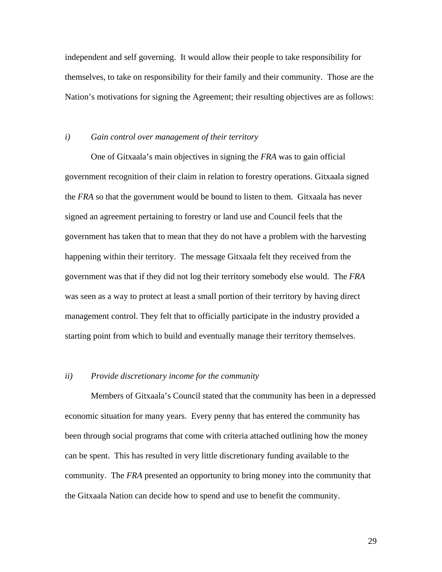independent and self governing. It would allow their people to take responsibility for themselves, to take on responsibility for their family and their community. Those are the Nation's motivations for signing the Agreement; their resulting objectives are as follows:

#### *i) Gain control over management of their territory*

One of Gitxaala's main objectives in signing the *FRA* was to gain official government recognition of their claim in relation to forestry operations. Gitxaala signed the *FRA* so that the government would be bound to listen to them. Gitxaala has never signed an agreement pertaining to forestry or land use and Council feels that the government has taken that to mean that they do not have a problem with the harvesting happening within their territory. The message Gitxaala felt they received from the government was that if they did not log their territory somebody else would. The *FRA* was seen as a way to protect at least a small portion of their territory by having direct management control. They felt that to officially participate in the industry provided a starting point from which to build and eventually manage their territory themselves.

## *ii) Provide discretionary income for the community*

Members of Gitxaala's Council stated that the community has been in a depressed economic situation for many years. Every penny that has entered the community has been through social programs that come with criteria attached outlining how the money can be spent. This has resulted in very little discretionary funding available to the community. The *FRA* presented an opportunity to bring money into the community that the Gitxaala Nation can decide how to spend and use to benefit the community.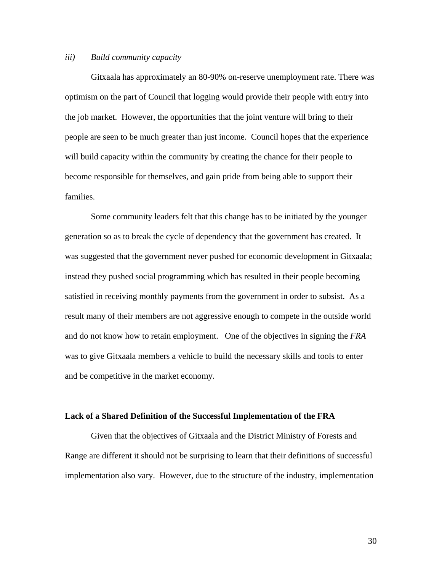#### *iii) Build community capacity*

Gitxaala has approximately an 80-90% on-reserve unemployment rate. There was optimism on the part of Council that logging would provide their people with entry into the job market. However, the opportunities that the joint venture will bring to their people are seen to be much greater than just income. Council hopes that the experience will build capacity within the community by creating the chance for their people to become responsible for themselves, and gain pride from being able to support their families.

Some community leaders felt that this change has to be initiated by the younger generation so as to break the cycle of dependency that the government has created. It was suggested that the government never pushed for economic development in Gitxaala; instead they pushed social programming which has resulted in their people becoming satisfied in receiving monthly payments from the government in order to subsist. As a result many of their members are not aggressive enough to compete in the outside world and do not know how to retain employment. One of the objectives in signing the *FRA* was to give Gitxaala members a vehicle to build the necessary skills and tools to enter and be competitive in the market economy.

#### **Lack of a Shared Definition of the Successful Implementation of the FRA**

Given that the objectives of Gitxaala and the District Ministry of Forests and Range are different it should not be surprising to learn that their definitions of successful implementation also vary. However, due to the structure of the industry, implementation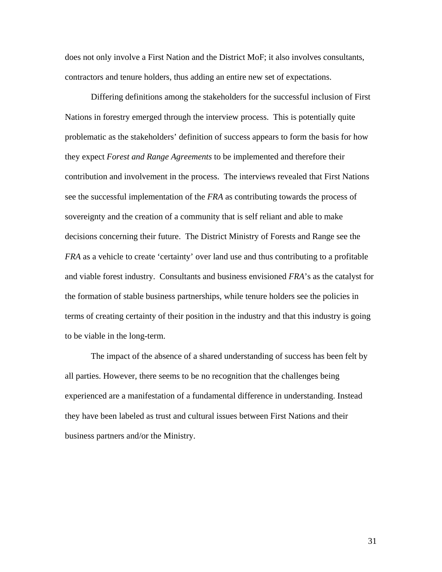does not only involve a First Nation and the District MoF; it also involves consultants, contractors and tenure holders, thus adding an entire new set of expectations.

Differing definitions among the stakeholders for the successful inclusion of First Nations in forestry emerged through the interview process. This is potentially quite problematic as the stakeholders' definition of success appears to form the basis for how they expect *Forest and Range Agreements* to be implemented and therefore their contribution and involvement in the process. The interviews revealed that First Nations see the successful implementation of the *FRA* as contributing towards the process of sovereignty and the creation of a community that is self reliant and able to make decisions concerning their future. The District Ministry of Forests and Range see the *FRA* as a vehicle to create 'certainty' over land use and thus contributing to a profitable and viable forest industry. Consultants and business envisioned *FRA*'s as the catalyst for the formation of stable business partnerships, while tenure holders see the policies in terms of creating certainty of their position in the industry and that this industry is going to be viable in the long-term.

The impact of the absence of a shared understanding of success has been felt by all parties. However, there seems to be no recognition that the challenges being experienced are a manifestation of a fundamental difference in understanding. Instead they have been labeled as trust and cultural issues between First Nations and their business partners and/or the Ministry.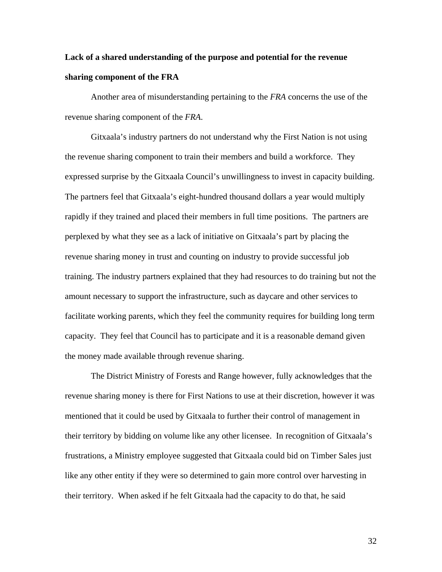# **Lack of a shared understanding of the purpose and potential for the revenue sharing component of the FRA**

 Another area of misunderstanding pertaining to the *FRA* concerns the use of the revenue sharing component of the *FRA*.

Gitxaala's industry partners do not understand why the First Nation is not using the revenue sharing component to train their members and build a workforce. They expressed surprise by the Gitxaala Council's unwillingness to invest in capacity building. The partners feel that Gitxaala's eight-hundred thousand dollars a year would multiply rapidly if they trained and placed their members in full time positions. The partners are perplexed by what they see as a lack of initiative on Gitxaala's part by placing the revenue sharing money in trust and counting on industry to provide successful job training. The industry partners explained that they had resources to do training but not the amount necessary to support the infrastructure, such as daycare and other services to facilitate working parents, which they feel the community requires for building long term capacity. They feel that Council has to participate and it is a reasonable demand given the money made available through revenue sharing.

The District Ministry of Forests and Range however, fully acknowledges that the revenue sharing money is there for First Nations to use at their discretion, however it was mentioned that it could be used by Gitxaala to further their control of management in their territory by bidding on volume like any other licensee. In recognition of Gitxaala's frustrations, a Ministry employee suggested that Gitxaala could bid on Timber Sales just like any other entity if they were so determined to gain more control over harvesting in their territory. When asked if he felt Gitxaala had the capacity to do that, he said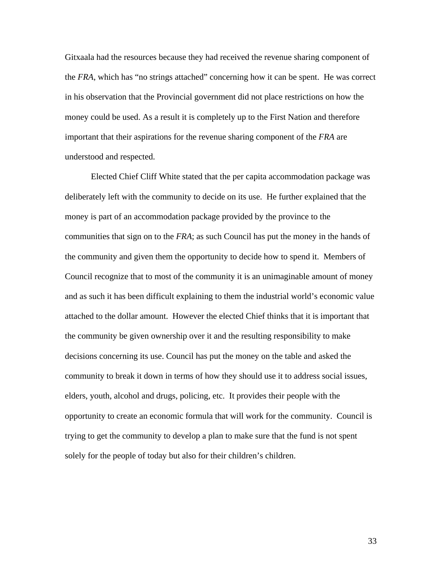Gitxaala had the resources because they had received the revenue sharing component of the *FRA*, which has "no strings attached" concerning how it can be spent. He was correct in his observation that the Provincial government did not place restrictions on how the money could be used. As a result it is completely up to the First Nation and therefore important that their aspirations for the revenue sharing component of the *FRA* are understood and respected.

Elected Chief Cliff White stated that the per capita accommodation package was deliberately left with the community to decide on its use. He further explained that the money is part of an accommodation package provided by the province to the communities that sign on to the *FRA*; as such Council has put the money in the hands of the community and given them the opportunity to decide how to spend it. Members of Council recognize that to most of the community it is an unimaginable amount of money and as such it has been difficult explaining to them the industrial world's economic value attached to the dollar amount. However the elected Chief thinks that it is important that the community be given ownership over it and the resulting responsibility to make decisions concerning its use. Council has put the money on the table and asked the community to break it down in terms of how they should use it to address social issues, elders, youth, alcohol and drugs, policing, etc. It provides their people with the opportunity to create an economic formula that will work for the community. Council is trying to get the community to develop a plan to make sure that the fund is not spent solely for the people of today but also for their children's children.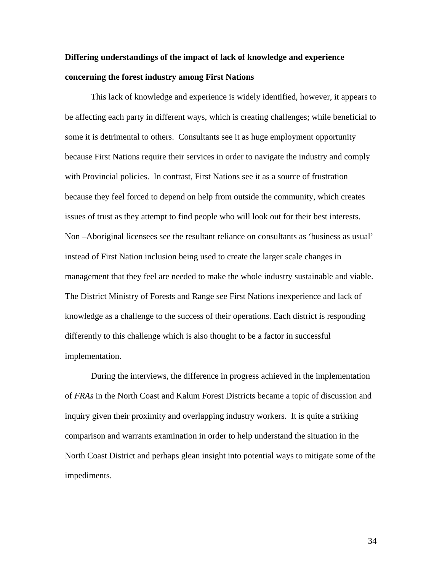# **Differing understandings of the impact of lack of knowledge and experience concerning the forest industry among First Nations**

This lack of knowledge and experience is widely identified, however, it appears to be affecting each party in different ways, which is creating challenges; while beneficial to some it is detrimental to others. Consultants see it as huge employment opportunity because First Nations require their services in order to navigate the industry and comply with Provincial policies. In contrast, First Nations see it as a source of frustration because they feel forced to depend on help from outside the community, which creates issues of trust as they attempt to find people who will look out for their best interests. Non –Aboriginal licensees see the resultant reliance on consultants as 'business as usual' instead of First Nation inclusion being used to create the larger scale changes in management that they feel are needed to make the whole industry sustainable and viable. The District Ministry of Forests and Range see First Nations inexperience and lack of knowledge as a challenge to the success of their operations. Each district is responding differently to this challenge which is also thought to be a factor in successful implementation.

During the interviews, the difference in progress achieved in the implementation of *FRAs* in the North Coast and Kalum Forest Districts became a topic of discussion and inquiry given their proximity and overlapping industry workers. It is quite a striking comparison and warrants examination in order to help understand the situation in the North Coast District and perhaps glean insight into potential ways to mitigate some of the impediments.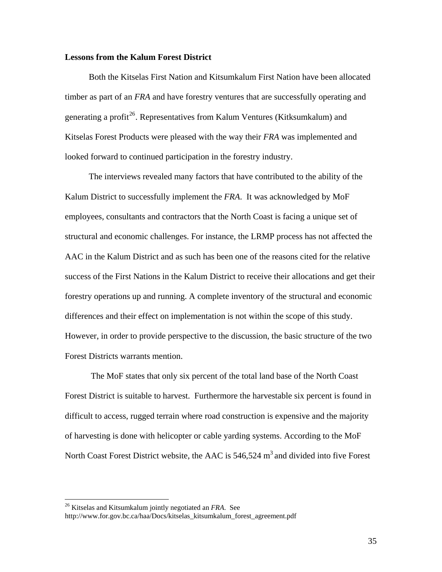#### **Lessons from the Kalum Forest District**

Both the Kitselas First Nation and Kitsumkalum First Nation have been allocated timber as part of an *FRA* and have forestry ventures that are successfully operating and generating a profit<sup>[26](#page-41-0)</sup>. Representatives from Kalum Ventures (Kitksumkalum) and Kitselas Forest Products were pleased with the way their *FRA* was implemented and looked forward to continued participation in the forestry industry.

The interviews revealed many factors that have contributed to the ability of the Kalum District to successfully implement the *FRA*. It was acknowledged by MoF employees, consultants and contractors that the North Coast is facing a unique set of structural and economic challenges. For instance, the LRMP process has not affected the AAC in the Kalum District and as such has been one of the reasons cited for the relative success of the First Nations in the Kalum District to receive their allocations and get their forestry operations up and running. A complete inventory of the structural and economic differences and their effect on implementation is not within the scope of this study. However, in order to provide perspective to the discussion, the basic structure of the two Forest Districts warrants mention.

The MoF states that only six percent of the total land base of the North Coast Forest District is suitable to harvest. Furthermore the harvestable six percent is found in difficult to access, rugged terrain where road construction is expensive and the majority of harvesting is done with helicopter or cable yarding systems. According to the MoF North Coast Forest District website, the AAC is  $546,524 \text{ m}^3$  and divided into five Forest

<span id="page-41-0"></span><sup>26</sup> Kitselas and Kitsumkalum jointly negotiated an *FRA*. See

http://www.for.gov.bc.ca/haa/Docs/kitselas\_kitsumkalum\_forest\_agreement.pdf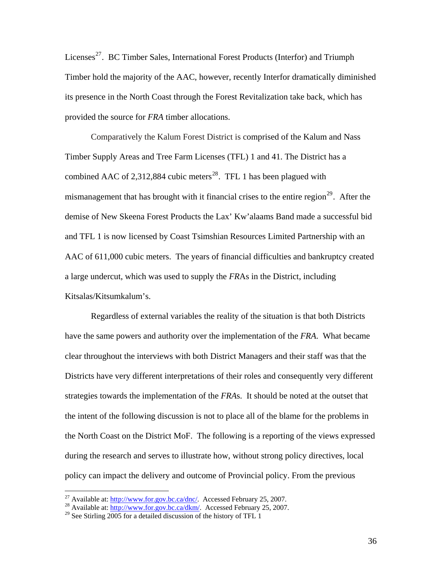Licenses<sup>[27](#page-42-0)</sup>. BC Timber Sales, International Forest Products (Interfor) and Triumph Timber hold the majority of the AAC, however, recently Interfor dramatically diminished its presence in the North Coast through the Forest Revitalization take back, which has provided the source for *FRA* timber allocations.

Comparatively the Kalum Forest District is comprised of the Kalum and Nass Timber Supply Areas and Tree Farm Licenses (TFL) 1 and 41. The District has a combined AAC of 2,312,884 cubic meters<sup>[28](#page-42-1)</sup>. TFL 1 has been plagued with mismanagement that has brought with it financial crises to the entire region<sup>[29](#page-42-2)</sup>. After the demise of New Skeena Forest Products the Lax' Kw'alaams Band made a successful bid and TFL 1 is now licensed by Coast Tsimshian Resources Limited Partnership with an AAC of 611,000 cubic meters. The years of financial difficulties and bankruptcy created a large undercut, which was used to supply the *FR*As in the District, including Kitsalas/Kitsumkalum's.

Regardless of external variables the reality of the situation is that both Districts have the same powers and authority over the implementation of the *FRA*. What became clear throughout the interviews with both District Managers and their staff was that the Districts have very different interpretations of their roles and consequently very different strategies towards the implementation of the *FRA*s. It should be noted at the outset that the intent of the following discussion is not to place all of the blame for the problems in the North Coast on the District MoF. The following is a reporting of the views expressed during the research and serves to illustrate how, without strong policy directives, local policy can impact the delivery and outcome of Provincial policy. From the previous

<span id="page-42-1"></span><span id="page-42-0"></span><sup>&</sup>lt;sup>27</sup>Available at:  $\frac{http://www.for.gov.bc.ca/dnc/}{28}$  Available at:  $\frac{http://www.for.gov.bc.ca/dkn/}{28}$ . Accessed February 25, 2007.

<span id="page-42-2"></span><sup>&</sup>lt;sup>29</sup> See Stirling 2005 for a detailed discussion of the history of TFL 1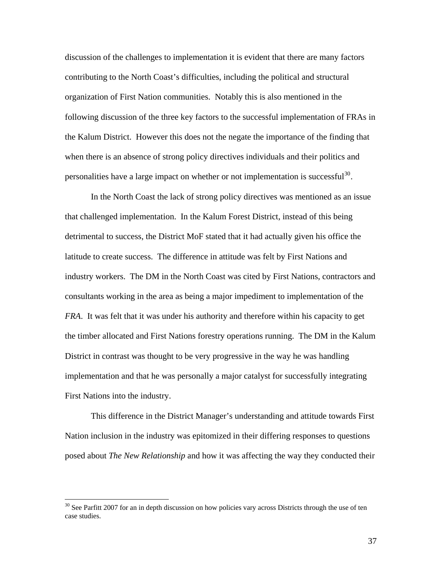discussion of the challenges to implementation it is evident that there are many factors contributing to the North Coast's difficulties, including the political and structural organization of First Nation communities. Notably this is also mentioned in the following discussion of the three key factors to the successful implementation of FRAs in the Kalum District. However this does not the negate the importance of the finding that when there is an absence of strong policy directives individuals and their politics and personalities have a large impact on whether or not implementation is successful<sup>[30](#page-43-0)</sup>.

In the North Coast the lack of strong policy directives was mentioned as an issue that challenged implementation. In the Kalum Forest District, instead of this being detrimental to success, the District MoF stated that it had actually given his office the latitude to create success. The difference in attitude was felt by First Nations and industry workers. The DM in the North Coast was cited by First Nations, contractors and consultants working in the area as being a major impediment to implementation of the *FRA*. It was felt that it was under his authority and therefore within his capacity to get the timber allocated and First Nations forestry operations running. The DM in the Kalum District in contrast was thought to be very progressive in the way he was handling implementation and that he was personally a major catalyst for successfully integrating First Nations into the industry.

This difference in the District Manager's understanding and attitude towards First Nation inclusion in the industry was epitomized in their differing responses to questions posed about *The New Relationship* and how it was affecting the way they conducted their

<span id="page-43-0"></span> $30$  See Parfitt 2007 for an in depth discussion on how policies vary across Districts through the use of ten case studies.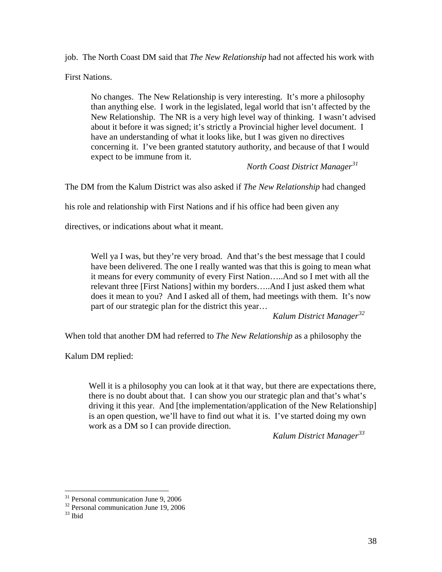job. The North Coast DM said that *The New Relationship* had not affected his work with

First Nations.

No changes. The New Relationship is very interesting. It's more a philosophy than anything else. I work in the legislated, legal world that isn't affected by the New Relationship. The NR is a very high level way of thinking. I wasn't advised about it before it was signed; it's strictly a Provincial higher level document. I have an understanding of what it looks like, but I was given no directives concerning it. I've been granted statutory authority, and because of that I would expect to be immune from it.

*North Coast District Manager[31](#page-44-0)*

The DM from the Kalum District was also asked if *The New Relationship* had changed

his role and relationship with First Nations and if his office had been given any

directives, or indications about what it meant.

Well ya I was, but they're very broad. And that's the best message that I could have been delivered. The one I really wanted was that this is going to mean what it means for every community of every First Nation…..And so I met with all the relevant three [First Nations] within my borders…..And I just asked them what does it mean to you? And I asked all of them, had meetings with them. It's now part of our strategic plan for the district this year…

*Kalum District Manager[32](#page-44-1)*

When told that another DM had referred to *The New Relationship* as a philosophy the

Kalum DM replied:

Well it is a philosophy you can look at it that way, but there are expectations there, there is no doubt about that. I can show you our strategic plan and that's what's driving it this year. And [the implementation/application of the New Relationship] is an open question, we'll have to find out what it is. I've started doing my own work as a DM so I can provide direction.

*Kalum District Manager[33](#page-44-2)*

<sup>&</sup>lt;sup>31</sup> Personal communication June 9, 2006

<span id="page-44-1"></span><span id="page-44-0"></span><sup>&</sup>lt;sup>32</sup> Personal communication June 19, 2006

<span id="page-44-2"></span><sup>33</sup> Ibid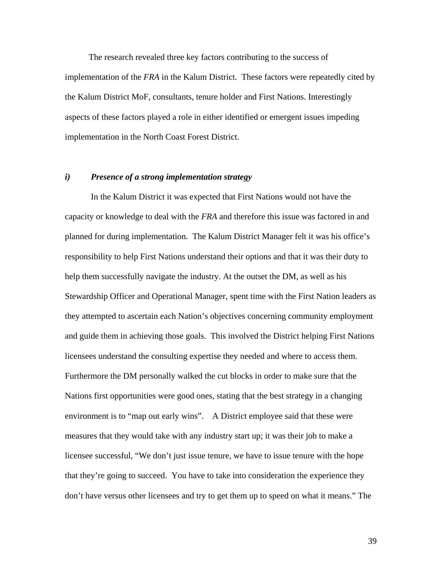The research revealed three key factors contributing to the success of implementation of the *FRA* in the Kalum District. These factors were repeatedly cited by the Kalum District MoF, consultants, tenure holder and First Nations. Interestingly aspects of these factors played a role in either identified or emergent issues impeding implementation in the North Coast Forest District.

#### *i) Presence of a strong implementation strategy*

In the Kalum District it was expected that First Nations would not have the capacity or knowledge to deal with the *FRA* and therefore this issue was factored in and planned for during implementation. The Kalum District Manager felt it was his office's responsibility to help First Nations understand their options and that it was their duty to help them successfully navigate the industry. At the outset the DM, as well as his Stewardship Officer and Operational Manager, spent time with the First Nation leaders as they attempted to ascertain each Nation's objectives concerning community employment and guide them in achieving those goals. This involved the District helping First Nations licensees understand the consulting expertise they needed and where to access them. Furthermore the DM personally walked the cut blocks in order to make sure that the Nations first opportunities were good ones, stating that the best strategy in a changing environment is to "map out early wins". A District employee said that these were measures that they would take with any industry start up; it was their job to make a licensee successful, "We don't just issue tenure, we have to issue tenure with the hope that they're going to succeed. You have to take into consideration the experience they don't have versus other licensees and try to get them up to speed on what it means." The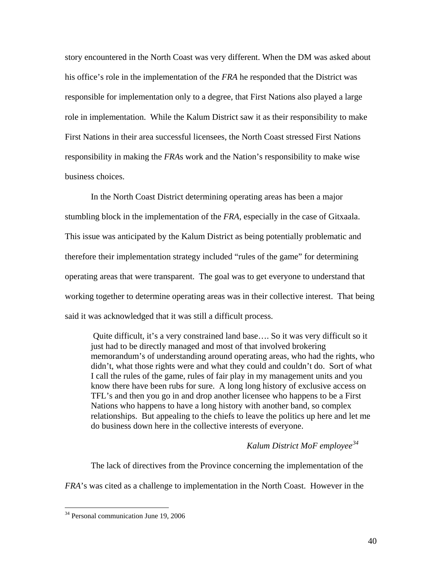story encountered in the North Coast was very different. When the DM was asked about his office's role in the implementation of the *FRA* he responded that the District was responsible for implementation only to a degree, that First Nations also played a large role in implementation. While the Kalum District saw it as their responsibility to make First Nations in their area successful licensees, the North Coast stressed First Nations responsibility in making the *FRA*s work and the Nation's responsibility to make wise business choices.

In the North Coast District determining operating areas has been a major stumbling block in the implementation of the *FRA*, especially in the case of Gitxaala. This issue was anticipated by the Kalum District as being potentially problematic and therefore their implementation strategy included "rules of the game" for determining operating areas that were transparent. The goal was to get everyone to understand that working together to determine operating areas was in their collective interest. That being said it was acknowledged that it was still a difficult process.

Quite difficult, it's a very constrained land base…. So it was very difficult so it just had to be directly managed and most of that involved brokering memorandum's of understanding around operating areas, who had the rights, who didn't, what those rights were and what they could and couldn't do. Sort of what I call the rules of the game, rules of fair play in my management units and you know there have been rubs for sure. A long long history of exclusive access on TFL's and then you go in and drop another licensee who happens to be a First Nations who happens to have a long history with another band, so complex relationships. But appealing to the chiefs to leave the politics up here and let me do business down here in the collective interests of everyone.

## *Kalum District MoF employee[34](#page-46-0)*

The lack of directives from the Province concerning the implementation of the *FRA*'s was cited as a challenge to implementation in the North Coast. However in the

<span id="page-46-0"></span><sup>&</sup>lt;sup>34</sup> Personal communication June 19, 2006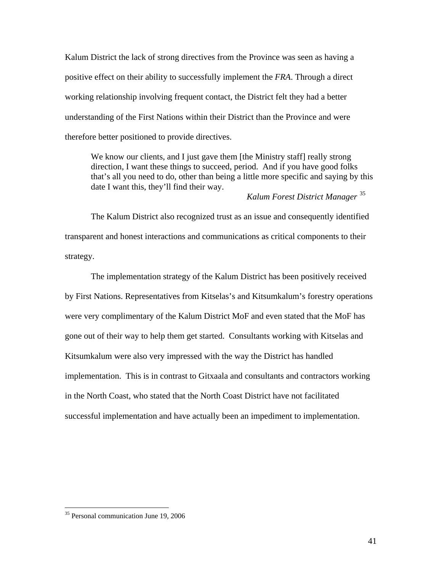Kalum District the lack of strong directives from the Province was seen as having a positive effect on their ability to successfully implement the *FRA*. Through a direct working relationship involving frequent contact, the District felt they had a better understanding of the First Nations within their District than the Province and were therefore better positioned to provide directives.

We know our clients, and I just gave them [the Ministry staff] really strong direction, I want these things to succeed, period. And if you have good folks that's all you need to do, other than being a little more specific and saying by this date I want this, they'll find their way.

*Kalum Forest District Manager* [35](#page-47-0)

The Kalum District also recognized trust as an issue and consequently identified transparent and honest interactions and communications as critical components to their strategy.

The implementation strategy of the Kalum District has been positively received by First Nations. Representatives from Kitselas's and Kitsumkalum's forestry operations were very complimentary of the Kalum District MoF and even stated that the MoF has gone out of their way to help them get started. Consultants working with Kitselas and Kitsumkalum were also very impressed with the way the District has handled implementation. This is in contrast to Gitxaala and consultants and contractors working in the North Coast, who stated that the North Coast District have not facilitated successful implementation and have actually been an impediment to implementation.

<u>.</u>

<span id="page-47-0"></span><sup>&</sup>lt;sup>35</sup> Personal communication June 19, 2006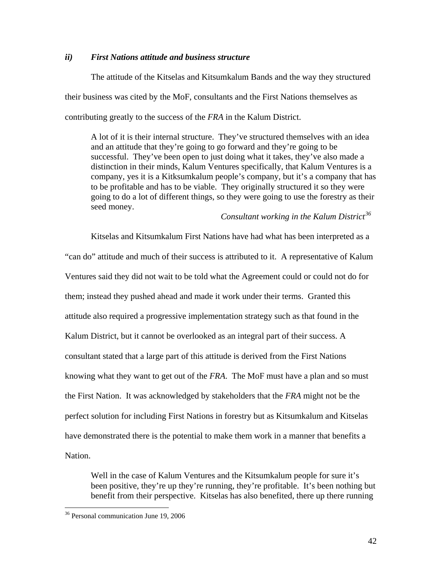#### *ii) First Nations attitude and business structure*

The attitude of the Kitselas and Kitsumkalum Bands and the way they structured their business was cited by the MoF, consultants and the First Nations themselves as contributing greatly to the success of the *FRA* in the Kalum District.

 A lot of it is their internal structure. They've structured themselves with an idea and an attitude that they're going to go forward and they're going to be successful. They've been open to just doing what it takes, they've also made a distinction in their minds, Kalum Ventures specifically, that Kalum Ventures is a company, yes it is a Kitksumkalum people's company, but it's a company that has to be profitable and has to be viable. They originally structured it so they were going to do a lot of different things, so they were going to use the forestry as their seed money.

*Consultant working in the Kalum District[36](#page-48-0)*

Kitselas and Kitsumkalum First Nations have had what has been interpreted as a "can do" attitude and much of their success is attributed to it. A representative of Kalum Ventures said they did not wait to be told what the Agreement could or could not do for them; instead they pushed ahead and made it work under their terms. Granted this attitude also required a progressive implementation strategy such as that found in the Kalum District, but it cannot be overlooked as an integral part of their success. A consultant stated that a large part of this attitude is derived from the First Nations knowing what they want to get out of the *FRA*. The MoF must have a plan and so must the First Nation. It was acknowledged by stakeholders that the *FRA* might not be the perfect solution for including First Nations in forestry but as Kitsumkalum and Kitselas have demonstrated there is the potential to make them work in a manner that benefits a Nation.

 Well in the case of Kalum Ventures and the Kitsumkalum people for sure it's been positive, they're up they're running, they're profitable. It's been nothing but benefit from their perspective. Kitselas has also benefited, there up there running

<u>.</u>

<span id="page-48-0"></span><sup>36</sup> Personal communication June 19, 2006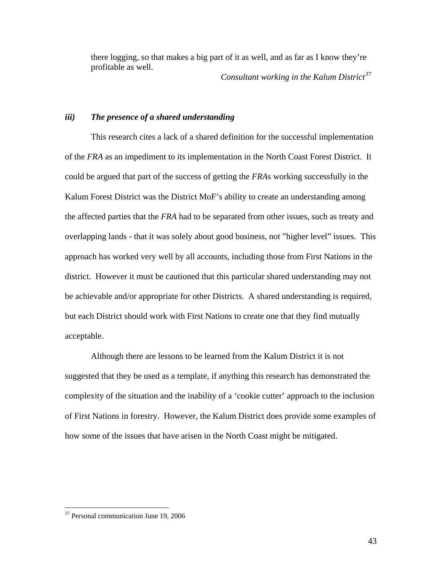there logging, so that makes a big part of it as well, and as far as I know they're profitable as well.

*Consultant working in the Kalum District[37](#page-49-0)*

#### *iii) The presence of a shared understanding*

This research cites a lack of a shared definition for the successful implementation of the *FRA* as an impediment to its implementation in the North Coast Forest District. It could be argued that part of the success of getting the *FRA*s working successfully in the Kalum Forest District was the District MoF's ability to create an understanding among the affected parties that the *FRA* had to be separated from other issues, such as treaty and overlapping lands - that it was solely about good business, not "higher level" issues. This approach has worked very well by all accounts, including those from First Nations in the district. However it must be cautioned that this particular shared understanding may not be achievable and/or appropriate for other Districts. A shared understanding is required, but each District should work with First Nations to create one that they find mutually acceptable.

Although there are lessons to be learned from the Kalum District it is not suggested that they be used as a template, if anything this research has demonstrated the complexity of the situation and the inability of a 'cookie cutter' approach to the inclusion of First Nations in forestry. However, the Kalum District does provide some examples of how some of the issues that have arisen in the North Coast might be mitigated.

<span id="page-49-0"></span><sup>37</sup> Personal communication June 19, 2006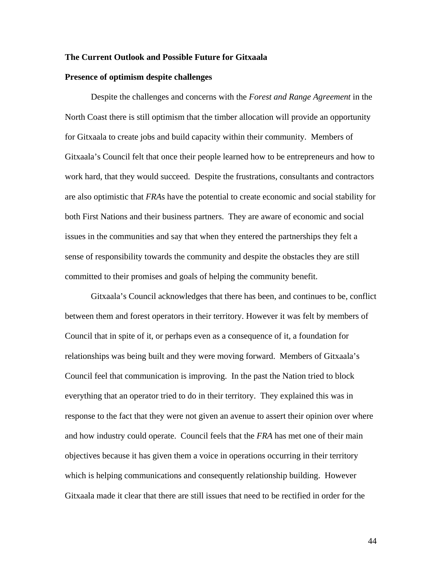#### **The Current Outlook and Possible Future for Gitxaala**

#### **Presence of optimism despite challenges**

Despite the challenges and concerns with the *Forest and Range Agreement* in the North Coast there is still optimism that the timber allocation will provide an opportunity for Gitxaala to create jobs and build capacity within their community. Members of Gitxaala's Council felt that once their people learned how to be entrepreneurs and how to work hard, that they would succeed. Despite the frustrations, consultants and contractors are also optimistic that *FRA*s have the potential to create economic and social stability for both First Nations and their business partners. They are aware of economic and social issues in the communities and say that when they entered the partnerships they felt a sense of responsibility towards the community and despite the obstacles they are still committed to their promises and goals of helping the community benefit.

Gitxaala's Council acknowledges that there has been, and continues to be, conflict between them and forest operators in their territory. However it was felt by members of Council that in spite of it, or perhaps even as a consequence of it, a foundation for relationships was being built and they were moving forward. Members of Gitxaala's Council feel that communication is improving. In the past the Nation tried to block everything that an operator tried to do in their territory. They explained this was in response to the fact that they were not given an avenue to assert their opinion over where and how industry could operate. Council feels that the *FRA* has met one of their main objectives because it has given them a voice in operations occurring in their territory which is helping communications and consequently relationship building. However Gitxaala made it clear that there are still issues that need to be rectified in order for the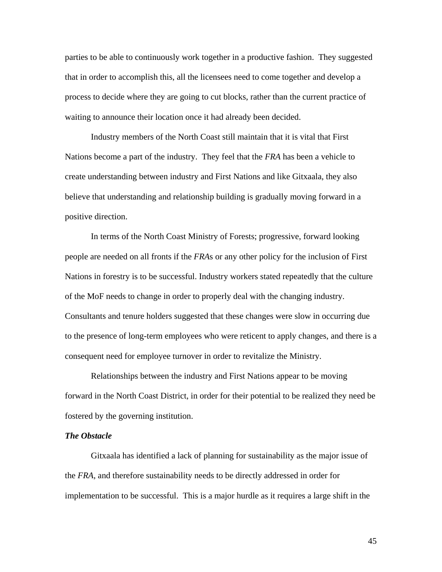parties to be able to continuously work together in a productive fashion. They suggested that in order to accomplish this, all the licensees need to come together and develop a process to decide where they are going to cut blocks, rather than the current practice of waiting to announce their location once it had already been decided.

Industry members of the North Coast still maintain that it is vital that First Nations become a part of the industry. They feel that the *FRA* has been a vehicle to create understanding between industry and First Nations and like Gitxaala, they also believe that understanding and relationship building is gradually moving forward in a positive direction.

In terms of the North Coast Ministry of Forests; progressive, forward looking people are needed on all fronts if the *FRA*s or any other policy for the inclusion of First Nations in forestry is to be successful. Industry workers stated repeatedly that the culture of the MoF needs to change in order to properly deal with the changing industry. Consultants and tenure holders suggested that these changes were slow in occurring due to the presence of long-term employees who were reticent to apply changes, and there is a consequent need for employee turnover in order to revitalize the Ministry.

Relationships between the industry and First Nations appear to be moving forward in the North Coast District, in order for their potential to be realized they need be fostered by the governing institution.

#### *The Obstacle*

Gitxaala has identified a lack of planning for sustainability as the major issue of the *FRA*, and therefore sustainability needs to be directly addressed in order for implementation to be successful. This is a major hurdle as it requires a large shift in the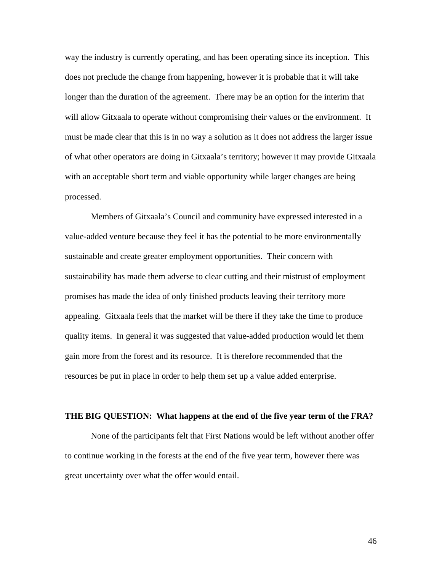way the industry is currently operating, and has been operating since its inception. This does not preclude the change from happening, however it is probable that it will take longer than the duration of the agreement. There may be an option for the interim that will allow Gitxaala to operate without compromising their values or the environment. It must be made clear that this is in no way a solution as it does not address the larger issue of what other operators are doing in Gitxaala's territory; however it may provide Gitxaala with an acceptable short term and viable opportunity while larger changes are being processed.

Members of Gitxaala's Council and community have expressed interested in a value-added venture because they feel it has the potential to be more environmentally sustainable and create greater employment opportunities. Their concern with sustainability has made them adverse to clear cutting and their mistrust of employment promises has made the idea of only finished products leaving their territory more appealing. Gitxaala feels that the market will be there if they take the time to produce quality items. In general it was suggested that value-added production would let them gain more from the forest and its resource. It is therefore recommended that the resources be put in place in order to help them set up a value added enterprise.

#### **THE BIG QUESTION: What happens at the end of the five year term of the FRA?**

None of the participants felt that First Nations would be left without another offer to continue working in the forests at the end of the five year term, however there was great uncertainty over what the offer would entail.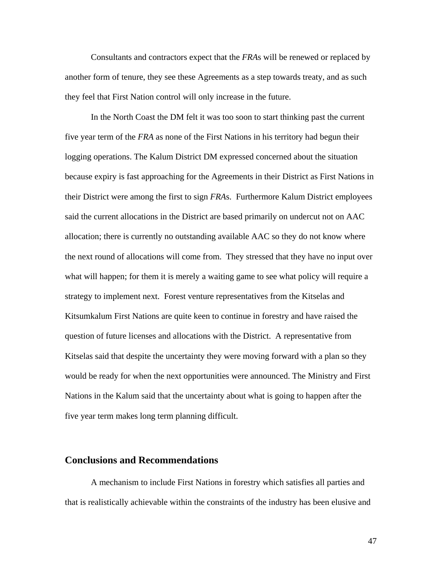Consultants and contractors expect that the *FRA*s will be renewed or replaced by another form of tenure, they see these Agreements as a step towards treaty, and as such they feel that First Nation control will only increase in the future.

In the North Coast the DM felt it was too soon to start thinking past the current five year term of the *FRA* as none of the First Nations in his territory had begun their logging operations. The Kalum District DM expressed concerned about the situation because expiry is fast approaching for the Agreements in their District as First Nations in their District were among the first to sign *FRA*s. Furthermore Kalum District employees said the current allocations in the District are based primarily on undercut not on AAC allocation; there is currently no outstanding available AAC so they do not know where the next round of allocations will come from. They stressed that they have no input over what will happen; for them it is merely a waiting game to see what policy will require a strategy to implement next. Forest venture representatives from the Kitselas and Kitsumkalum First Nations are quite keen to continue in forestry and have raised the question of future licenses and allocations with the District. A representative from Kitselas said that despite the uncertainty they were moving forward with a plan so they would be ready for when the next opportunities were announced. The Ministry and First Nations in the Kalum said that the uncertainty about what is going to happen after the five year term makes long term planning difficult.

#### **Conclusions and Recommendations**

A mechanism to include First Nations in forestry which satisfies all parties and that is realistically achievable within the constraints of the industry has been elusive and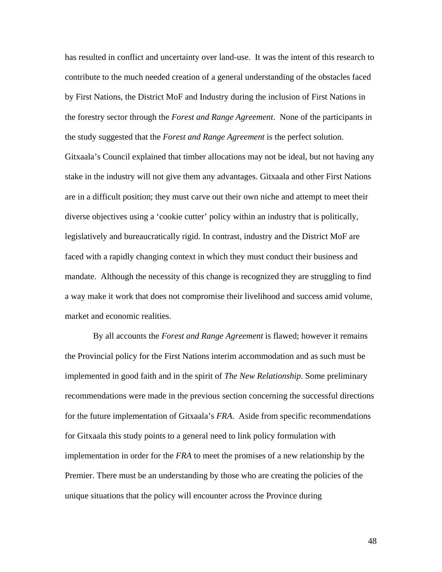has resulted in conflict and uncertainty over land-use. It was the intent of this research to contribute to the much needed creation of a general understanding of the obstacles faced by First Nations, the District MoF and Industry during the inclusion of First Nations in the forestry sector through the *Forest and Range Agreement*. None of the participants in the study suggested that the *Forest and Range Agreement* is the perfect solution.

Gitxaala's Council explained that timber allocations may not be ideal, but not having any stake in the industry will not give them any advantages. Gitxaala and other First Nations are in a difficult position; they must carve out their own niche and attempt to meet their diverse objectives using a 'cookie cutter' policy within an industry that is politically, legislatively and bureaucratically rigid. In contrast, industry and the District MoF are faced with a rapidly changing context in which they must conduct their business and mandate. Although the necessity of this change is recognized they are struggling to find a way make it work that does not compromise their livelihood and success amid volume, market and economic realities.

 By all accounts the *Forest and Range Agreement* is flawed; however it remains the Provincial policy for the First Nations interim accommodation and as such must be implemented in good faith and in the spirit of *The New Relationship*. Some preliminary recommendations were made in the previous section concerning the successful directions for the future implementation of Gitxaala's *FRA*. Aside from specific recommendations for Gitxaala this study points to a general need to link policy formulation with implementation in order for the *FRA* to meet the promises of a new relationship by the Premier. There must be an understanding by those who are creating the policies of the unique situations that the policy will encounter across the Province during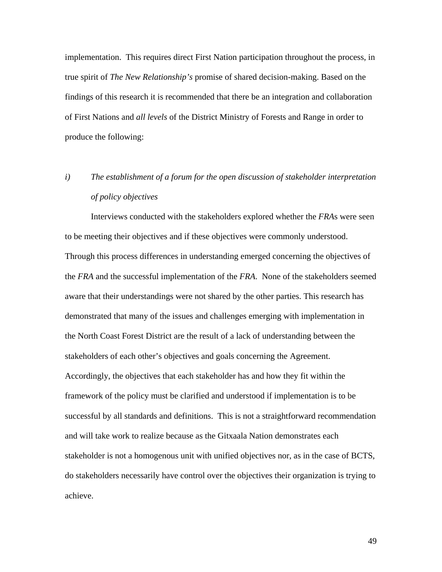implementation. This requires direct First Nation participation throughout the process, in true spirit of *The New Relationship's* promise of shared decision-making. Based on the findings of this research it is recommended that there be an integration and collaboration of First Nations and *all levels* of the District Ministry of Forests and Range in order to produce the following:

# *i) The establishment of a forum for the open discussion of stakeholder interpretation of policy objectives*

Interviews conducted with the stakeholders explored whether the *FRA*s were seen to be meeting their objectives and if these objectives were commonly understood. Through this process differences in understanding emerged concerning the objectives of the *FRA* and the successful implementation of the *FRA*. None of the stakeholders seemed aware that their understandings were not shared by the other parties. This research has demonstrated that many of the issues and challenges emerging with implementation in the North Coast Forest District are the result of a lack of understanding between the stakeholders of each other's objectives and goals concerning the Agreement. Accordingly, the objectives that each stakeholder has and how they fit within the framework of the policy must be clarified and understood if implementation is to be successful by all standards and definitions. This is not a straightforward recommendation and will take work to realize because as the Gitxaala Nation demonstrates each stakeholder is not a homogenous unit with unified objectives nor, as in the case of BCTS, do stakeholders necessarily have control over the objectives their organization is trying to achieve.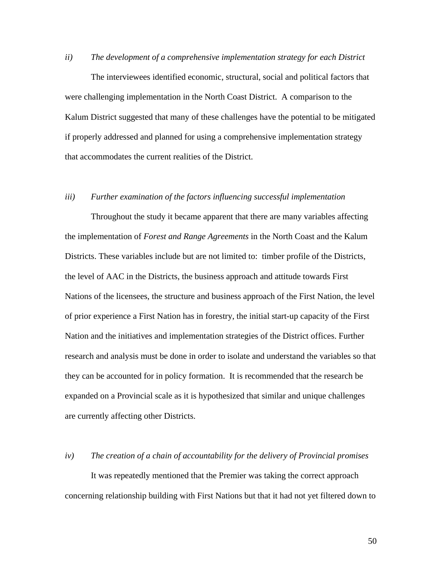#### *ii) The development of a comprehensive implementation strategy for each District*

The interviewees identified economic, structural, social and political factors that were challenging implementation in the North Coast District. A comparison to the Kalum District suggested that many of these challenges have the potential to be mitigated if properly addressed and planned for using a comprehensive implementation strategy that accommodates the current realities of the District.

#### *iii) Further examination of the factors influencing successful implementation*

Throughout the study it became apparent that there are many variables affecting the implementation of *Forest and Range Agreements* in the North Coast and the Kalum Districts. These variables include but are not limited to: timber profile of the Districts, the level of AAC in the Districts, the business approach and attitude towards First Nations of the licensees, the structure and business approach of the First Nation, the level of prior experience a First Nation has in forestry, the initial start-up capacity of the First Nation and the initiatives and implementation strategies of the District offices. Further research and analysis must be done in order to isolate and understand the variables so that they can be accounted for in policy formation. It is recommended that the research be expanded on a Provincial scale as it is hypothesized that similar and unique challenges are currently affecting other Districts.

#### *iv) The creation of a chain of accountability for the delivery of Provincial promises*

It was repeatedly mentioned that the Premier was taking the correct approach concerning relationship building with First Nations but that it had not yet filtered down to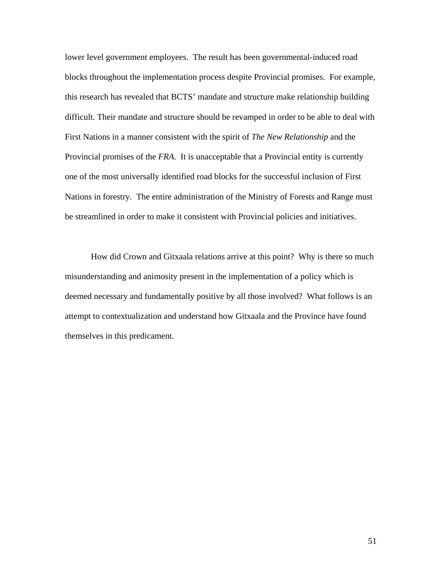lower level government employees. The result has been governmental-induced road blocks throughout the implementation process despite Provincial promises. For example, this research has revealed that BCTS' mandate and structure make relationship building difficult. Their mandate and structure should be revamped in order to be able to deal with First Nations in a manner consistent with the spirit of *The New Relationship* and the Provincial promises of the *FRA*. It is unacceptable that a Provincial entity is currently one of the most universally identified road blocks for the successful inclusion of First Nations in forestry. The entire administration of the Ministry of Forests and Range must be streamlined in order to make it consistent with Provincial policies and initiatives.

How did Crown and Gitxaala relations arrive at this point? Why is there so much misunderstanding and animosity present in the implementation of a policy which is deemed necessary and fundamentally positive by all those involved? What follows is an attempt to contextualization and understand how Gitxaala and the Province have found themselves in this predicament.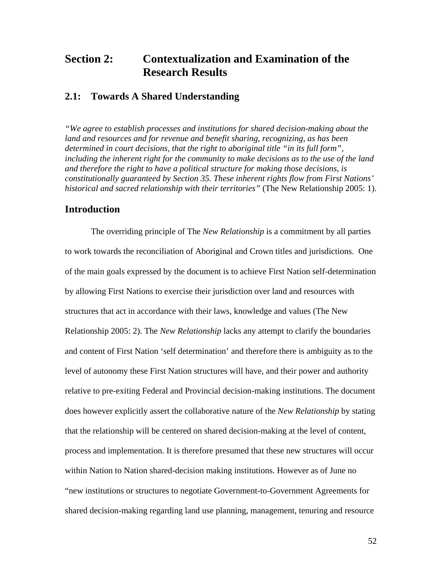## **Section 2: Contextualization and Examination of the Research Results**

## **2.1: Towards A Shared Understanding**

*"We agree to establish processes and institutions for shared decision-making about the land and resources and for revenue and benefit sharing, recognizing, as has been determined in court decisions, that the right to aboriginal title "in its full form", including the inherent right for the community to make decisions as to the use of the land and therefore the right to have a political structure for making those decisions, is constitutionally guaranteed by Section 35. These inherent rights flow from First Nations' historical and sacred relationship with their territories"* (The New Relationship 2005: 1).

#### **Introduction**

The overriding principle of The *New Relationship* is a commitment by all parties to work towards the reconciliation of Aboriginal and Crown titles and jurisdictions. One of the main goals expressed by the document is to achieve First Nation self-determination by allowing First Nations to exercise their jurisdiction over land and resources with structures that act in accordance with their laws, knowledge and values (The New Relationship 2005: 2). The *New Relationship* lacks any attempt to clarify the boundaries and content of First Nation 'self determination' and therefore there is ambiguity as to the level of autonomy these First Nation structures will have, and their power and authority relative to pre-exiting Federal and Provincial decision-making institutions. The document does however explicitly assert the collaborative nature of the *New Relationship* by stating that the relationship will be centered on shared decision-making at the level of content, process and implementation. It is therefore presumed that these new structures will occur within Nation to Nation shared-decision making institutions. However as of June no "new institutions or structures to negotiate Government-to-Government Agreements for shared decision-making regarding land use planning, management, tenuring and resource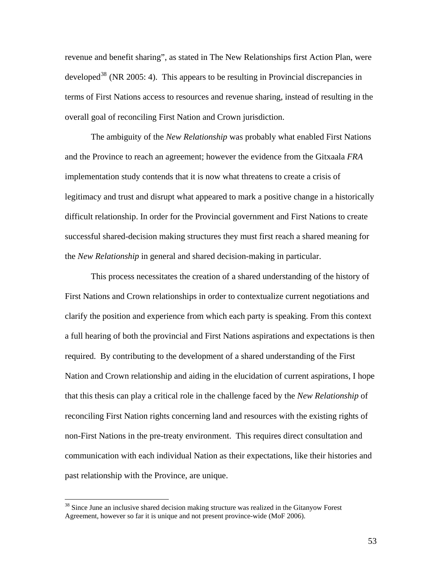revenue and benefit sharing", as stated in The New Relationships first Action Plan, were developed<sup>[38](#page-59-0)</sup> (NR 2005: 4). This appears to be resulting in Provincial discrepancies in terms of First Nations access to resources and revenue sharing, instead of resulting in the overall goal of reconciling First Nation and Crown jurisdiction.

The ambiguity of the *New Relationship* was probably what enabled First Nations and the Province to reach an agreement; however the evidence from the Gitxaala *FRA* implementation study contends that it is now what threatens to create a crisis of legitimacy and trust and disrupt what appeared to mark a positive change in a historically difficult relationship. In order for the Provincial government and First Nations to create successful shared-decision making structures they must first reach a shared meaning for the *New Relationship* in general and shared decision-making in particular.

This process necessitates the creation of a shared understanding of the history of First Nations and Crown relationships in order to contextualize current negotiations and clarify the position and experience from which each party is speaking. From this context a full hearing of both the provincial and First Nations aspirations and expectations is then required. By contributing to the development of a shared understanding of the First Nation and Crown relationship and aiding in the elucidation of current aspirations, I hope that this thesis can play a critical role in the challenge faced by the *New Relationship* of reconciling First Nation rights concerning land and resources with the existing rights of non-First Nations in the pre-treaty environment. This requires direct consultation and communication with each individual Nation as their expectations, like their histories and past relationship with the Province, are unique.

<span id="page-59-0"></span><sup>&</sup>lt;sup>38</sup> Since June an inclusive shared decision making structure was realized in the Gitanyow Forest Agreement, however so far it is unique and not present province-wide (MoF 2006).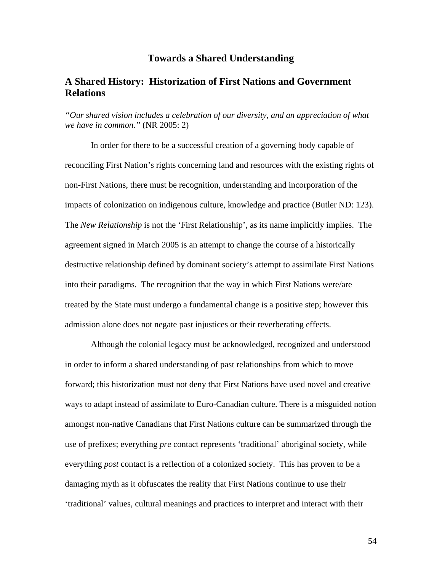### **Towards a Shared Understanding**

## **A Shared History: Historization of First Nations and Government Relations**

*"Our shared vision includes a celebration of our diversity, and an appreciation of what we have in common."* (NR 2005: 2)

In order for there to be a successful creation of a governing body capable of reconciling First Nation's rights concerning land and resources with the existing rights of non-First Nations, there must be recognition, understanding and incorporation of the impacts of colonization on indigenous culture, knowledge and practice (Butler ND: 123). The *New Relationship* is not the 'First Relationship', as its name implicitly implies. The agreement signed in March 2005 is an attempt to change the course of a historically destructive relationship defined by dominant society's attempt to assimilate First Nations into their paradigms. The recognition that the way in which First Nations were/are treated by the State must undergo a fundamental change is a positive step; however this admission alone does not negate past injustices or their reverberating effects.

Although the colonial legacy must be acknowledged, recognized and understood in order to inform a shared understanding of past relationships from which to move forward; this historization must not deny that First Nations have used novel and creative ways to adapt instead of assimilate to Euro-Canadian culture. There is a misguided notion amongst non-native Canadians that First Nations culture can be summarized through the use of prefixes; everything *pre* contact represents 'traditional' aboriginal society, while everything *post* contact is a reflection of a colonized society. This has proven to be a damaging myth as it obfuscates the reality that First Nations continue to use their 'traditional' values, cultural meanings and practices to interpret and interact with their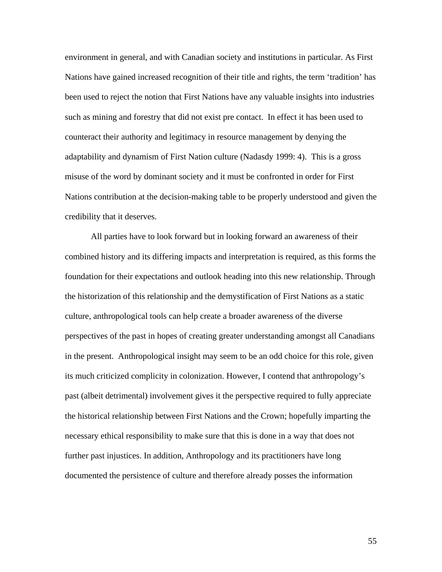environment in general, and with Canadian society and institutions in particular. As First Nations have gained increased recognition of their title and rights, the term 'tradition' has been used to reject the notion that First Nations have any valuable insights into industries such as mining and forestry that did not exist pre contact. In effect it has been used to counteract their authority and legitimacy in resource management by denying the adaptability and dynamism of First Nation culture (Nadasdy 1999: 4). This is a gross misuse of the word by dominant society and it must be confronted in order for First Nations contribution at the decision-making table to be properly understood and given the credibility that it deserves.

All parties have to look forward but in looking forward an awareness of their combined history and its differing impacts and interpretation is required, as this forms the foundation for their expectations and outlook heading into this new relationship. Through the historization of this relationship and the demystification of First Nations as a static culture, anthropological tools can help create a broader awareness of the diverse perspectives of the past in hopes of creating greater understanding amongst all Canadians in the present. Anthropological insight may seem to be an odd choice for this role, given its much criticized complicity in colonization. However, I contend that anthropology's past (albeit detrimental) involvement gives it the perspective required to fully appreciate the historical relationship between First Nations and the Crown; hopefully imparting the necessary ethical responsibility to make sure that this is done in a way that does not further past injustices. In addition, Anthropology and its practitioners have long documented the persistence of culture and therefore already posses the information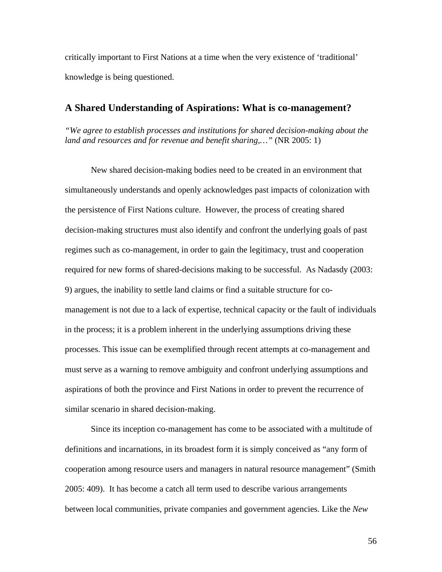critically important to First Nations at a time when the very existence of 'traditional' knowledge is being questioned.

## **A Shared Understanding of Aspirations: What is co-management?**

*"We agree to establish processes and institutions for shared decision-making about the land and resources and for revenue and benefit sharing,…"* (NR 2005: 1)

New shared decision-making bodies need to be created in an environment that simultaneously understands and openly acknowledges past impacts of colonization with the persistence of First Nations culture. However, the process of creating shared decision-making structures must also identify and confront the underlying goals of past regimes such as co-management, in order to gain the legitimacy, trust and cooperation required for new forms of shared-decisions making to be successful. As Nadasdy (2003: 9) argues, the inability to settle land claims or find a suitable structure for comanagement is not due to a lack of expertise, technical capacity or the fault of individuals in the process; it is a problem inherent in the underlying assumptions driving these processes. This issue can be exemplified through recent attempts at co-management and must serve as a warning to remove ambiguity and confront underlying assumptions and aspirations of both the province and First Nations in order to prevent the recurrence of similar scenario in shared decision-making.

Since its inception co-management has come to be associated with a multitude of definitions and incarnations, in its broadest form it is simply conceived as "any form of cooperation among resource users and managers in natural resource management" (Smith 2005: 409). It has become a catch all term used to describe various arrangements between local communities, private companies and government agencies. Like the *New*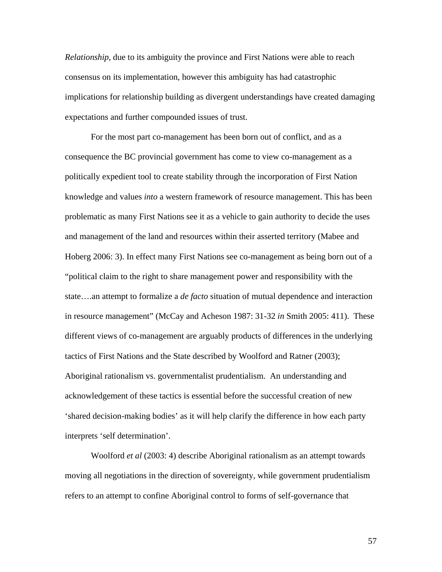*Relationship*, due to its ambiguity the province and First Nations were able to reach consensus on its implementation, however this ambiguity has had catastrophic implications for relationship building as divergent understandings have created damaging expectations and further compounded issues of trust.

For the most part co-management has been born out of conflict, and as a consequence the BC provincial government has come to view co-management as a politically expedient tool to create stability through the incorporation of First Nation knowledge and values *into* a western framework of resource management. This has been problematic as many First Nations see it as a vehicle to gain authority to decide the uses and management of the land and resources within their asserted territory (Mabee and Hoberg 2006: 3). In effect many First Nations see co-management as being born out of a "political claim to the right to share management power and responsibility with the state….an attempt to formalize a *de facto* situation of mutual dependence and interaction in resource management" (McCay and Acheson 1987: 31-32 *in* Smith 2005: 411). These different views of co-management are arguably products of differences in the underlying tactics of First Nations and the State described by Woolford and Ratner (2003); Aboriginal rationalism vs. governmentalist prudentialism. An understanding and acknowledgement of these tactics is essential before the successful creation of new 'shared decision-making bodies' as it will help clarify the difference in how each party interprets 'self determination'.

Woolford *et al* (2003: 4) describe Aboriginal rationalism as an attempt towards moving all negotiations in the direction of sovereignty, while government prudentialism refers to an attempt to confine Aboriginal control to forms of self-governance that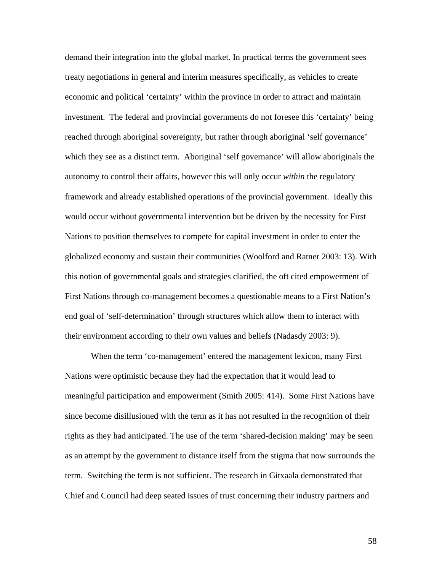demand their integration into the global market. In practical terms the government sees treaty negotiations in general and interim measures specifically, as vehicles to create economic and political 'certainty' within the province in order to attract and maintain investment. The federal and provincial governments do not foresee this 'certainty' being reached through aboriginal sovereignty, but rather through aboriginal 'self governance' which they see as a distinct term. Aboriginal 'self governance' will allow aboriginals the autonomy to control their affairs, however this will only occur *within* the regulatory framework and already established operations of the provincial government. Ideally this would occur without governmental intervention but be driven by the necessity for First Nations to position themselves to compete for capital investment in order to enter the globalized economy and sustain their communities (Woolford and Ratner 2003: 13). With this notion of governmental goals and strategies clarified, the oft cited empowerment of First Nations through co-management becomes a questionable means to a First Nation's end goal of 'self-determination' through structures which allow them to interact with their environment according to their own values and beliefs (Nadasdy 2003: 9).

When the term 'co-management' entered the management lexicon, many First Nations were optimistic because they had the expectation that it would lead to meaningful participation and empowerment (Smith 2005: 414). Some First Nations have since become disillusioned with the term as it has not resulted in the recognition of their rights as they had anticipated. The use of the term 'shared-decision making' may be seen as an attempt by the government to distance itself from the stigma that now surrounds the term. Switching the term is not sufficient. The research in Gitxaala demonstrated that Chief and Council had deep seated issues of trust concerning their industry partners and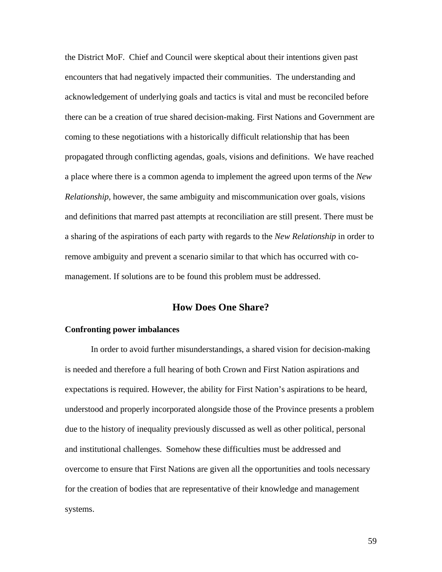the District MoF. Chief and Council were skeptical about their intentions given past encounters that had negatively impacted their communities. The understanding and acknowledgement of underlying goals and tactics is vital and must be reconciled before there can be a creation of true shared decision-making. First Nations and Government are coming to these negotiations with a historically difficult relationship that has been propagated through conflicting agendas, goals, visions and definitions. We have reached a place where there is a common agenda to implement the agreed upon terms of the *New Relationship*, however, the same ambiguity and miscommunication over goals, visions and definitions that marred past attempts at reconciliation are still present. There must be a sharing of the aspirations of each party with regards to the *New Relationship* in order to remove ambiguity and prevent a scenario similar to that which has occurred with comanagement. If solutions are to be found this problem must be addressed.

## **How Does One Share?**

#### **Confronting power imbalances**

In order to avoid further misunderstandings, a shared vision for decision-making is needed and therefore a full hearing of both Crown and First Nation aspirations and expectations is required. However, the ability for First Nation's aspirations to be heard, understood and properly incorporated alongside those of the Province presents a problem due to the history of inequality previously discussed as well as other political, personal and institutional challenges. Somehow these difficulties must be addressed and overcome to ensure that First Nations are given all the opportunities and tools necessary for the creation of bodies that are representative of their knowledge and management systems.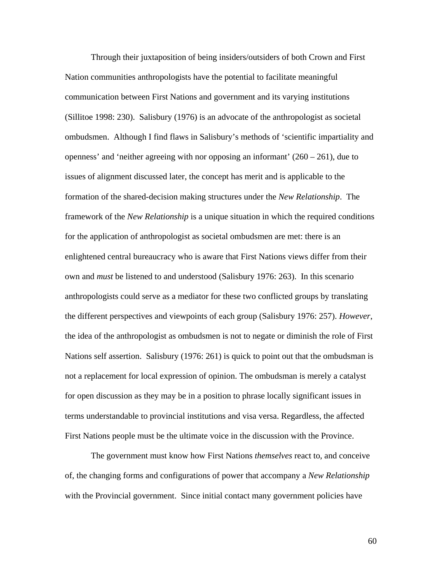Through their juxtaposition of being insiders/outsiders of both Crown and First Nation communities anthropologists have the potential to facilitate meaningful communication between First Nations and government and its varying institutions (Sillitoe 1998: 230). Salisbury (1976) is an advocate of the anthropologist as societal ombudsmen. Although I find flaws in Salisbury's methods of 'scientific impartiality and openness' and 'neither agreeing with nor opposing an informant'  $(260 - 261)$ , due to issues of alignment discussed later, the concept has merit and is applicable to the formation of the shared-decision making structures under the *New Relationship*. The framework of the *New Relationship* is a unique situation in which the required conditions for the application of anthropologist as societal ombudsmen are met: there is an enlightened central bureaucracy who is aware that First Nations views differ from their own and *must* be listened to and understood (Salisbury 1976: 263). In this scenario anthropologists could serve as a mediator for these two conflicted groups by translating the different perspectives and viewpoints of each group (Salisbury 1976: 257). *However*, the idea of the anthropologist as ombudsmen is not to negate or diminish the role of First Nations self assertion. Salisbury (1976: 261) is quick to point out that the ombudsman is not a replacement for local expression of opinion. The ombudsman is merely a catalyst for open discussion as they may be in a position to phrase locally significant issues in terms understandable to provincial institutions and visa versa. Regardless, the affected First Nations people must be the ultimate voice in the discussion with the Province.

The government must know how First Nations *themselves* react to, and conceive of, the changing forms and configurations of power that accompany a *New Relationship* with the Provincial government. Since initial contact many government policies have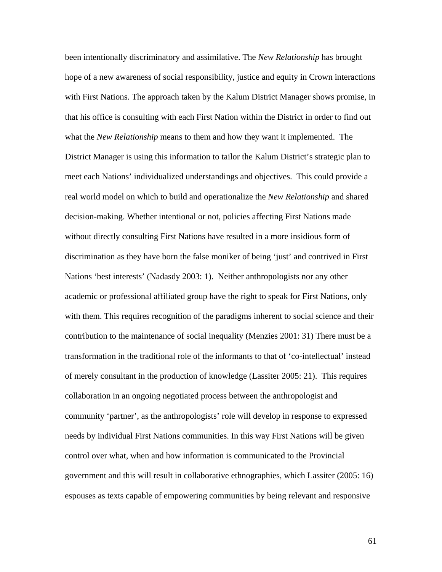been intentionally discriminatory and assimilative. The *New Relationship* has brought hope of a new awareness of social responsibility, justice and equity in Crown interactions with First Nations. The approach taken by the Kalum District Manager shows promise, in that his office is consulting with each First Nation within the District in order to find out what the *New Relationship* means to them and how they want it implemented. The District Manager is using this information to tailor the Kalum District's strategic plan to meet each Nations' individualized understandings and objectives. This could provide a real world model on which to build and operationalize the *New Relationship* and shared decision-making. Whether intentional or not, policies affecting First Nations made without directly consulting First Nations have resulted in a more insidious form of discrimination as they have born the false moniker of being 'just' and contrived in First Nations 'best interests' (Nadasdy 2003: 1). Neither anthropologists nor any other academic or professional affiliated group have the right to speak for First Nations, only with them. This requires recognition of the paradigms inherent to social science and their contribution to the maintenance of social inequality (Menzies 2001: 31) There must be a transformation in the traditional role of the informants to that of 'co-intellectual' instead of merely consultant in the production of knowledge (Lassiter 2005: 21). This requires collaboration in an ongoing negotiated process between the anthropologist and community 'partner', as the anthropologists' role will develop in response to expressed needs by individual First Nations communities. In this way First Nations will be given control over what, when and how information is communicated to the Provincial government and this will result in collaborative ethnographies, which Lassiter (2005: 16) espouses as texts capable of empowering communities by being relevant and responsive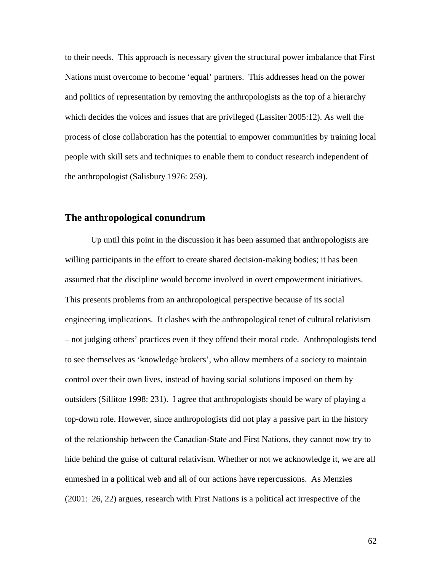to their needs. This approach is necessary given the structural power imbalance that First Nations must overcome to become 'equal' partners. This addresses head on the power and politics of representation by removing the anthropologists as the top of a hierarchy which decides the voices and issues that are privileged (Lassiter 2005:12). As well the process of close collaboration has the potential to empower communities by training local people with skill sets and techniques to enable them to conduct research independent of the anthropologist (Salisbury 1976: 259).

### **The anthropological conundrum**

Up until this point in the discussion it has been assumed that anthropologists are willing participants in the effort to create shared decision-making bodies; it has been assumed that the discipline would become involved in overt empowerment initiatives. This presents problems from an anthropological perspective because of its social engineering implications. It clashes with the anthropological tenet of cultural relativism – not judging others' practices even if they offend their moral code. Anthropologists tend to see themselves as 'knowledge brokers', who allow members of a society to maintain control over their own lives, instead of having social solutions imposed on them by outsiders (Sillitoe 1998: 231). I agree that anthropologists should be wary of playing a top-down role. However, since anthropologists did not play a passive part in the history of the relationship between the Canadian-State and First Nations, they cannot now try to hide behind the guise of cultural relativism. Whether or not we acknowledge it, we are all enmeshed in a political web and all of our actions have repercussions. As Menzies (2001: 26, 22) argues, research with First Nations is a political act irrespective of the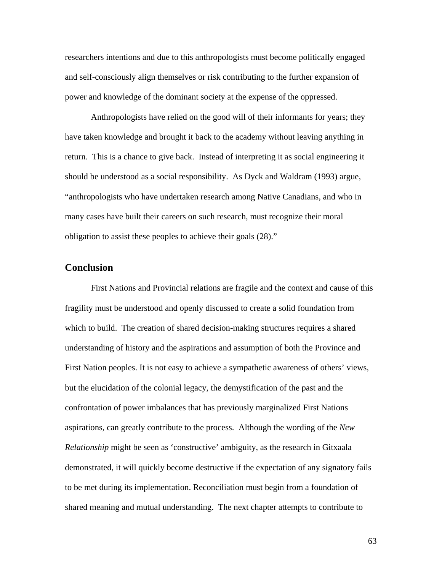researchers intentions and due to this anthropologists must become politically engaged and self-consciously align themselves or risk contributing to the further expansion of power and knowledge of the dominant society at the expense of the oppressed.

Anthropologists have relied on the good will of their informants for years; they have taken knowledge and brought it back to the academy without leaving anything in return. This is a chance to give back. Instead of interpreting it as social engineering it should be understood as a social responsibility. As Dyck and Waldram (1993) argue, "anthropologists who have undertaken research among Native Canadians, and who in many cases have built their careers on such research, must recognize their moral obligation to assist these peoples to achieve their goals (28)."

## **Conclusion**

First Nations and Provincial relations are fragile and the context and cause of this fragility must be understood and openly discussed to create a solid foundation from which to build. The creation of shared decision-making structures requires a shared understanding of history and the aspirations and assumption of both the Province and First Nation peoples. It is not easy to achieve a sympathetic awareness of others' views, but the elucidation of the colonial legacy, the demystification of the past and the confrontation of power imbalances that has previously marginalized First Nations aspirations, can greatly contribute to the process. Although the wording of the *New Relationship* might be seen as 'constructive' ambiguity, as the research in Gitxaala demonstrated, it will quickly become destructive if the expectation of any signatory fails to be met during its implementation. Reconciliation must begin from a foundation of shared meaning and mutual understanding. The next chapter attempts to contribute to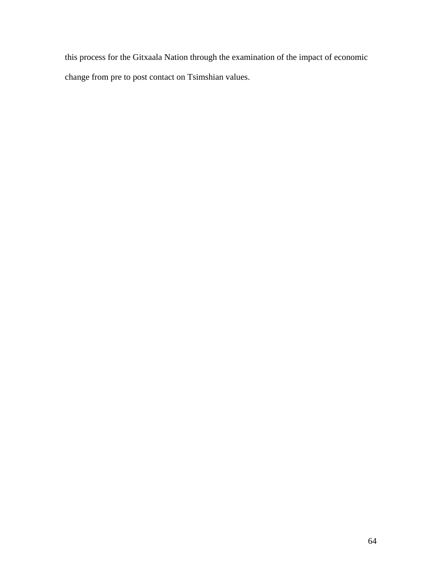this process for the Gitxaala Nation through the examination of the impact of economic change from pre to post contact on Tsimshian values.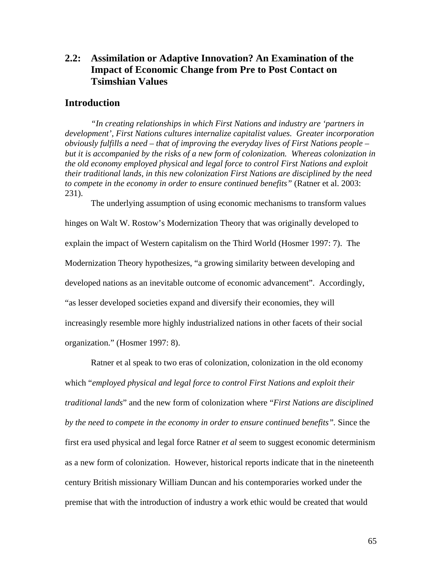## **2.2: Assimilation or Adaptive Innovation? An Examination of the Impact of Economic Change from Pre to Post Contact on Tsimshian Values**

### **Introduction**

*"In creating relationships in which First Nations and industry are 'partners in development', First Nations cultures internalize capitalist values. Greater incorporation obviously fulfills a need – that of improving the everyday lives of First Nations people – but it is accompanied by the risks of a new form of colonization. Whereas colonization in the old economy employed physical and legal force to control First Nations and exploit their traditional lands, in this new colonization First Nations are disciplined by the need to compete in the economy in order to ensure continued benefits"* (Ratner et al. 2003: 231).

The underlying assumption of using economic mechanisms to transform values hinges on Walt W. Rostow's Modernization Theory that was originally developed to explain the impact of Western capitalism on the Third World (Hosmer 1997: 7). The Modernization Theory hypothesizes, "a growing similarity between developing and developed nations as an inevitable outcome of economic advancement". Accordingly, "as lesser developed societies expand and diversify their economies, they will increasingly resemble more highly industrialized nations in other facets of their social organization." (Hosmer 1997: 8).

Ratner et al speak to two eras of colonization, colonization in the old economy which "*employed physical and legal force to control First Nations and exploit their traditional lands*" and the new form of colonization where "*First Nations are disciplined by the need to compete in the economy in order to ensure continued benefits".* Since the first era used physical and legal force Ratner *et al* seem to suggest economic determinism as a new form of colonization. However, historical reports indicate that in the nineteenth century British missionary William Duncan and his contemporaries worked under the premise that with the introduction of industry a work ethic would be created that would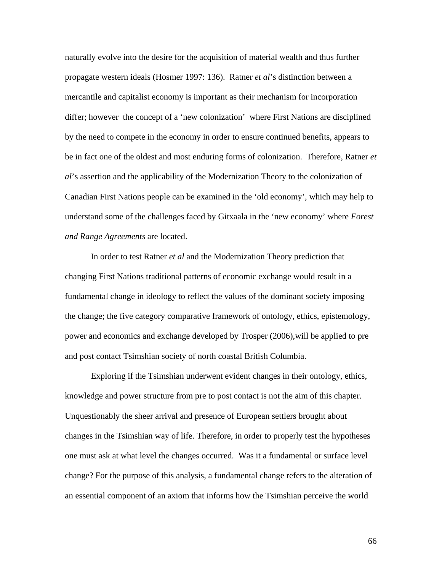naturally evolve into the desire for the acquisition of material wealth and thus further propagate western ideals (Hosmer 1997: 136). Ratner *et al*'s distinction between a mercantile and capitalist economy is important as their mechanism for incorporation differ; however the concept of a 'new colonization' where First Nations are disciplined by the need to compete in the economy in order to ensure continued benefits, appears to be in fact one of the oldest and most enduring forms of colonization. Therefore, Ratner *et al*'s assertion and the applicability of the Modernization Theory to the colonization of Canadian First Nations people can be examined in the 'old economy', which may help to understand some of the challenges faced by Gitxaala in the 'new economy' where *Forest and Range Agreements* are located.

In order to test Ratner *et al* and the Modernization Theory prediction that changing First Nations traditional patterns of economic exchange would result in a fundamental change in ideology to reflect the values of the dominant society imposing the change; the five category comparative framework of ontology, ethics, epistemology, power and economics and exchange developed by Trosper (2006),will be applied to pre and post contact Tsimshian society of north coastal British Columbia.

Exploring if the Tsimshian underwent evident changes in their ontology, ethics, knowledge and power structure from pre to post contact is not the aim of this chapter. Unquestionably the sheer arrival and presence of European settlers brought about changes in the Tsimshian way of life. Therefore, in order to properly test the hypotheses one must ask at what level the changes occurred. Was it a fundamental or surface level change? For the purpose of this analysis, a fundamental change refers to the alteration of an essential component of an axiom that informs how the Tsimshian perceive the world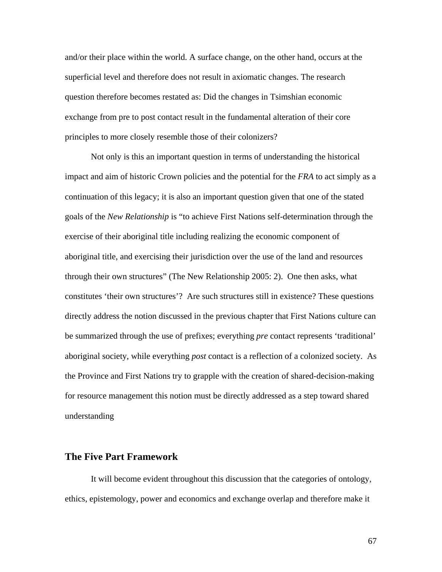and/or their place within the world. A surface change, on the other hand, occurs at the superficial level and therefore does not result in axiomatic changes. The research question therefore becomes restated as: Did the changes in Tsimshian economic exchange from pre to post contact result in the fundamental alteration of their core principles to more closely resemble those of their colonizers?

Not only is this an important question in terms of understanding the historical impact and aim of historic Crown policies and the potential for the *FRA* to act simply as a continuation of this legacy; it is also an important question given that one of the stated goals of the *New Relationship* is "to achieve First Nations self-determination through the exercise of their aboriginal title including realizing the economic component of aboriginal title, and exercising their jurisdiction over the use of the land and resources through their own structures" (The New Relationship 2005: 2). One then asks, what constitutes 'their own structures'? Are such structures still in existence? These questions directly address the notion discussed in the previous chapter that First Nations culture can be summarized through the use of prefixes; everything *pre* contact represents 'traditional' aboriginal society, while everything *post* contact is a reflection of a colonized society. As the Province and First Nations try to grapple with the creation of shared-decision-making for resource management this notion must be directly addressed as a step toward shared understanding

## **The Five Part Framework**

 It will become evident throughout this discussion that the categories of ontology, ethics, epistemology, power and economics and exchange overlap and therefore make it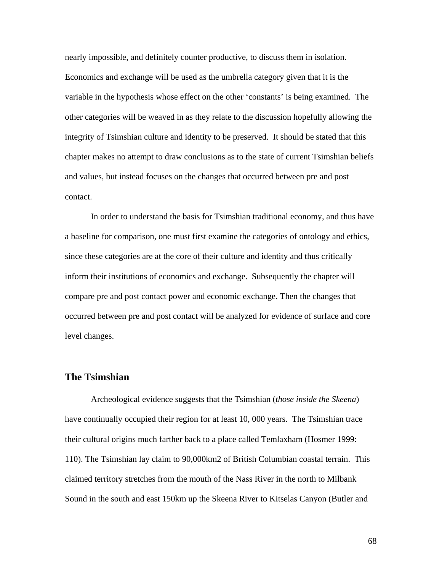nearly impossible, and definitely counter productive, to discuss them in isolation. Economics and exchange will be used as the umbrella category given that it is the variable in the hypothesis whose effect on the other 'constants' is being examined. The other categories will be weaved in as they relate to the discussion hopefully allowing the integrity of Tsimshian culture and identity to be preserved. It should be stated that this chapter makes no attempt to draw conclusions as to the state of current Tsimshian beliefs and values, but instead focuses on the changes that occurred between pre and post contact.

 In order to understand the basis for Tsimshian traditional economy, and thus have a baseline for comparison, one must first examine the categories of ontology and ethics, since these categories are at the core of their culture and identity and thus critically inform their institutions of economics and exchange. Subsequently the chapter will compare pre and post contact power and economic exchange. Then the changes that occurred between pre and post contact will be analyzed for evidence of surface and core level changes.

## **The Tsimshian**

Archeological evidence suggests that the Tsimshian (*those inside the Skeena*) have continually occupied their region for at least 10, 000 years. The Tsimshian trace their cultural origins much farther back to a place called Temlaxham (Hosmer 1999: 110). The Tsimshian lay claim to 90,000km2 of British Columbian coastal terrain. This claimed territory stretches from the mouth of the Nass River in the north to Milbank Sound in the south and east 150km up the Skeena River to Kitselas Canyon (Butler and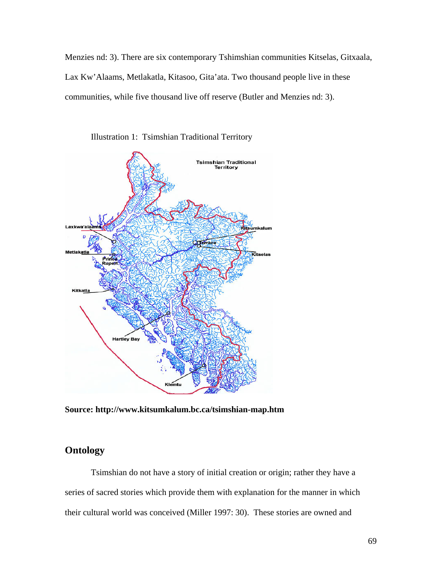Menzies nd: 3). There are six contemporary Tshimshian communities Kitselas, Gitxaala, Lax Kw'Alaams, Metlakatla, Kitasoo, Gita'ata. Two thousand people live in these communities, while five thousand live off reserve (Butler and Menzies nd: 3).



Illustration 1: Tsimshian Traditional Territory

**Source: http://www.kitsumkalum.bc.ca/tsimshian-map.htm** 

# **Ontology**

Tsimshian do not have a story of initial creation or origin; rather they have a series of sacred stories which provide them with explanation for the manner in which their cultural world was conceived (Miller 1997: 30). These stories are owned and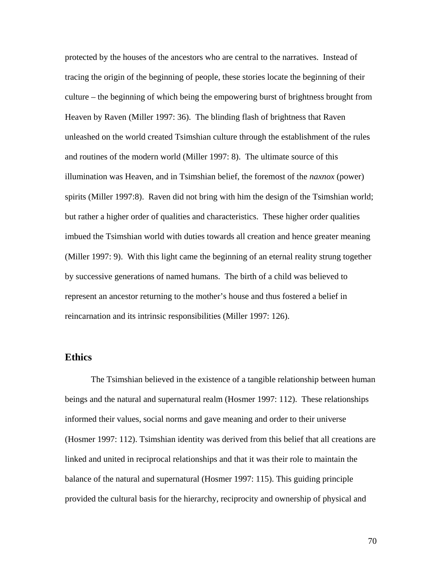protected by the houses of the ancestors who are central to the narratives. Instead of tracing the origin of the beginning of people, these stories locate the beginning of their culture – the beginning of which being the empowering burst of brightness brought from Heaven by Raven (Miller 1997: 36). The blinding flash of brightness that Raven unleashed on the world created Tsimshian culture through the establishment of the rules and routines of the modern world (Miller 1997: 8). The ultimate source of this illumination was Heaven, and in Tsimshian belief, the foremost of the *naxnox* (power) spirits (Miller 1997:8). Raven did not bring with him the design of the Tsimshian world; but rather a higher order of qualities and characteristics. These higher order qualities imbued the Tsimshian world with duties towards all creation and hence greater meaning (Miller 1997: 9). With this light came the beginning of an eternal reality strung together by successive generations of named humans. The birth of a child was believed to represent an ancestor returning to the mother's house and thus fostered a belief in reincarnation and its intrinsic responsibilities (Miller 1997: 126).

## **Ethics**

The Tsimshian believed in the existence of a tangible relationship between human beings and the natural and supernatural realm (Hosmer 1997: 112). These relationships informed their values, social norms and gave meaning and order to their universe (Hosmer 1997: 112). Tsimshian identity was derived from this belief that all creations are linked and united in reciprocal relationships and that it was their role to maintain the balance of the natural and supernatural (Hosmer 1997: 115). This guiding principle provided the cultural basis for the hierarchy, reciprocity and ownership of physical and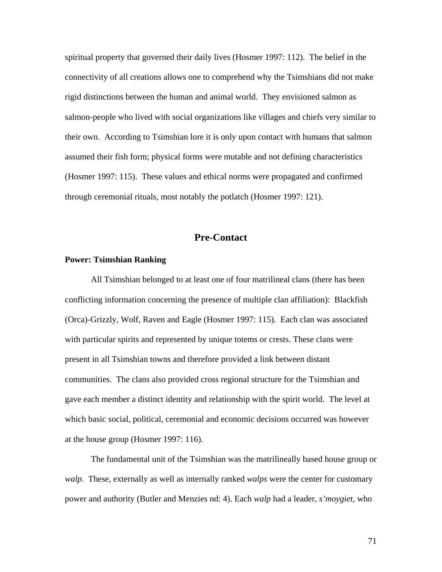spiritual property that governed their daily lives (Hosmer 1997: 112). The belief in the connectivity of all creations allows one to comprehend why the Tsimshians did not make rigid distinctions between the human and animal world. They envisioned salmon as salmon-people who lived with social organizations like villages and chiefs very similar to their own. According to Tsimshian lore it is only upon contact with humans that salmon assumed their fish form; physical forms were mutable and not defining characteristics (Hosmer 1997: 115). These values and ethical norms were propagated and confirmed through ceremonial rituals, most notably the potlatch (Hosmer 1997: 121).

## **Pre-Contact**

## **Power: Tsimshian Ranking**

All Tsimshian belonged to at least one of four matrilineal clans (there has been conflicting information concerning the presence of multiple clan affiliation): Blackfish (Orca)-Grizzly, Wolf, Raven and Eagle (Hosmer 1997: 115). Each clan was associated with particular spirits and represented by unique totems or crests. These clans were present in all Tsimshian towns and therefore provided a link between distant communities. The clans also provided cross regional structure for the Tsimshian and gave each member a distinct identity and relationship with the spirit world. The level at which basic social, political, ceremonial and economic decisions occurred was however at the house group (Hosmer 1997: 116).

The fundamental unit of the Tsimshian was the matrilineally based house group or *walp*. These, externally as well as internally ranked *walps* were the center for customary power and authority (Butler and Menzies nd: 4). Each *walp* had a leader, *s'moygiet*, who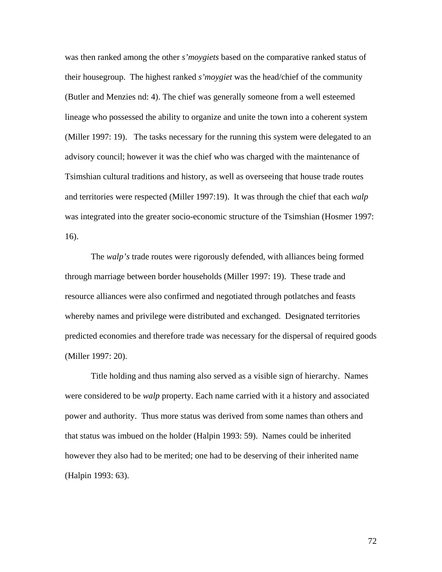was then ranked among the other *s'moygiets* based on the comparative ranked status of their housegroup. The highest ranked *s'moygiet* was the head/chief of the community (Butler and Menzies nd: 4). The chief was generally someone from a well esteemed lineage who possessed the ability to organize and unite the town into a coherent system (Miller 1997: 19). The tasks necessary for the running this system were delegated to an advisory council; however it was the chief who was charged with the maintenance of Tsimshian cultural traditions and history, as well as overseeing that house trade routes and territories were respected (Miller 1997:19). It was through the chief that each *walp*  was integrated into the greater socio-economic structure of the Tsimshian (Hosmer 1997: 16).

 The *walp's* trade routes were rigorously defended, with alliances being formed through marriage between border households (Miller 1997: 19). These trade and resource alliances were also confirmed and negotiated through potlatches and feasts whereby names and privilege were distributed and exchanged. Designated territories predicted economies and therefore trade was necessary for the dispersal of required goods (Miller 1997: 20).

Title holding and thus naming also served as a visible sign of hierarchy. Names were considered to be *walp* property. Each name carried with it a history and associated power and authority. Thus more status was derived from some names than others and that status was imbued on the holder (Halpin 1993: 59). Names could be inherited however they also had to be merited; one had to be deserving of their inherited name (Halpin 1993: 63).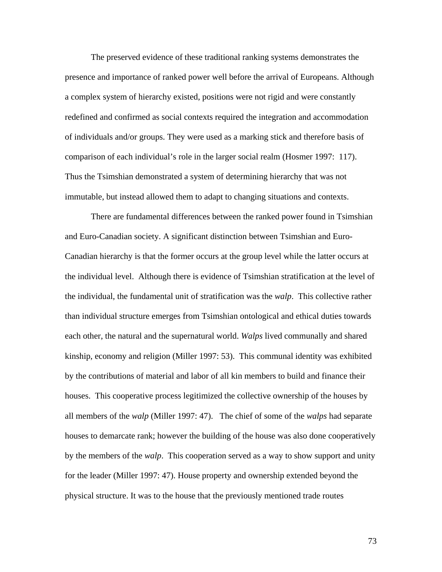The preserved evidence of these traditional ranking systems demonstrates the presence and importance of ranked power well before the arrival of Europeans. Although a complex system of hierarchy existed, positions were not rigid and were constantly redefined and confirmed as social contexts required the integration and accommodation of individuals and/or groups. They were used as a marking stick and therefore basis of comparison of each individual's role in the larger social realm (Hosmer 1997: 117). Thus the Tsimshian demonstrated a system of determining hierarchy that was not immutable, but instead allowed them to adapt to changing situations and contexts.

There are fundamental differences between the ranked power found in Tsimshian and Euro-Canadian society. A significant distinction between Tsimshian and Euro-Canadian hierarchy is that the former occurs at the group level while the latter occurs at the individual level. Although there is evidence of Tsimshian stratification at the level of the individual, the fundamental unit of stratification was the *walp*. This collective rather than individual structure emerges from Tsimshian ontological and ethical duties towards each other, the natural and the supernatural world. *Walps* lived communally and shared kinship, economy and religion (Miller 1997: 53). This communal identity was exhibited by the contributions of material and labor of all kin members to build and finance their houses. This cooperative process legitimized the collective ownership of the houses by all members of the *walp* (Miller 1997: 47). The chief of some of the *walps* had separate houses to demarcate rank; however the building of the house was also done cooperatively by the members of the *walp*. This cooperation served as a way to show support and unity for the leader (Miller 1997: 47). House property and ownership extended beyond the physical structure. It was to the house that the previously mentioned trade routes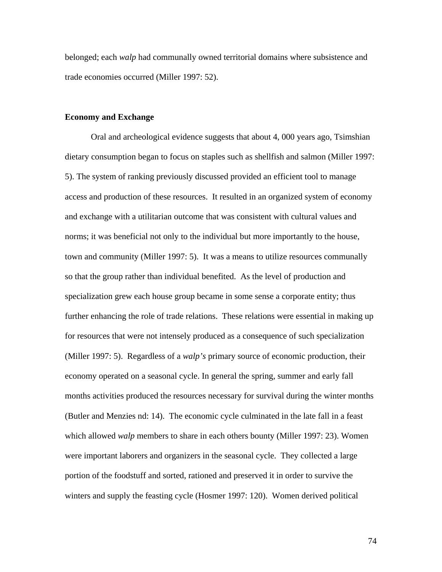belonged; each *walp* had communally owned territorial domains where subsistence and trade economies occurred (Miller 1997: 52).

### **Economy and Exchange**

Oral and archeological evidence suggests that about 4, 000 years ago, Tsimshian dietary consumption began to focus on staples such as shellfish and salmon (Miller 1997: 5). The system of ranking previously discussed provided an efficient tool to manage access and production of these resources. It resulted in an organized system of economy and exchange with a utilitarian outcome that was consistent with cultural values and norms; it was beneficial not only to the individual but more importantly to the house, town and community (Miller 1997: 5). It was a means to utilize resources communally so that the group rather than individual benefited. As the level of production and specialization grew each house group became in some sense a corporate entity; thus further enhancing the role of trade relations. These relations were essential in making up for resources that were not intensely produced as a consequence of such specialization (Miller 1997: 5). Regardless of a *walp's* primary source of economic production, their economy operated on a seasonal cycle. In general the spring, summer and early fall months activities produced the resources necessary for survival during the winter months (Butler and Menzies nd: 14). The economic cycle culminated in the late fall in a feast which allowed *walp* members to share in each others bounty (Miller 1997: 23). Women were important laborers and organizers in the seasonal cycle. They collected a large portion of the foodstuff and sorted, rationed and preserved it in order to survive the winters and supply the feasting cycle (Hosmer 1997: 120). Women derived political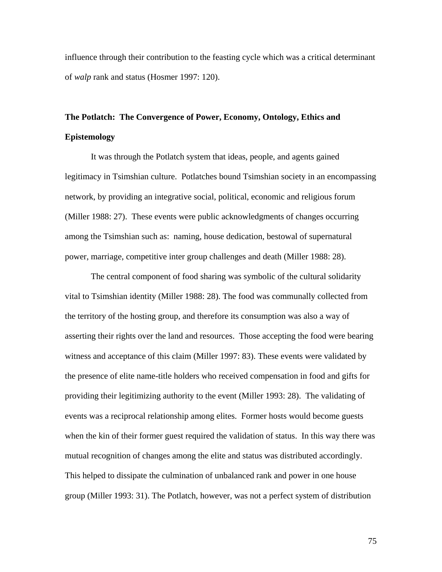influence through their contribution to the feasting cycle which was a critical determinant of *walp* rank and status (Hosmer 1997: 120).

# **The Potlatch: The Convergence of Power, Economy, Ontology, Ethics and Epistemology**

It was through the Potlatch system that ideas, people, and agents gained legitimacy in Tsimshian culture. Potlatches bound Tsimshian society in an encompassing network, by providing an integrative social, political, economic and religious forum (Miller 1988: 27). These events were public acknowledgments of changes occurring among the Tsimshian such as: naming, house dedication, bestowal of supernatural power, marriage, competitive inter group challenges and death (Miller 1988: 28).

The central component of food sharing was symbolic of the cultural solidarity vital to Tsimshian identity (Miller 1988: 28). The food was communally collected from the territory of the hosting group, and therefore its consumption was also a way of asserting their rights over the land and resources. Those accepting the food were bearing witness and acceptance of this claim (Miller 1997: 83). These events were validated by the presence of elite name-title holders who received compensation in food and gifts for providing their legitimizing authority to the event (Miller 1993: 28). The validating of events was a reciprocal relationship among elites. Former hosts would become guests when the kin of their former guest required the validation of status. In this way there was mutual recognition of changes among the elite and status was distributed accordingly. This helped to dissipate the culmination of unbalanced rank and power in one house group (Miller 1993: 31). The Potlatch, however, was not a perfect system of distribution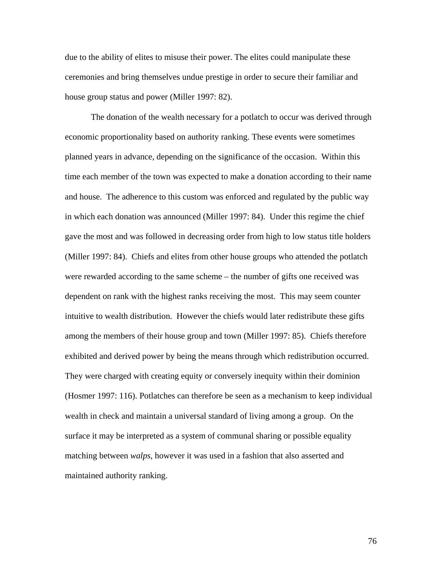due to the ability of elites to misuse their power. The elites could manipulate these ceremonies and bring themselves undue prestige in order to secure their familiar and house group status and power (Miller 1997: 82).

The donation of the wealth necessary for a potlatch to occur was derived through economic proportionality based on authority ranking. These events were sometimes planned years in advance, depending on the significance of the occasion. Within this time each member of the town was expected to make a donation according to their name and house. The adherence to this custom was enforced and regulated by the public way in which each donation was announced (Miller 1997: 84). Under this regime the chief gave the most and was followed in decreasing order from high to low status title holders (Miller 1997: 84). Chiefs and elites from other house groups who attended the potlatch were rewarded according to the same scheme – the number of gifts one received was dependent on rank with the highest ranks receiving the most. This may seem counter intuitive to wealth distribution. However the chiefs would later redistribute these gifts among the members of their house group and town (Miller 1997: 85). Chiefs therefore exhibited and derived power by being the means through which redistribution occurred. They were charged with creating equity or conversely inequity within their dominion (Hosmer 1997: 116). Potlatches can therefore be seen as a mechanism to keep individual wealth in check and maintain a universal standard of living among a group. On the surface it may be interpreted as a system of communal sharing or possible equality matching between *walps*, however it was used in a fashion that also asserted and maintained authority ranking.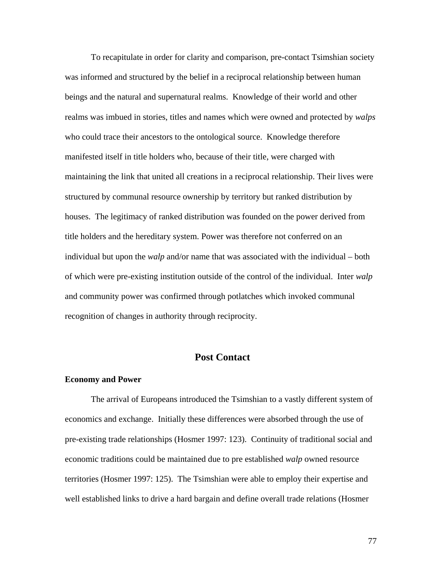To recapitulate in order for clarity and comparison, pre-contact Tsimshian society was informed and structured by the belief in a reciprocal relationship between human beings and the natural and supernatural realms. Knowledge of their world and other realms was imbued in stories, titles and names which were owned and protected by *walps*  who could trace their ancestors to the ontological source. Knowledge therefore manifested itself in title holders who, because of their title, were charged with maintaining the link that united all creations in a reciprocal relationship. Their lives were structured by communal resource ownership by territory but ranked distribution by houses. The legitimacy of ranked distribution was founded on the power derived from title holders and the hereditary system. Power was therefore not conferred on an individual but upon the *walp* and/or name that was associated with the individual – both of which were pre-existing institution outside of the control of the individual. Inter *walp* and community power was confirmed through potlatches which invoked communal recognition of changes in authority through reciprocity.

## **Post Contact**

#### **Economy and Power**

 The arrival of Europeans introduced the Tsimshian to a vastly different system of economics and exchange. Initially these differences were absorbed through the use of pre-existing trade relationships (Hosmer 1997: 123). Continuity of traditional social and economic traditions could be maintained due to pre established *walp* owned resource territories (Hosmer 1997: 125). The Tsimshian were able to employ their expertise and well established links to drive a hard bargain and define overall trade relations (Hosmer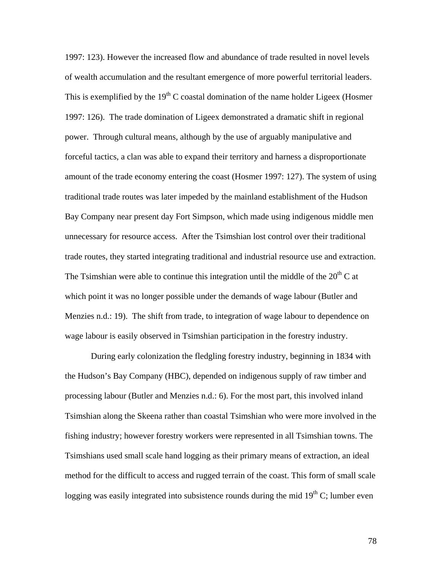1997: 123). However the increased flow and abundance of trade resulted in novel levels of wealth accumulation and the resultant emergence of more powerful territorial leaders. This is exemplified by the  $19<sup>th</sup>$  C coastal domination of the name holder Ligeex (Hosmer 1997: 126). The trade domination of Ligeex demonstrated a dramatic shift in regional power. Through cultural means, although by the use of arguably manipulative and forceful tactics, a clan was able to expand their territory and harness a disproportionate amount of the trade economy entering the coast (Hosmer 1997: 127). The system of using traditional trade routes was later impeded by the mainland establishment of the Hudson Bay Company near present day Fort Simpson, which made using indigenous middle men unnecessary for resource access. After the Tsimshian lost control over their traditional trade routes, they started integrating traditional and industrial resource use and extraction. The Tsimshian were able to continue this integration until the middle of the  $20<sup>th</sup>$ C at which point it was no longer possible under the demands of wage labour (Butler and Menzies n.d.: 19). The shift from trade, to integration of wage labour to dependence on wage labour is easily observed in Tsimshian participation in the forestry industry.

 During early colonization the fledgling forestry industry, beginning in 1834 with the Hudson's Bay Company (HBC), depended on indigenous supply of raw timber and processing labour (Butler and Menzies n.d.: 6). For the most part, this involved inland Tsimshian along the Skeena rather than coastal Tsimshian who were more involved in the fishing industry; however forestry workers were represented in all Tsimshian towns. The Tsimshians used small scale hand logging as their primary means of extraction, an ideal method for the difficult to access and rugged terrain of the coast. This form of small scale logging was easily integrated into subsistence rounds during the mid  $19<sup>th</sup>$  C; lumber even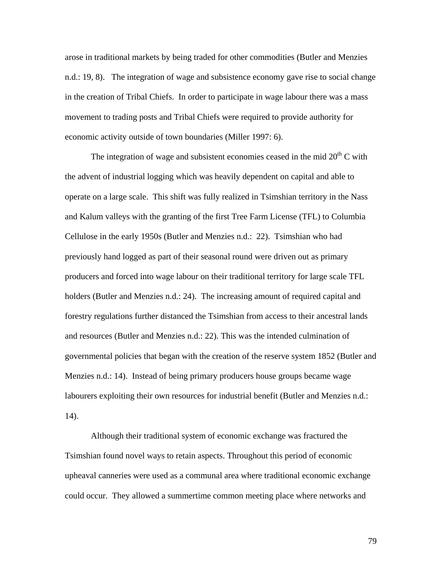arose in traditional markets by being traded for other commodities (Butler and Menzies n.d.: 19, 8). The integration of wage and subsistence economy gave rise to social change in the creation of Tribal Chiefs. In order to participate in wage labour there was a mass movement to trading posts and Tribal Chiefs were required to provide authority for economic activity outside of town boundaries (Miller 1997: 6).

The integration of wage and subsistent economies ceased in the mid  $20<sup>th</sup>$ C with the advent of industrial logging which was heavily dependent on capital and able to operate on a large scale. This shift was fully realized in Tsimshian territory in the Nass and Kalum valleys with the granting of the first Tree Farm License (TFL) to Columbia Cellulose in the early 1950s (Butler and Menzies n.d.: 22). Tsimshian who had previously hand logged as part of their seasonal round were driven out as primary producers and forced into wage labour on their traditional territory for large scale TFL holders (Butler and Menzies n.d.: 24). The increasing amount of required capital and forestry regulations further distanced the Tsimshian from access to their ancestral lands and resources (Butler and Menzies n.d.: 22). This was the intended culmination of governmental policies that began with the creation of the reserve system 1852 (Butler and Menzies n.d.: 14). Instead of being primary producers house groups became wage labourers exploiting their own resources for industrial benefit (Butler and Menzies n.d.: 14).

Although their traditional system of economic exchange was fractured the Tsimshian found novel ways to retain aspects. Throughout this period of economic upheaval canneries were used as a communal area where traditional economic exchange could occur. They allowed a summertime common meeting place where networks and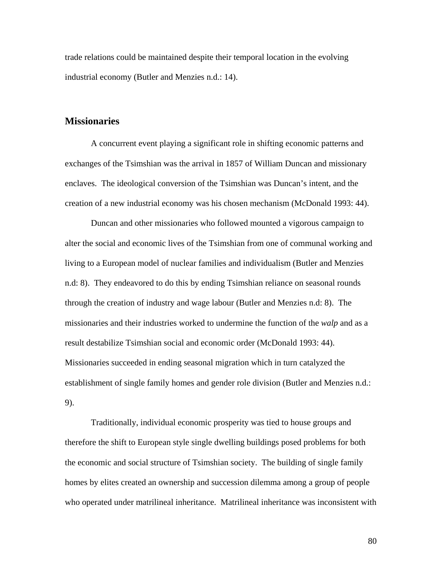trade relations could be maintained despite their temporal location in the evolving industrial economy (Butler and Menzies n.d.: 14).

## **Missionaries**

A concurrent event playing a significant role in shifting economic patterns and exchanges of the Tsimshian was the arrival in 1857 of William Duncan and missionary enclaves. The ideological conversion of the Tsimshian was Duncan's intent, and the creation of a new industrial economy was his chosen mechanism (McDonald 1993: 44).

Duncan and other missionaries who followed mounted a vigorous campaign to alter the social and economic lives of the Tsimshian from one of communal working and living to a European model of nuclear families and individualism (Butler and Menzies n.d: 8). They endeavored to do this by ending Tsimshian reliance on seasonal rounds through the creation of industry and wage labour (Butler and Menzies n.d: 8). The missionaries and their industries worked to undermine the function of the *walp* and as a result destabilize Tsimshian social and economic order (McDonald 1993: 44). Missionaries succeeded in ending seasonal migration which in turn catalyzed the establishment of single family homes and gender role division (Butler and Menzies n.d.: 9).

Traditionally, individual economic prosperity was tied to house groups and therefore the shift to European style single dwelling buildings posed problems for both the economic and social structure of Tsimshian society. The building of single family homes by elites created an ownership and succession dilemma among a group of people who operated under matrilineal inheritance. Matrilineal inheritance was inconsistent with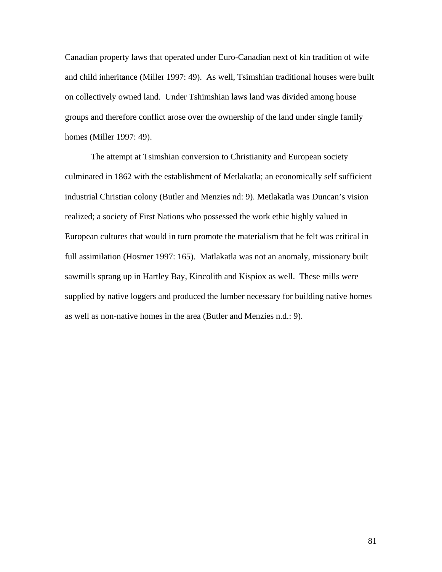Canadian property laws that operated under Euro-Canadian next of kin tradition of wife and child inheritance (Miller 1997: 49). As well, Tsimshian traditional houses were built on collectively owned land. Under Tshimshian laws land was divided among house groups and therefore conflict arose over the ownership of the land under single family homes (Miller 1997: 49).

The attempt at Tsimshian conversion to Christianity and European society culminated in 1862 with the establishment of Metlakatla; an economically self sufficient industrial Christian colony (Butler and Menzies nd: 9). Metlakatla was Duncan's vision realized; a society of First Nations who possessed the work ethic highly valued in European cultures that would in turn promote the materialism that he felt was critical in full assimilation (Hosmer 1997: 165). Matlakatla was not an anomaly, missionary built sawmills sprang up in Hartley Bay, Kincolith and Kispiox as well. These mills were supplied by native loggers and produced the lumber necessary for building native homes as well as non-native homes in the area (Butler and Menzies n.d.: 9).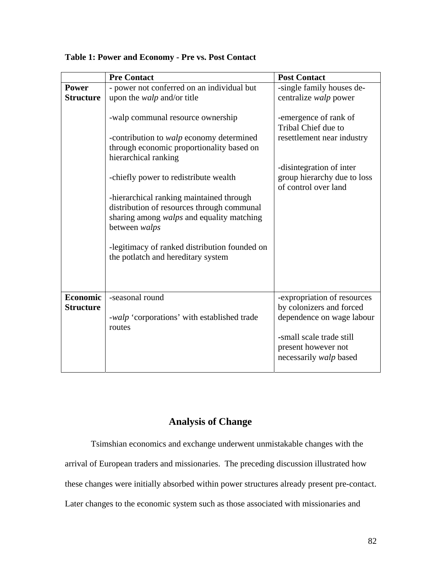|                  | <b>Pre Contact</b>                                                                     | <b>Post Contact</b>                                 |
|------------------|----------------------------------------------------------------------------------------|-----------------------------------------------------|
| <b>Power</b>     | - power not conferred on an individual but                                             | -single family houses de-                           |
| <b>Structure</b> | upon the <i>walp</i> and/or title                                                      | centralize walp power                               |
|                  |                                                                                        |                                                     |
|                  | -walp communal resource ownership                                                      | -emergence of rank of                               |
|                  |                                                                                        | Tribal Chief due to                                 |
|                  | -contribution to <i>walp</i> economy determined                                        | resettlement near industry                          |
|                  | through economic proportionality based on                                              |                                                     |
|                  | hierarchical ranking                                                                   |                                                     |
|                  |                                                                                        | -disintegration of inter                            |
|                  | -chiefly power to redistribute wealth                                                  | group hierarchy due to loss<br>of control over land |
|                  |                                                                                        |                                                     |
|                  | -hierarchical ranking maintained through<br>distribution of resources through communal |                                                     |
|                  | sharing among walps and equality matching                                              |                                                     |
|                  | between walps                                                                          |                                                     |
|                  |                                                                                        |                                                     |
|                  | -legitimacy of ranked distribution founded on                                          |                                                     |
|                  | the potlatch and hereditary system                                                     |                                                     |
|                  |                                                                                        |                                                     |
|                  |                                                                                        |                                                     |
|                  |                                                                                        |                                                     |
| <b>Economic</b>  | -seasonal round                                                                        | -expropriation of resources                         |
| <b>Structure</b> |                                                                                        | by colonizers and forced                            |
|                  | -walp 'corporations' with established trade                                            | dependence on wage labour                           |
|                  | routes                                                                                 |                                                     |
|                  |                                                                                        | -small scale trade still                            |
|                  |                                                                                        | present however not                                 |
|                  |                                                                                        | necessarily walp based                              |
|                  |                                                                                        |                                                     |

## **Table 1: Power and Economy - Pre vs. Post Contact**

# **Analysis of Change**

Tsimshian economics and exchange underwent unmistakable changes with the

arrival of European traders and missionaries. The preceding discussion illustrated how

these changes were initially absorbed within power structures already present pre-contact.

Later changes to the economic system such as those associated with missionaries and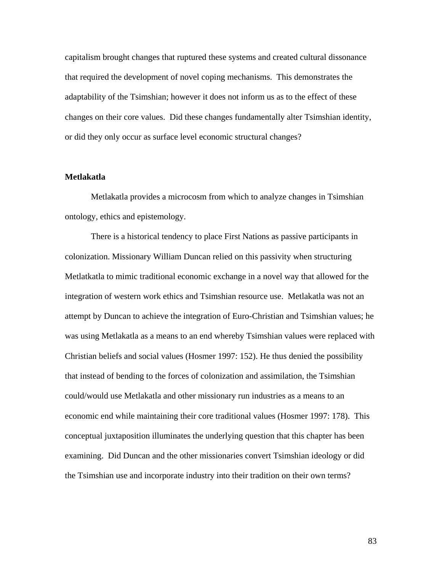capitalism brought changes that ruptured these systems and created cultural dissonance that required the development of novel coping mechanisms. This demonstrates the adaptability of the Tsimshian; however it does not inform us as to the effect of these changes on their core values. Did these changes fundamentally alter Tsimshian identity, or did they only occur as surface level economic structural changes?

### **Metlakatla**

Metlakatla provides a microcosm from which to analyze changes in Tsimshian ontology, ethics and epistemology.

There is a historical tendency to place First Nations as passive participants in colonization. Missionary William Duncan relied on this passivity when structuring Metlatkatla to mimic traditional economic exchange in a novel way that allowed for the integration of western work ethics and Tsimshian resource use. Metlakatla was not an attempt by Duncan to achieve the integration of Euro-Christian and Tsimshian values; he was using Metlakatla as a means to an end whereby Tsimshian values were replaced with Christian beliefs and social values (Hosmer 1997: 152). He thus denied the possibility that instead of bending to the forces of colonization and assimilation, the Tsimshian could/would use Metlakatla and other missionary run industries as a means to an economic end while maintaining their core traditional values (Hosmer 1997: 178). This conceptual juxtaposition illuminates the underlying question that this chapter has been examining. Did Duncan and the other missionaries convert Tsimshian ideology or did the Tsimshian use and incorporate industry into their tradition on their own terms?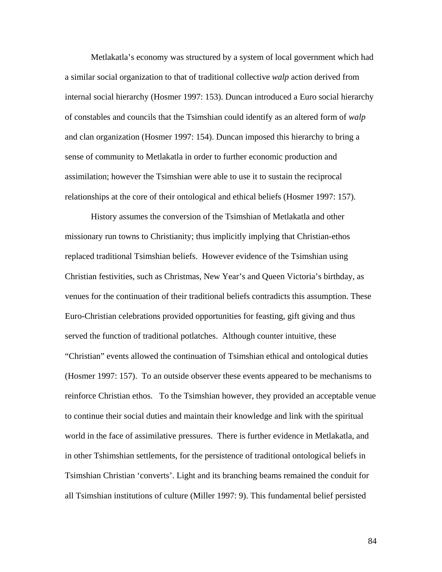Metlakatla's economy was structured by a system of local government which had a similar social organization to that of traditional collective *walp* action derived from internal social hierarchy (Hosmer 1997: 153). Duncan introduced a Euro social hierarchy of constables and councils that the Tsimshian could identify as an altered form of *walp*  and clan organization (Hosmer 1997: 154). Duncan imposed this hierarchy to bring a sense of community to Metlakatla in order to further economic production and assimilation; however the Tsimshian were able to use it to sustain the reciprocal relationships at the core of their ontological and ethical beliefs (Hosmer 1997: 157).

History assumes the conversion of the Tsimshian of Metlakatla and other missionary run towns to Christianity; thus implicitly implying that Christian-ethos replaced traditional Tsimshian beliefs. However evidence of the Tsimshian using Christian festivities, such as Christmas, New Year's and Queen Victoria's birthday, as venues for the continuation of their traditional beliefs contradicts this assumption. These Euro-Christian celebrations provided opportunities for feasting, gift giving and thus served the function of traditional potlatches. Although counter intuitive, these "Christian" events allowed the continuation of Tsimshian ethical and ontological duties (Hosmer 1997: 157). To an outside observer these events appeared to be mechanisms to reinforce Christian ethos. To the Tsimshian however, they provided an acceptable venue to continue their social duties and maintain their knowledge and link with the spiritual world in the face of assimilative pressures. There is further evidence in Metlakatla, and in other Tshimshian settlements, for the persistence of traditional ontological beliefs in Tsimshian Christian 'converts'. Light and its branching beams remained the conduit for all Tsimshian institutions of culture (Miller 1997: 9). This fundamental belief persisted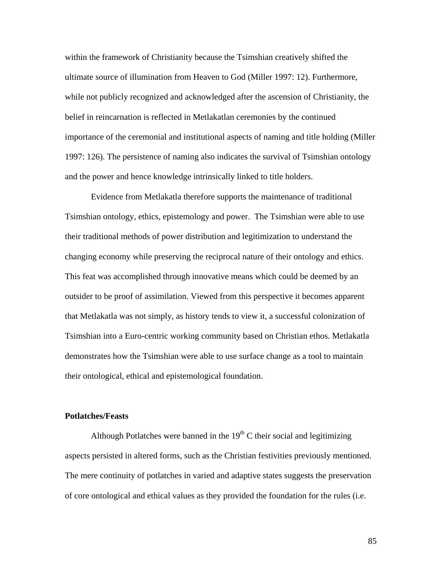within the framework of Christianity because the Tsimshian creatively shifted the ultimate source of illumination from Heaven to God (Miller 1997: 12). Furthermore, while not publicly recognized and acknowledged after the ascension of Christianity, the belief in reincarnation is reflected in Metlakatlan ceremonies by the continued importance of the ceremonial and institutional aspects of naming and title holding (Miller 1997: 126). The persistence of naming also indicates the survival of Tsimshian ontology and the power and hence knowledge intrinsically linked to title holders.

Evidence from Metlakatla therefore supports the maintenance of traditional Tsimshian ontology, ethics, epistemology and power. The Tsimshian were able to use their traditional methods of power distribution and legitimization to understand the changing economy while preserving the reciprocal nature of their ontology and ethics. This feat was accomplished through innovative means which could be deemed by an outsider to be proof of assimilation. Viewed from this perspective it becomes apparent that Metlakatla was not simply, as history tends to view it, a successful colonization of Tsimshian into a Euro-centric working community based on Christian ethos. Metlakatla demonstrates how the Tsimshian were able to use surface change as a tool to maintain their ontological, ethical and epistemological foundation.

#### **Potlatches/Feasts**

Although Potlatches were banned in the  $19<sup>th</sup>$  C their social and legitimizing aspects persisted in altered forms, such as the Christian festivities previously mentioned. The mere continuity of potlatches in varied and adaptive states suggests the preservation of core ontological and ethical values as they provided the foundation for the rules (i.e.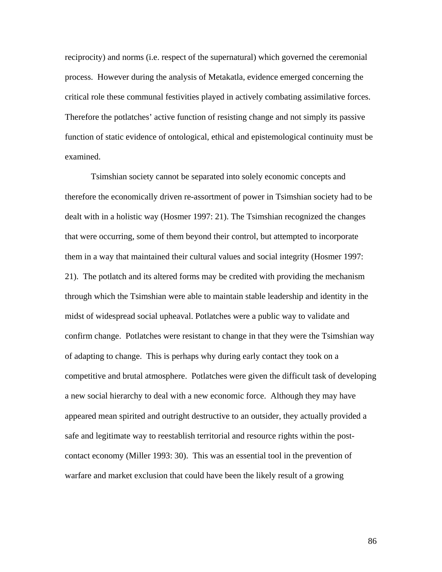reciprocity) and norms (i.e. respect of the supernatural) which governed the ceremonial process. However during the analysis of Metakatla, evidence emerged concerning the critical role these communal festivities played in actively combating assimilative forces. Therefore the potlatches' active function of resisting change and not simply its passive function of static evidence of ontological, ethical and epistemological continuity must be examined.

Tsimshian society cannot be separated into solely economic concepts and therefore the economically driven re-assortment of power in Tsimshian society had to be dealt with in a holistic way (Hosmer 1997: 21). The Tsimshian recognized the changes that were occurring, some of them beyond their control, but attempted to incorporate them in a way that maintained their cultural values and social integrity (Hosmer 1997: 21). The potlatch and its altered forms may be credited with providing the mechanism through which the Tsimshian were able to maintain stable leadership and identity in the midst of widespread social upheaval. Potlatches were a public way to validate and confirm change. Potlatches were resistant to change in that they were the Tsimshian way of adapting to change. This is perhaps why during early contact they took on a competitive and brutal atmosphere. Potlatches were given the difficult task of developing a new social hierarchy to deal with a new economic force. Although they may have appeared mean spirited and outright destructive to an outsider, they actually provided a safe and legitimate way to reestablish territorial and resource rights within the postcontact economy (Miller 1993: 30). This was an essential tool in the prevention of warfare and market exclusion that could have been the likely result of a growing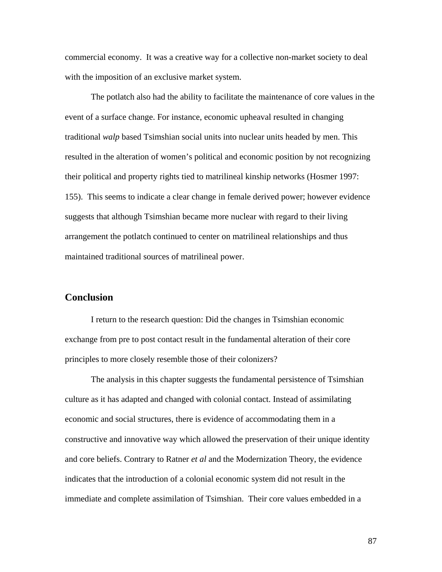commercial economy. It was a creative way for a collective non-market society to deal with the imposition of an exclusive market system.

The potlatch also had the ability to facilitate the maintenance of core values in the event of a surface change. For instance, economic upheaval resulted in changing traditional *walp* based Tsimshian social units into nuclear units headed by men. This resulted in the alteration of women's political and economic position by not recognizing their political and property rights tied to matrilineal kinship networks (Hosmer 1997: 155). This seems to indicate a clear change in female derived power; however evidence suggests that although Tsimshian became more nuclear with regard to their living arrangement the potlatch continued to center on matrilineal relationships and thus maintained traditional sources of matrilineal power.

## **Conclusion**

I return to the research question: Did the changes in Tsimshian economic exchange from pre to post contact result in the fundamental alteration of their core principles to more closely resemble those of their colonizers?

The analysis in this chapter suggests the fundamental persistence of Tsimshian culture as it has adapted and changed with colonial contact. Instead of assimilating economic and social structures, there is evidence of accommodating them in a constructive and innovative way which allowed the preservation of their unique identity and core beliefs. Contrary to Ratner *et al* and the Modernization Theory, the evidence indicates that the introduction of a colonial economic system did not result in the immediate and complete assimilation of Tsimshian. Their core values embedded in a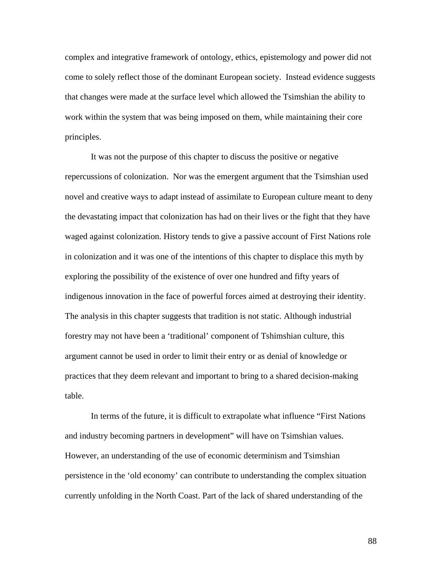complex and integrative framework of ontology, ethics, epistemology and power did not come to solely reflect those of the dominant European society. Instead evidence suggests that changes were made at the surface level which allowed the Tsimshian the ability to work within the system that was being imposed on them, while maintaining their core principles.

It was not the purpose of this chapter to discuss the positive or negative repercussions of colonization. Nor was the emergent argument that the Tsimshian used novel and creative ways to adapt instead of assimilate to European culture meant to deny the devastating impact that colonization has had on their lives or the fight that they have waged against colonization. History tends to give a passive account of First Nations role in colonization and it was one of the intentions of this chapter to displace this myth by exploring the possibility of the existence of over one hundred and fifty years of indigenous innovation in the face of powerful forces aimed at destroying their identity. The analysis in this chapter suggests that tradition is not static. Although industrial forestry may not have been a 'traditional' component of Tshimshian culture, this argument cannot be used in order to limit their entry or as denial of knowledge or practices that they deem relevant and important to bring to a shared decision-making table.

In terms of the future, it is difficult to extrapolate what influence "First Nations and industry becoming partners in development" will have on Tsimshian values. However, an understanding of the use of economic determinism and Tsimshian persistence in the 'old economy' can contribute to understanding the complex situation currently unfolding in the North Coast. Part of the lack of shared understanding of the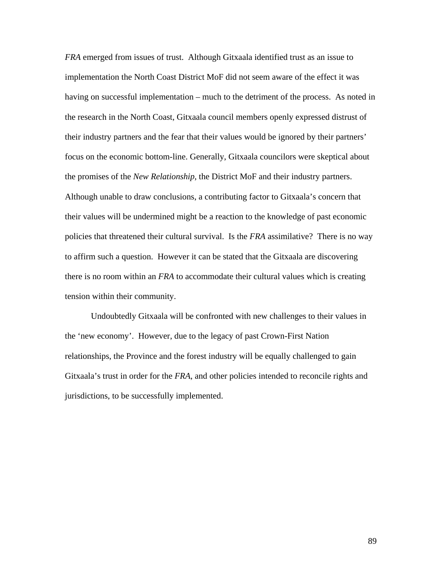*FRA* emerged from issues of trust. Although Gitxaala identified trust as an issue to implementation the North Coast District MoF did not seem aware of the effect it was having on successful implementation – much to the detriment of the process. As noted in the research in the North Coast, Gitxaala council members openly expressed distrust of their industry partners and the fear that their values would be ignored by their partners' focus on the economic bottom-line. Generally, Gitxaala councilors were skeptical about the promises of the *New Relationship*, the District MoF and their industry partners. Although unable to draw conclusions, a contributing factor to Gitxaala's concern that their values will be undermined might be a reaction to the knowledge of past economic policies that threatened their cultural survival. Is the *FRA* assimilative? There is no way to affirm such a question. However it can be stated that the Gitxaala are discovering there is no room within an *FRA* to accommodate their cultural values which is creating tension within their community.

Undoubtedly Gitxaala will be confronted with new challenges to their values in the 'new economy'. However, due to the legacy of past Crown-First Nation relationships, the Province and the forest industry will be equally challenged to gain Gitxaala's trust in order for the *FRA*, and other policies intended to reconcile rights and jurisdictions, to be successfully implemented.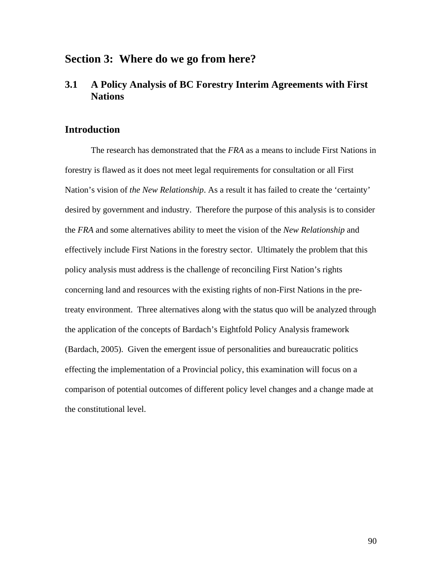# **Section 3: Where do we go from here?**

# **3.1 A Policy Analysis of BC Forestry Interim Agreements with First Nations**

## **Introduction**

 The research has demonstrated that the *FRA* as a means to include First Nations in forestry is flawed as it does not meet legal requirements for consultation or all First Nation's vision of *the New Relationship*. As a result it has failed to create the 'certainty' desired by government and industry. Therefore the purpose of this analysis is to consider the *FRA* and some alternatives ability to meet the vision of the *New Relationship* and effectively include First Nations in the forestry sector. Ultimately the problem that this policy analysis must address is the challenge of reconciling First Nation's rights concerning land and resources with the existing rights of non-First Nations in the pretreaty environment. Three alternatives along with the status quo will be analyzed through the application of the concepts of Bardach's Eightfold Policy Analysis framework (Bardach, 2005). Given the emergent issue of personalities and bureaucratic politics effecting the implementation of a Provincial policy, this examination will focus on a comparison of potential outcomes of different policy level changes and a change made at the constitutional level.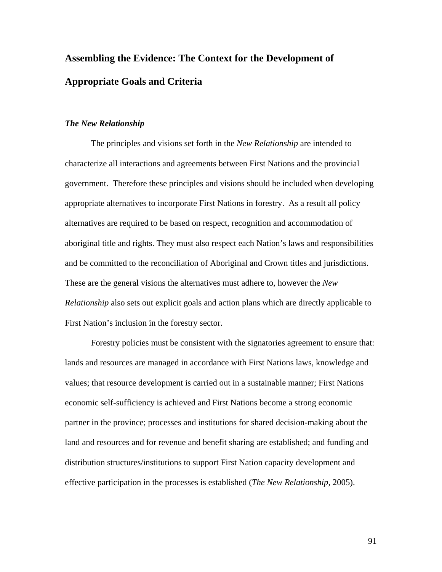# **Assembling the Evidence: The Context for the Development of Appropriate Goals and Criteria**

### *The New Relationship*

The principles and visions set forth in the *New Relationship* are intended to characterize all interactions and agreements between First Nations and the provincial government. Therefore these principles and visions should be included when developing appropriate alternatives to incorporate First Nations in forestry. As a result all policy alternatives are required to be based on respect, recognition and accommodation of aboriginal title and rights. They must also respect each Nation's laws and responsibilities and be committed to the reconciliation of Aboriginal and Crown titles and jurisdictions. These are the general visions the alternatives must adhere to, however the *New Relationship* also sets out explicit goals and action plans which are directly applicable to First Nation's inclusion in the forestry sector.

Forestry policies must be consistent with the signatories agreement to ensure that: lands and resources are managed in accordance with First Nations laws, knowledge and values; that resource development is carried out in a sustainable manner; First Nations economic self-sufficiency is achieved and First Nations become a strong economic partner in the province; processes and institutions for shared decision-making about the land and resources and for revenue and benefit sharing are established; and funding and distribution structures/institutions to support First Nation capacity development and effective participation in the processes is established (*The New Relationship*, 2005).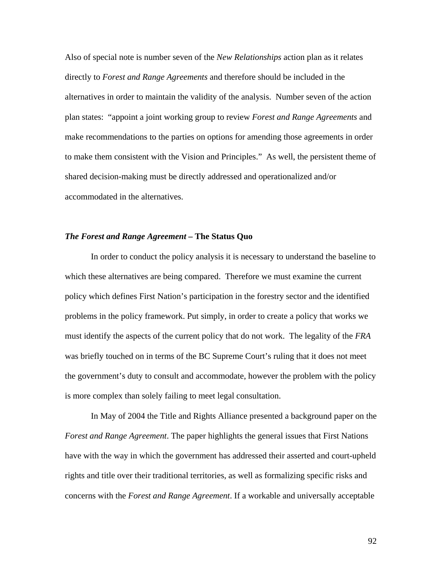Also of special note is number seven of the *New Relationships* action plan as it relates directly to *Forest and Range Agreements* and therefore should be included in the alternatives in order to maintain the validity of the analysis. Number seven of the action plan states: "appoint a joint working group to review *Forest and Range Agreements* and make recommendations to the parties on options for amending those agreements in order to make them consistent with the Vision and Principles." As well, the persistent theme of shared decision-making must be directly addressed and operationalized and/or accommodated in the alternatives.

#### *The Forest and Range Agreement –* **The Status Quo**

In order to conduct the policy analysis it is necessary to understand the baseline to which these alternatives are being compared. Therefore we must examine the current policy which defines First Nation's participation in the forestry sector and the identified problems in the policy framework. Put simply, in order to create a policy that works we must identify the aspects of the current policy that do not work. The legality of the *FRA*  was briefly touched on in terms of the BC Supreme Court's ruling that it does not meet the government's duty to consult and accommodate, however the problem with the policy is more complex than solely failing to meet legal consultation.

 In May of 2004 the Title and Rights Alliance presented a background paper on the *Forest and Range Agreement*. The paper highlights the general issues that First Nations have with the way in which the government has addressed their asserted and court-upheld rights and title over their traditional territories, as well as formalizing specific risks and concerns with the *Forest and Range Agreement*. If a workable and universally acceptable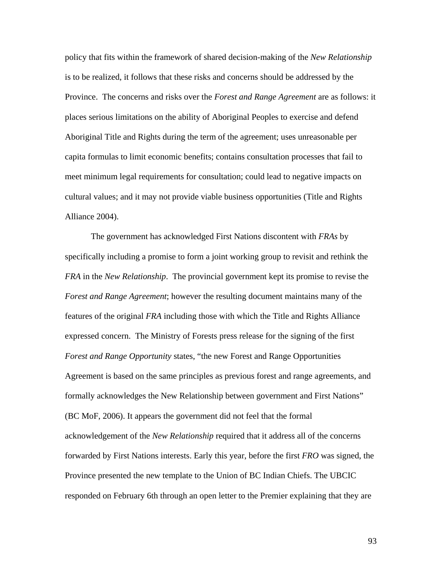policy that fits within the framework of shared decision-making of the *New Relationship* is to be realized, it follows that these risks and concerns should be addressed by the Province. The concerns and risks over the *Forest and Range Agreement* are as follows: it places serious limitations on the ability of Aboriginal Peoples to exercise and defend Aboriginal Title and Rights during the term of the agreement; uses unreasonable per capita formulas to limit economic benefits; contains consultation processes that fail to meet minimum legal requirements for consultation; could lead to negative impacts on cultural values; and it may not provide viable business opportunities (Title and Rights Alliance 2004).

 The government has acknowledged First Nations discontent with *FRAs* by specifically including a promise to form a joint working group to revisit and rethink the *FRA* in the *New Relationship*. The provincial government kept its promise to revise the *Forest and Range Agreement*; however the resulting document maintains many of the features of the original *FRA* including those with which the Title and Rights Alliance expressed concern. The Ministry of Forests press release for the signing of the first *Forest and Range Opportunity* states, "the new Forest and Range Opportunities Agreement is based on the same principles as previous forest and range agreements, and formally acknowledges the New Relationship between government and First Nations" (BC MoF, 2006). It appears the government did not feel that the formal acknowledgement of the *New Relationship* required that it address all of the concerns forwarded by First Nations interests. Early this year, before the first *FRO* was signed, the Province presented the new template to the Union of BC Indian Chiefs. The UBCIC responded on February 6th through an open letter to the Premier explaining that they are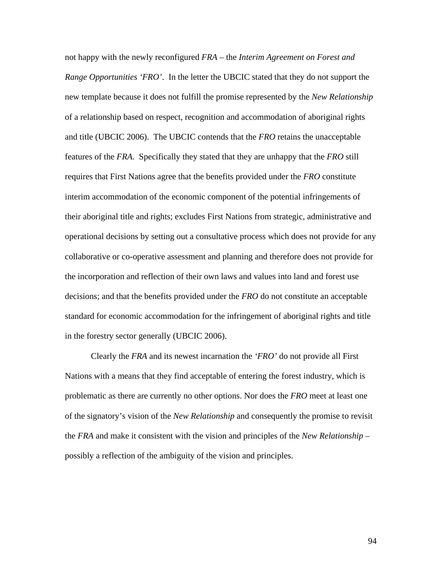not happy with the newly reconfigured *FRA* – the *Interim Agreement on Forest and Range Opportunities 'FRO'*. In the letter the UBCIC stated that they do not support the new template because it does not fulfill the promise represented by the *New Relationship* of a relationship based on respect, recognition and accommodation of aboriginal rights and title (UBCIC 2006). The UBCIC contends that the *FRO* retains the unacceptable features of the *FRA*. Specifically they stated that they are unhappy that the *FRO* still requires that First Nations agree that the benefits provided under the *FRO* constitute interim accommodation of the economic component of the potential infringements of their aboriginal title and rights; excludes First Nations from strategic, administrative and operational decisions by setting out a consultative process which does not provide for any collaborative or co-operative assessment and planning and therefore does not provide for the incorporation and reflection of their own laws and values into land and forest use decisions; and that the benefits provided under the *FRO* do not constitute an acceptable standard for economic accommodation for the infringement of aboriginal rights and title in the forestry sector generally (UBCIC 2006).

 Clearly the *FRA* and its newest incarnation the *'FRO'* do not provide all First Nations with a means that they find acceptable of entering the forest industry, which is problematic as there are currently no other options. Nor does the *FRO* meet at least one of the signatory's vision of the *New Relationship* and consequently the promise to revisit the *FRA* and make it consistent with the vision and principles of the *New Relationship* – possibly a reflection of the ambiguity of the vision and principles.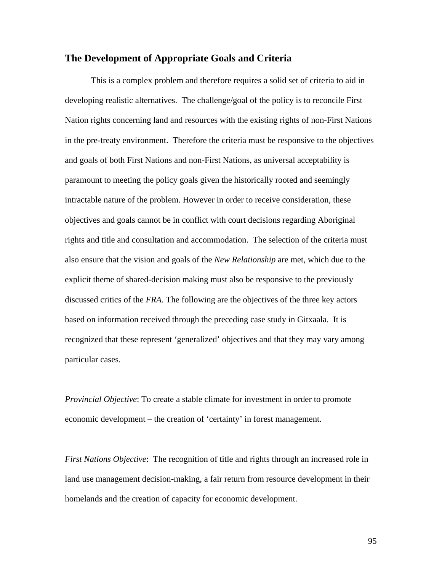## **The Development of Appropriate Goals and Criteria**

This is a complex problem and therefore requires a solid set of criteria to aid in developing realistic alternatives. The challenge/goal of the policy is to reconcile First Nation rights concerning land and resources with the existing rights of non-First Nations in the pre-treaty environment. Therefore the criteria must be responsive to the objectives and goals of both First Nations and non-First Nations, as universal acceptability is paramount to meeting the policy goals given the historically rooted and seemingly intractable nature of the problem. However in order to receive consideration, these objectives and goals cannot be in conflict with court decisions regarding Aboriginal rights and title and consultation and accommodation. The selection of the criteria must also ensure that the vision and goals of the *New Relationship* are met, which due to the explicit theme of shared-decision making must also be responsive to the previously discussed critics of the *FRA*. The following are the objectives of the three key actors based on information received through the preceding case study in Gitxaala. It is recognized that these represent 'generalized' objectives and that they may vary among particular cases.

*Provincial Objective*: To create a stable climate for investment in order to promote economic development – the creation of 'certainty' in forest management.

*First Nations Objective*: The recognition of title and rights through an increased role in land use management decision-making, a fair return from resource development in their homelands and the creation of capacity for economic development.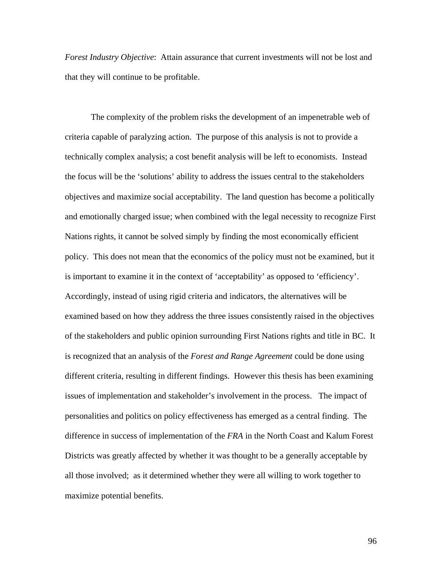*Forest Industry Objective*: Attain assurance that current investments will not be lost and that they will continue to be profitable.

The complexity of the problem risks the development of an impenetrable web of criteria capable of paralyzing action. The purpose of this analysis is not to provide a technically complex analysis; a cost benefit analysis will be left to economists. Instead the focus will be the 'solutions' ability to address the issues central to the stakeholders objectives and maximize social acceptability. The land question has become a politically and emotionally charged issue; when combined with the legal necessity to recognize First Nations rights, it cannot be solved simply by finding the most economically efficient policy. This does not mean that the economics of the policy must not be examined, but it is important to examine it in the context of 'acceptability' as opposed to 'efficiency'. Accordingly, instead of using rigid criteria and indicators, the alternatives will be examined based on how they address the three issues consistently raised in the objectives of the stakeholders and public opinion surrounding First Nations rights and title in BC. It is recognized that an analysis of the *Forest and Range Agreement* could be done using different criteria, resulting in different findings. However this thesis has been examining issues of implementation and stakeholder's involvement in the process. The impact of personalities and politics on policy effectiveness has emerged as a central finding. The difference in success of implementation of the *FRA* in the North Coast and Kalum Forest Districts was greatly affected by whether it was thought to be a generally acceptable by all those involved; as it determined whether they were all willing to work together to maximize potential benefits.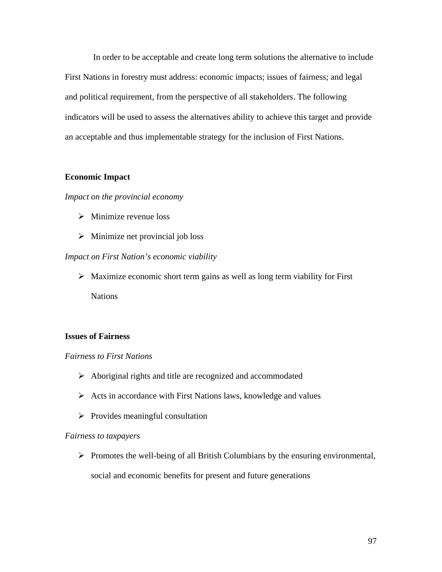In order to be acceptable and create long term solutions the alternative to include First Nations in forestry must address: economic impacts; issues of fairness; and legal and political requirement, from the perspective of all stakeholders. The following indicators will be used to assess the alternatives ability to achieve this target and provide an acceptable and thus implementable strategy for the inclusion of First Nations.

## **Economic Impact**

## *Impact on the provincial economy*

- $\triangleright$  Minimize revenue loss
- $\triangleright$  Minimize net provincial job loss

#### *Impact on First Nation's economic viability*

 $\triangleright$  Maximize economic short term gains as well as long term viability for First **Nations** 

## **Issues of Fairness**

## *Fairness to First Nations*

- $\triangleright$  Aboriginal rights and title are recognized and accommodated
- $\triangleright$  Acts in accordance with First Nations laws, knowledge and values
- $\triangleright$  Provides meaningful consultation

#### *Fairness to taxpayers*

 $\triangleright$  Promotes the well-being of all British Columbians by the ensuring environmental, social and economic benefits for present and future generations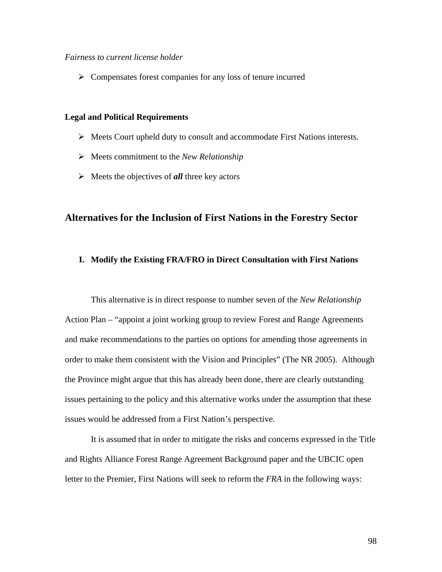#### *Fairness to current license holder*

 $\triangleright$  Compensates forest companies for any loss of tenure incurred

## **Legal and Political Requirements**

- $\triangleright$  Meets Court upheld duty to consult and accommodate First Nations interests.
- ¾ Meets commitment to the *New Relationship*
- $\triangleright$  Meets the objectives of **all** three key actors

## **Alternatives for the Inclusion of First Nations in the Forestry Sector**

## **I. Modify the Existing FRA/FRO in Direct Consultation with First Nations**

This alternative is in direct response to number seven of the *New Relationship* Action Plan – "appoint a joint working group to review Forest and Range Agreements and make recommendations to the parties on options for amending those agreements in order to make them consistent with the Vision and Principles" (The NR 2005). Although the Province might argue that this has already been done, there are clearly outstanding issues pertaining to the policy and this alternative works under the assumption that these issues would be addressed from a First Nation's perspective.

 It is assumed that in order to mitigate the risks and concerns expressed in the Title and Rights Alliance Forest Range Agreement Background paper and the UBCIC open letter to the Premier, First Nations will seek to reform the *FRA* in the following ways: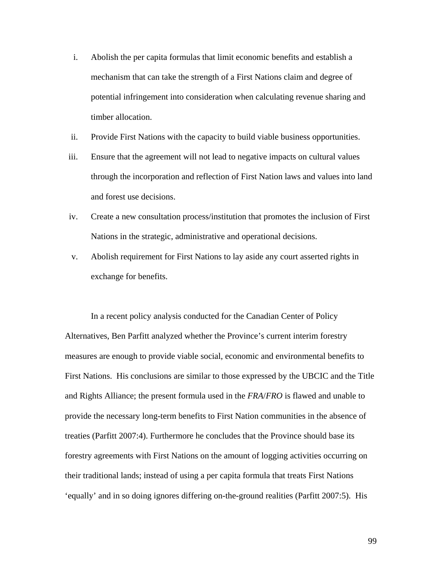- i. Abolish the per capita formulas that limit economic benefits and establish a mechanism that can take the strength of a First Nations claim and degree of potential infringement into consideration when calculating revenue sharing and timber allocation.
- ii. Provide First Nations with the capacity to build viable business opportunities.
- iii. Ensure that the agreement will not lead to negative impacts on cultural values through the incorporation and reflection of First Nation laws and values into land and forest use decisions.
- iv. Create a new consultation process/institution that promotes the inclusion of First Nations in the strategic, administrative and operational decisions.
- v. Abolish requirement for First Nations to lay aside any court asserted rights in exchange for benefits.

In a recent policy analysis conducted for the Canadian Center of Policy Alternatives, Ben Parfitt analyzed whether the Province's current interim forestry measures are enough to provide viable social, economic and environmental benefits to First Nations. His conclusions are similar to those expressed by the UBCIC and the Title and Rights Alliance; the present formula used in the *FRA*/*FRO* is flawed and unable to provide the necessary long-term benefits to First Nation communities in the absence of treaties (Parfitt 2007:4). Furthermore he concludes that the Province should base its forestry agreements with First Nations on the amount of logging activities occurring on their traditional lands; instead of using a per capita formula that treats First Nations 'equally' and in so doing ignores differing on-the-ground realities (Parfitt 2007:5). His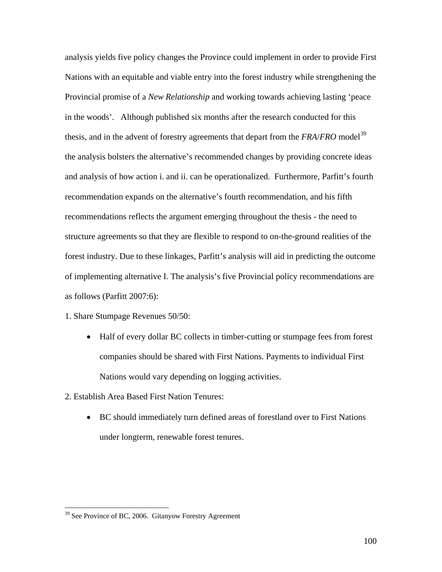analysis yields five policy changes the Province could implement in order to provide First Nations with an equitable and viable entry into the forest industry while strengthening the Provincial promise of a *New Relationship* and working towards achieving lasting 'peace in the woods'. Although published six months after the research conducted for this thesis, and in the advent of forestry agreements that depart from the *FRA*/*FRO* model<sup>[39](#page-106-0)</sup> the analysis bolsters the alternative's recommended changes by providing concrete ideas and analysis of how action i. and ii. can be operationalized. Furthermore, Parfitt's fourth recommendation expands on the alternative's fourth recommendation, and his fifth recommendations reflects the argument emerging throughout the thesis - the need to structure agreements so that they are flexible to respond to on-the-ground realities of the forest industry. Due to these linkages, Parfitt's analysis will aid in predicting the outcome of implementing alternative I. The analysis's five Provincial policy recommendations are as follows (Parfitt 2007:6):

- 1. Share Stumpage Revenues 50/50:
	- Half of every dollar BC collects in timber-cutting or stumpage fees from forest companies should be shared with First Nations. Payments to individual First Nations would vary depending on logging activities.
- 2. Establish Area Based First Nation Tenures:
	- BC should immediately turn defined areas of forestland over to First Nations under longterm, renewable forest tenures.

<u>.</u>

<span id="page-106-0"></span><sup>&</sup>lt;sup>39</sup> See Province of BC, 2006. Gitanyow Forestry Agreement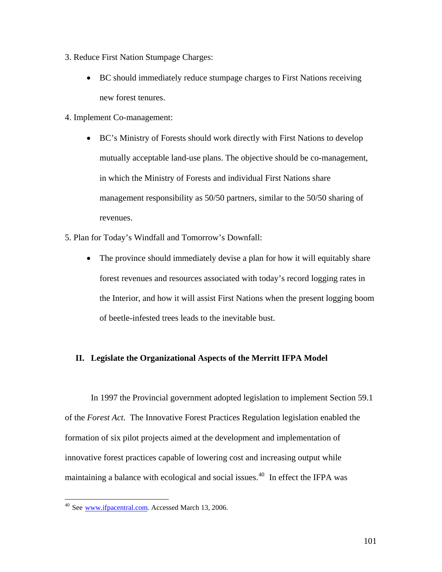- 3. Reduce First Nation Stumpage Charges:
	- BC should immediately reduce stumpage charges to First Nations receiving new forest tenures.
- 4. Implement Co-management:
	- BC's Ministry of Forests should work directly with First Nations to develop mutually acceptable land-use plans. The objective should be co-management, in which the Ministry of Forests and individual First Nations share management responsibility as 50/50 partners, similar to the 50/50 sharing of revenues.
- 5. Plan for Today's Windfall and Tomorrow's Downfall:
	- The province should immediately devise a plan for how it will equitably share forest revenues and resources associated with today's record logging rates in the Interior, and how it will assist First Nations when the present logging boom of beetle-infested trees leads to the inevitable bust.

## **II. Legislate the Organizational Aspects of the Merritt IFPA Model**

In 1997 the Provincial government adopted legislation to implement Section 59.1 of the *Forest Act*. The Innovative Forest Practices Regulation legislation enabled the formation of six pilot projects aimed at the development and implementation of innovative forest practices capable of lowering cost and increasing output while maintaining a balance with ecological and social issues.<sup>[40](#page-107-0)</sup> In effect the IFPA was

 $\overline{a}$ 

<span id="page-107-0"></span><sup>&</sup>lt;sup>40</sup> See [www.ifpacentral.com.](http://www.ifpacentral.com/) Accessed March 13, 2006.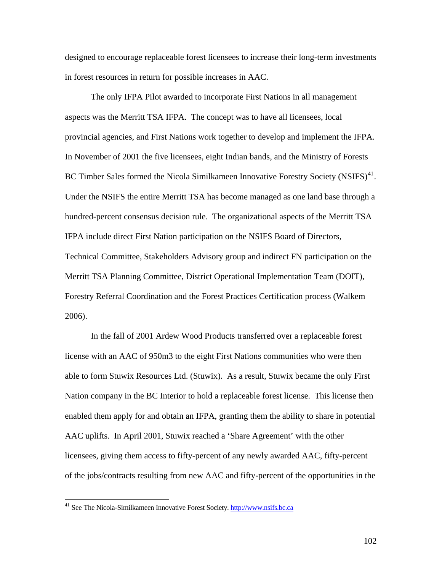designed to encourage replaceable forest licensees to increase their long-term investments in forest resources in return for possible increases in AAC.

The only IFPA Pilot awarded to incorporate First Nations in all management aspects was the Merritt TSA IFPA. The concept was to have all licensees, local provincial agencies, and First Nations work together to develop and implement the IFPA. In November of 2001 the five licensees, eight Indian bands, and the Ministry of Forests BC Timber Sales formed the Nicola Similkameen Innovative Forestry Society (NSIFS) $41$ . Under the NSIFS the entire Merritt TSA has become managed as one land base through a hundred-percent consensus decision rule. The organizational aspects of the Merritt TSA IFPA include direct First Nation participation on the NSIFS Board of Directors, Technical Committee, Stakeholders Advisory group and indirect FN participation on the Merritt TSA Planning Committee, District Operational Implementation Team (DOIT), Forestry Referral Coordination and the Forest Practices Certification process (Walkem 2006).

 In the fall of 2001 Ardew Wood Products transferred over a replaceable forest license with an AAC of 950m3 to the eight First Nations communities who were then able to form Stuwix Resources Ltd. (Stuwix). As a result, Stuwix became the only First Nation company in the BC Interior to hold a replaceable forest license. This license then enabled them apply for and obtain an IFPA, granting them the ability to share in potential AAC uplifts. In April 2001, Stuwix reached a 'Share Agreement' with the other licensees, giving them access to fifty-percent of any newly awarded AAC, fifty-percent of the jobs/contracts resulting from new AAC and fifty-percent of the opportunities in the

 $\overline{a}$ 

<span id="page-108-0"></span><sup>&</sup>lt;sup>41</sup> See The Nicola-Similkameen Innovative Forest Society. [http://www.nsifs.bc.ca](http://www.nsifs.bc.ca/)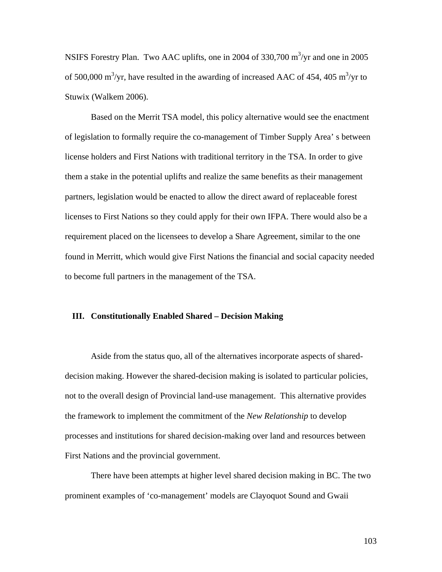NSIFS Forestry Plan. Two AAC uplifts, one in 2004 of 330,700  $\text{m}^3/\text{yr}$  and one in 2005 of 500,000 m<sup>3</sup>/yr, have resulted in the awarding of increased AAC of 454, 405 m<sup>3</sup>/yr to Stuwix (Walkem 2006).

 Based on the Merrit TSA model, this policy alternative would see the enactment of legislation to formally require the co-management of Timber Supply Area' s between license holders and First Nations with traditional territory in the TSA. In order to give them a stake in the potential uplifts and realize the same benefits as their management partners, legislation would be enacted to allow the direct award of replaceable forest licenses to First Nations so they could apply for their own IFPA. There would also be a requirement placed on the licensees to develop a Share Agreement, similar to the one found in Merritt, which would give First Nations the financial and social capacity needed to become full partners in the management of the TSA.

## **III. Constitutionally Enabled Shared – Decision Making**

Aside from the status quo, all of the alternatives incorporate aspects of shareddecision making. However the shared-decision making is isolated to particular policies, not to the overall design of Provincial land-use management. This alternative provides the framework to implement the commitment of the *New Relationship* to develop processes and institutions for shared decision-making over land and resources between First Nations and the provincial government.

 There have been attempts at higher level shared decision making in BC. The two prominent examples of 'co-management' models are Clayoquot Sound and Gwaii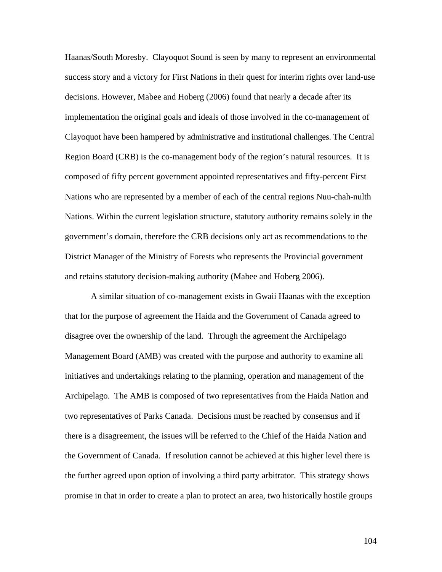Haanas/South Moresby. Clayoquot Sound is seen by many to represent an environmental success story and a victory for First Nations in their quest for interim rights over land-use decisions. However, Mabee and Hoberg (2006) found that nearly a decade after its implementation the original goals and ideals of those involved in the co-management of Clayoquot have been hampered by administrative and institutional challenges. The Central Region Board (CRB) is the co-management body of the region's natural resources. It is composed of fifty percent government appointed representatives and fifty-percent First Nations who are represented by a member of each of the central regions Nuu-chah-nulth Nations. Within the current legislation structure, statutory authority remains solely in the government's domain, therefore the CRB decisions only act as recommendations to the District Manager of the Ministry of Forests who represents the Provincial government and retains statutory decision-making authority (Mabee and Hoberg 2006).

A similar situation of co-management exists in Gwaii Haanas with the exception that for the purpose of agreement the Haida and the Government of Canada agreed to disagree over the ownership of the land. Through the agreement the Archipelago Management Board (AMB) was created with the purpose and authority to examine all initiatives and undertakings relating to the planning, operation and management of the Archipelago. The AMB is composed of two representatives from the Haida Nation and two representatives of Parks Canada. Decisions must be reached by consensus and if there is a disagreement, the issues will be referred to the Chief of the Haida Nation and the Government of Canada. If resolution cannot be achieved at this higher level there is the further agreed upon option of involving a third party arbitrator. This strategy shows promise in that in order to create a plan to protect an area, two historically hostile groups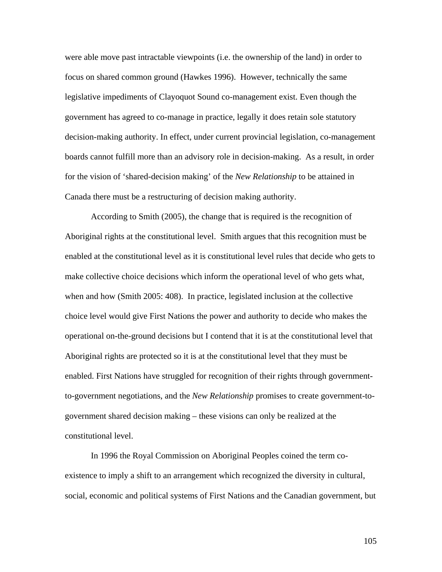were able move past intractable viewpoints (i.e. the ownership of the land) in order to focus on shared common ground (Hawkes 1996). However, technically the same legislative impediments of Clayoquot Sound co-management exist. Even though the government has agreed to co-manage in practice, legally it does retain sole statutory decision-making authority. In effect, under current provincial legislation, co-management boards cannot fulfill more than an advisory role in decision-making. As a result, in order for the vision of 'shared-decision making' of the *New Relationship* to be attained in Canada there must be a restructuring of decision making authority.

 According to Smith (2005), the change that is required is the recognition of Aboriginal rights at the constitutional level. Smith argues that this recognition must be enabled at the constitutional level as it is constitutional level rules that decide who gets to make collective choice decisions which inform the operational level of who gets what, when and how (Smith 2005: 408). In practice, legislated inclusion at the collective choice level would give First Nations the power and authority to decide who makes the operational on-the-ground decisions but I contend that it is at the constitutional level that Aboriginal rights are protected so it is at the constitutional level that they must be enabled. First Nations have struggled for recognition of their rights through governmentto-government negotiations, and the *New Relationship* promises to create government-togovernment shared decision making – these visions can only be realized at the constitutional level.

 In 1996 the Royal Commission on Aboriginal Peoples coined the term coexistence to imply a shift to an arrangement which recognized the diversity in cultural, social, economic and political systems of First Nations and the Canadian government, but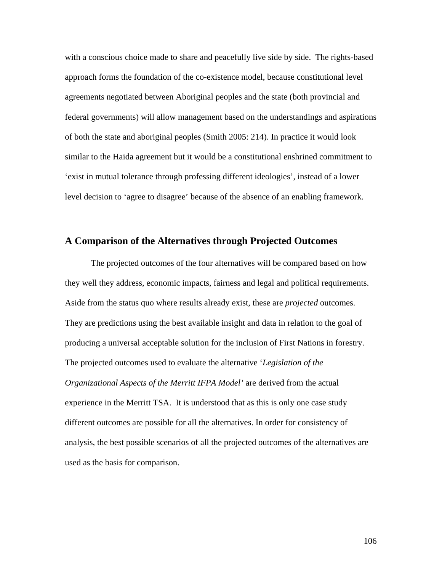with a conscious choice made to share and peacefully live side by side. The rights-based approach forms the foundation of the co-existence model, because constitutional level agreements negotiated between Aboriginal peoples and the state (both provincial and federal governments) will allow management based on the understandings and aspirations of both the state and aboriginal peoples (Smith 2005: 214). In practice it would look similar to the Haida agreement but it would be a constitutional enshrined commitment to 'exist in mutual tolerance through professing different ideologies', instead of a lower level decision to 'agree to disagree' because of the absence of an enabling framework.

## **A Comparison of the Alternatives through Projected Outcomes**

The projected outcomes of the four alternatives will be compared based on how they well they address, economic impacts, fairness and legal and political requirements. Aside from the status quo where results already exist, these are *projected* outcomes. They are predictions using the best available insight and data in relation to the goal of producing a universal acceptable solution for the inclusion of First Nations in forestry. The projected outcomes used to evaluate the alternative '*Legislation of the Organizational Aspects of the Merritt IFPA Model'* are derived from the actual experience in the Merritt TSA. It is understood that as this is only one case study different outcomes are possible for all the alternatives. In order for consistency of analysis, the best possible scenarios of all the projected outcomes of the alternatives are used as the basis for comparison.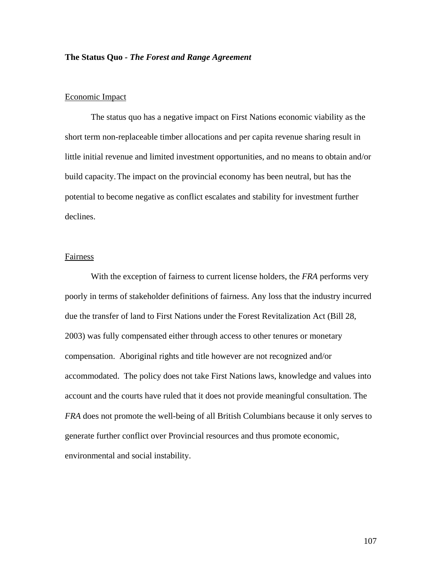## **The Status Quo** *- The Forest and Range Agreement*

## Economic Impact

The status quo has a negative impact on First Nations economic viability as the short term non-replaceable timber allocations and per capita revenue sharing result in little initial revenue and limited investment opportunities, and no means to obtain and/or build capacity. The impact on the provincial economy has been neutral, but has the potential to become negative as conflict escalates and stability for investment further declines.

#### Fairness

With the exception of fairness to current license holders, the *FRA* performs very poorly in terms of stakeholder definitions of fairness. Any loss that the industry incurred due the transfer of land to First Nations under the Forest Revitalization Act (Bill 28, 2003) was fully compensated either through access to other tenures or monetary compensation. Aboriginal rights and title however are not recognized and/or accommodated. The policy does not take First Nations laws, knowledge and values into account and the courts have ruled that it does not provide meaningful consultation. The *FRA* does not promote the well-being of all British Columbians because it only serves to generate further conflict over Provincial resources and thus promote economic, environmental and social instability.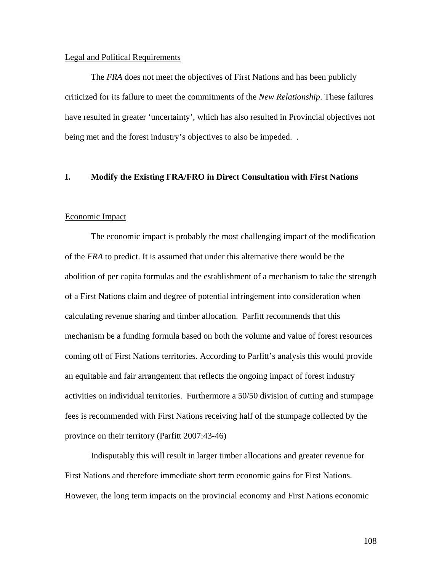#### Legal and Political Requirements

The *FRA* does not meet the objectives of First Nations and has been publicly criticized for its failure to meet the commitments of the *New Relationship*. These failures have resulted in greater 'uncertainty', which has also resulted in Provincial objectives not being met and the forest industry's objectives to also be impeded...

## **I. Modify the Existing FRA/FRO in Direct Consultation with First Nations**

#### Economic Impact

The economic impact is probably the most challenging impact of the modification of the *FRA* to predict. It is assumed that under this alternative there would be the abolition of per capita formulas and the establishment of a mechanism to take the strength of a First Nations claim and degree of potential infringement into consideration when calculating revenue sharing and timber allocation. Parfitt recommends that this mechanism be a funding formula based on both the volume and value of forest resources coming off of First Nations territories. According to Parfitt's analysis this would provide an equitable and fair arrangement that reflects the ongoing impact of forest industry activities on individual territories. Furthermore a 50/50 division of cutting and stumpage fees is recommended with First Nations receiving half of the stumpage collected by the province on their territory (Parfitt 2007:43-46)

Indisputably this will result in larger timber allocations and greater revenue for First Nations and therefore immediate short term economic gains for First Nations. However, the long term impacts on the provincial economy and First Nations economic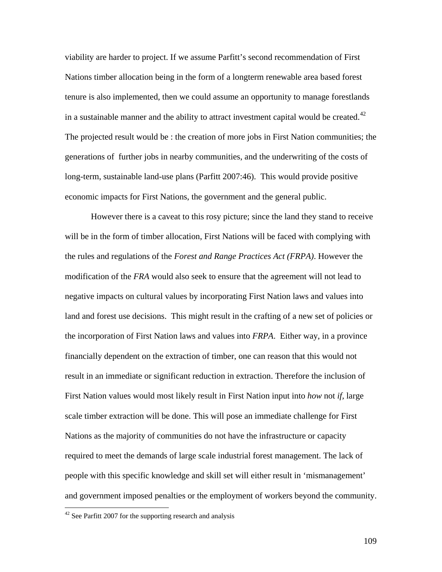viability are harder to project. If we assume Parfitt's second recommendation of First Nations timber allocation being in the form of a longterm renewable area based forest tenure is also implemented, then we could assume an opportunity to manage forestlands in a sustainable manner and the ability to attract investment capital would be created.<sup>[42](#page-115-0)</sup> The projected result would be : the creation of more jobs in First Nation communities; the generations of further jobs in nearby communities, and the underwriting of the costs of long-term, sustainable land-use plans (Parfitt 2007:46). This would provide positive economic impacts for First Nations, the government and the general public.

 However there is a caveat to this rosy picture; since the land they stand to receive will be in the form of timber allocation, First Nations will be faced with complying with the rules and regulations of the *Forest and Range Practices Act (FRPA)*. However the modification of the *FRA* would also seek to ensure that the agreement will not lead to negative impacts on cultural values by incorporating First Nation laws and values into land and forest use decisions. This might result in the crafting of a new set of policies or the incorporation of First Nation laws and values into *FRPA*. Either way, in a province financially dependent on the extraction of timber, one can reason that this would not result in an immediate or significant reduction in extraction. Therefore the inclusion of First Nation values would most likely result in First Nation input into *how* not *if,* large scale timber extraction will be done. This will pose an immediate challenge for First Nations as the majority of communities do not have the infrastructure or capacity required to meet the demands of large scale industrial forest management. The lack of people with this specific knowledge and skill set will either result in 'mismanagement' and government imposed penalties or the employment of workers beyond the community.

<u>.</u>

<span id="page-115-0"></span> $42$  See Parfitt 2007 for the supporting research and analysis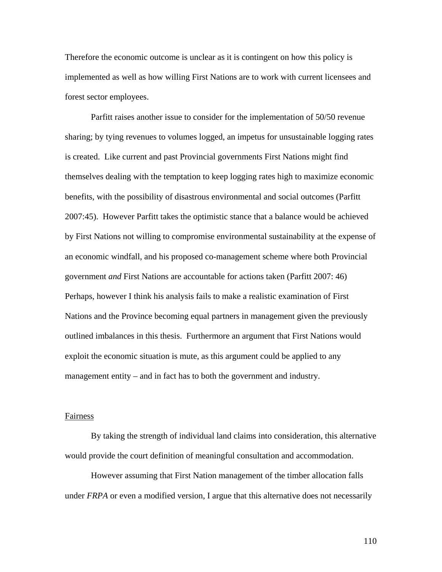Therefore the economic outcome is unclear as it is contingent on how this policy is implemented as well as how willing First Nations are to work with current licensees and forest sector employees.

 Parfitt raises another issue to consider for the implementation of 50/50 revenue sharing; by tying revenues to volumes logged, an impetus for unsustainable logging rates is created. Like current and past Provincial governments First Nations might find themselves dealing with the temptation to keep logging rates high to maximize economic benefits, with the possibility of disastrous environmental and social outcomes (Parfitt 2007:45). However Parfitt takes the optimistic stance that a balance would be achieved by First Nations not willing to compromise environmental sustainability at the expense of an economic windfall, and his proposed co-management scheme where both Provincial government *and* First Nations are accountable for actions taken (Parfitt 2007: 46) Perhaps, however I think his analysis fails to make a realistic examination of First Nations and the Province becoming equal partners in management given the previously outlined imbalances in this thesis. Furthermore an argument that First Nations would exploit the economic situation is mute, as this argument could be applied to any management entity – and in fact has to both the government and industry.

#### **Fairness**

By taking the strength of individual land claims into consideration, this alternative would provide the court definition of meaningful consultation and accommodation.

However assuming that First Nation management of the timber allocation falls under *FRPA* or even a modified version, I argue that this alternative does not necessarily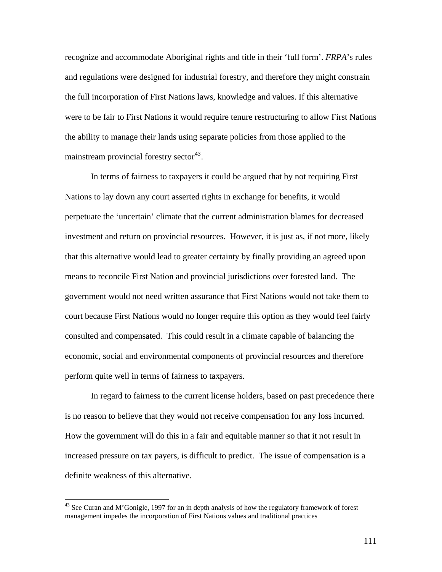recognize and accommodate Aboriginal rights and title in their 'full form'. *FRPA*'s rules and regulations were designed for industrial forestry, and therefore they might constrain the full incorporation of First Nations laws, knowledge and values. If this alternative were to be fair to First Nations it would require tenure restructuring to allow First Nations the ability to manage their lands using separate policies from those applied to the mainstream provincial forestry sector<sup>[43](#page-117-0)</sup>.

 In terms of fairness to taxpayers it could be argued that by not requiring First Nations to lay down any court asserted rights in exchange for benefits, it would perpetuate the 'uncertain' climate that the current administration blames for decreased investment and return on provincial resources. However, it is just as, if not more, likely that this alternative would lead to greater certainty by finally providing an agreed upon means to reconcile First Nation and provincial jurisdictions over forested land. The government would not need written assurance that First Nations would not take them to court because First Nations would no longer require this option as they would feel fairly consulted and compensated. This could result in a climate capable of balancing the economic, social and environmental components of provincial resources and therefore perform quite well in terms of fairness to taxpayers.

 In regard to fairness to the current license holders, based on past precedence there is no reason to believe that they would not receive compensation for any loss incurred. How the government will do this in a fair and equitable manner so that it not result in increased pressure on tax payers, is difficult to predict. The issue of compensation is a definite weakness of this alternative.

 $\overline{a}$ 

<span id="page-117-0"></span> $43$  See Curan and M'Gonigle, 1997 for an in depth analysis of how the regulatory framework of forest management impedes the incorporation of First Nations values and traditional practices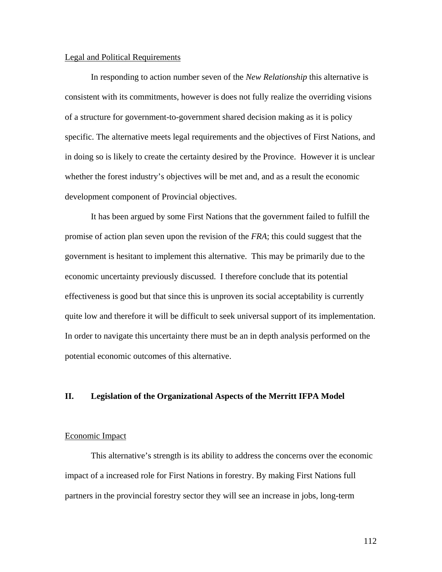## Legal and Political Requirements

In responding to action number seven of the *New Relationship* this alternative is consistent with its commitments, however is does not fully realize the overriding visions of a structure for government-to-government shared decision making as it is policy specific. The alternative meets legal requirements and the objectives of First Nations, and in doing so is likely to create the certainty desired by the Province. However it is unclear whether the forest industry's objectives will be met and, and as a result the economic development component of Provincial objectives.

 It has been argued by some First Nations that the government failed to fulfill the promise of action plan seven upon the revision of the *FRA*; this could suggest that the government is hesitant to implement this alternative. This may be primarily due to the economic uncertainty previously discussed. I therefore conclude that its potential effectiveness is good but that since this is unproven its social acceptability is currently quite low and therefore it will be difficult to seek universal support of its implementation. In order to navigate this uncertainty there must be an in depth analysis performed on the potential economic outcomes of this alternative.

## **II. Legislation of the Organizational Aspects of the Merritt IFPA Model**

#### Economic Impact

This alternative's strength is its ability to address the concerns over the economic impact of a increased role for First Nations in forestry. By making First Nations full partners in the provincial forestry sector they will see an increase in jobs, long-term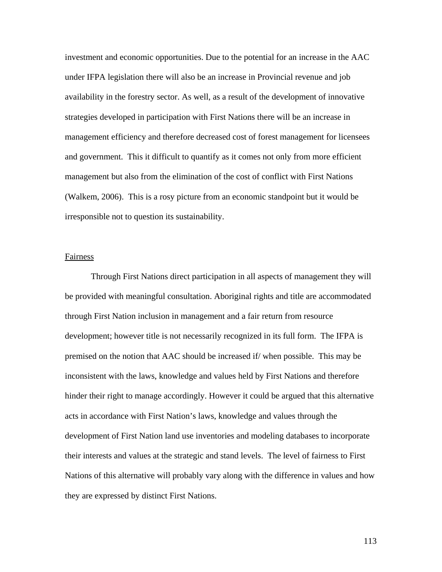investment and economic opportunities. Due to the potential for an increase in the AAC under IFPA legislation there will also be an increase in Provincial revenue and job availability in the forestry sector. As well, as a result of the development of innovative strategies developed in participation with First Nations there will be an increase in management efficiency and therefore decreased cost of forest management for licensees and government. This it difficult to quantify as it comes not only from more efficient management but also from the elimination of the cost of conflict with First Nations (Walkem, 2006). This is a rosy picture from an economic standpoint but it would be irresponsible not to question its sustainability.

#### Fairness

Through First Nations direct participation in all aspects of management they will be provided with meaningful consultation. Aboriginal rights and title are accommodated through First Nation inclusion in management and a fair return from resource development; however title is not necessarily recognized in its full form. The IFPA is premised on the notion that AAC should be increased if/ when possible. This may be inconsistent with the laws, knowledge and values held by First Nations and therefore hinder their right to manage accordingly. However it could be argued that this alternative acts in accordance with First Nation's laws, knowledge and values through the development of First Nation land use inventories and modeling databases to incorporate their interests and values at the strategic and stand levels. The level of fairness to First Nations of this alternative will probably vary along with the difference in values and how they are expressed by distinct First Nations.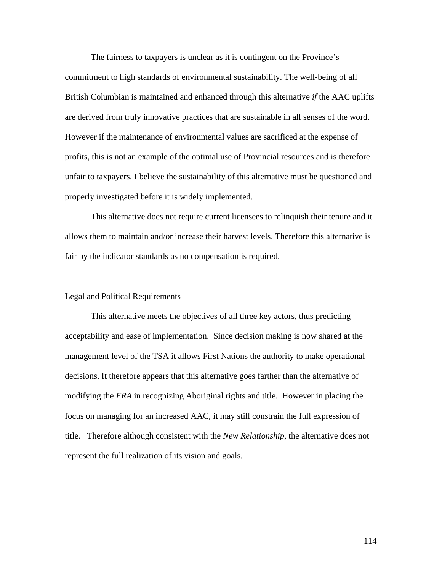The fairness to taxpayers is unclear as it is contingent on the Province's commitment to high standards of environmental sustainability. The well-being of all British Columbian is maintained and enhanced through this alternative *if* the AAC uplifts are derived from truly innovative practices that are sustainable in all senses of the word. However if the maintenance of environmental values are sacrificed at the expense of profits, this is not an example of the optimal use of Provincial resources and is therefore unfair to taxpayers. I believe the sustainability of this alternative must be questioned and properly investigated before it is widely implemented.

 This alternative does not require current licensees to relinquish their tenure and it allows them to maintain and/or increase their harvest levels. Therefore this alternative is fair by the indicator standards as no compensation is required.

## Legal and Political Requirements

 This alternative meets the objectives of all three key actors, thus predicting acceptability and ease of implementation. Since decision making is now shared at the management level of the TSA it allows First Nations the authority to make operational decisions. It therefore appears that this alternative goes farther than the alternative of modifying the *FRA* in recognizing Aboriginal rights and title. However in placing the focus on managing for an increased AAC, it may still constrain the full expression of title. Therefore although consistent with the *New Relationship*, the alternative does not represent the full realization of its vision and goals.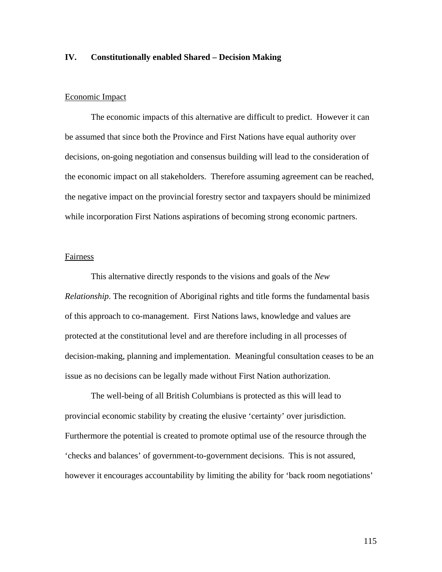## **IV. Constitutionally enabled Shared – Decision Making**

## Economic Impact

The economic impacts of this alternative are difficult to predict. However it can be assumed that since both the Province and First Nations have equal authority over decisions, on-going negotiation and consensus building will lead to the consideration of the economic impact on all stakeholders. Therefore assuming agreement can be reached, the negative impact on the provincial forestry sector and taxpayers should be minimized while incorporation First Nations aspirations of becoming strong economic partners.

#### Fairness

This alternative directly responds to the visions and goals of the *New Relationship*. The recognition of Aboriginal rights and title forms the fundamental basis of this approach to co-management. First Nations laws, knowledge and values are protected at the constitutional level and are therefore including in all processes of decision-making, planning and implementation. Meaningful consultation ceases to be an issue as no decisions can be legally made without First Nation authorization.

The well-being of all British Columbians is protected as this will lead to provincial economic stability by creating the elusive 'certainty' over jurisdiction. Furthermore the potential is created to promote optimal use of the resource through the 'checks and balances' of government-to-government decisions. This is not assured, however it encourages accountability by limiting the ability for 'back room negotiations'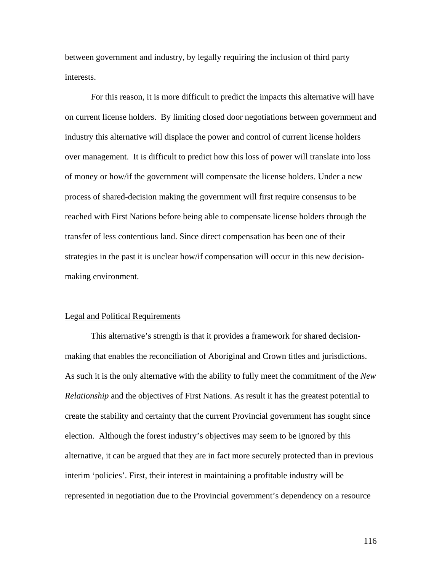between government and industry, by legally requiring the inclusion of third party interests.

 For this reason, it is more difficult to predict the impacts this alternative will have on current license holders. By limiting closed door negotiations between government and industry this alternative will displace the power and control of current license holders over management. It is difficult to predict how this loss of power will translate into loss of money or how/if the government will compensate the license holders. Under a new process of shared-decision making the government will first require consensus to be reached with First Nations before being able to compensate license holders through the transfer of less contentious land. Since direct compensation has been one of their strategies in the past it is unclear how/if compensation will occur in this new decisionmaking environment.

#### Legal and Political Requirements

This alternative's strength is that it provides a framework for shared decisionmaking that enables the reconciliation of Aboriginal and Crown titles and jurisdictions. As such it is the only alternative with the ability to fully meet the commitment of the *New Relationship* and the objectives of First Nations. As result it has the greatest potential to create the stability and certainty that the current Provincial government has sought since election. Although the forest industry's objectives may seem to be ignored by this alternative, it can be argued that they are in fact more securely protected than in previous interim 'policies'. First, their interest in maintaining a profitable industry will be represented in negotiation due to the Provincial government's dependency on a resource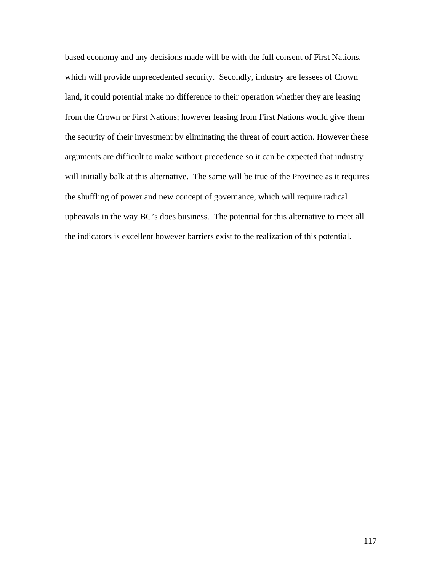based economy and any decisions made will be with the full consent of First Nations, which will provide unprecedented security. Secondly, industry are lessees of Crown land, it could potential make no difference to their operation whether they are leasing from the Crown or First Nations; however leasing from First Nations would give them the security of their investment by eliminating the threat of court action. However these arguments are difficult to make without precedence so it can be expected that industry will initially balk at this alternative. The same will be true of the Province as it requires the shuffling of power and new concept of governance, which will require radical upheavals in the way BC's does business. The potential for this alternative to meet all the indicators is excellent however barriers exist to the realization of this potential.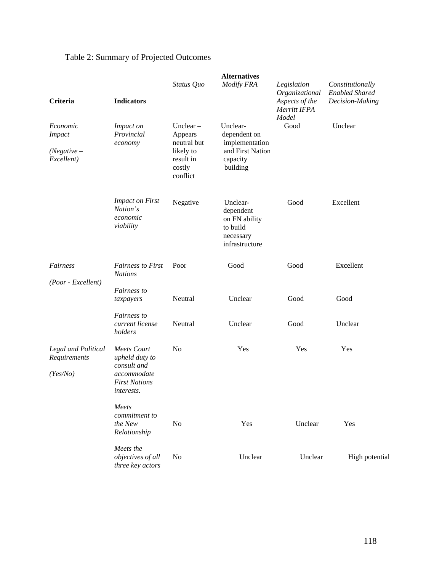# Table 2: Summary of Projected Outcomes

|                                                          |                                                                                                                 | <b>Alternatives</b>                                                                   |                                                                                        |                                                                          |                                                              |
|----------------------------------------------------------|-----------------------------------------------------------------------------------------------------------------|---------------------------------------------------------------------------------------|----------------------------------------------------------------------------------------|--------------------------------------------------------------------------|--------------------------------------------------------------|
| Criteria                                                 | <b>Indicators</b>                                                                                               | Status Quo                                                                            | <b>Modify FRA</b>                                                                      | Legislation<br>Organizational<br>Aspects of the<br>Merritt IFPA<br>Model | Constitutionally<br><b>Enabled Shared</b><br>Decision-Making |
| Economic<br><b>Impact</b><br>$(Negative -$<br>Excellent) | Impact on<br>Provincial<br>economy                                                                              | Unclear $-$<br>Appears<br>neutral but<br>likely to<br>result in<br>costly<br>conflict | Unclear-<br>dependent on<br>implementation<br>and First Nation<br>capacity<br>building | Good                                                                     | Unclear                                                      |
|                                                          | <b>Impact on First</b><br>Nation's<br>economic<br>viability                                                     | Negative                                                                              | Unclear-<br>dependent<br>on FN ability<br>to build<br>necessary<br>infrastructure      | Good                                                                     | Excellent                                                    |
| Fairness<br>(Poor - Excellent)                           | <b>Fairness to First</b><br><b>Nations</b>                                                                      | Poor                                                                                  | Good                                                                                   | Good                                                                     | Excellent                                                    |
|                                                          | Fairness to<br>taxpayers                                                                                        | Neutral                                                                               | Unclear                                                                                | Good                                                                     | Good                                                         |
|                                                          | Fairness to<br>current license<br>holders                                                                       | Neutral                                                                               | Unclear                                                                                | Good                                                                     | Unclear                                                      |
| Legal and Political<br>Requirements<br>(Yes/No)          | <b>Meets Court</b><br>upheld duty to<br>consult and<br>accommodate<br><b>First Nations</b><br><i>interests.</i> | N <sub>0</sub>                                                                        | Yes                                                                                    | Yes                                                                      | Yes                                                          |
|                                                          | Meets<br>commitment to<br>the New<br>Relationship                                                               | N <sub>0</sub>                                                                        | Yes                                                                                    | Unclear                                                                  | Yes                                                          |
|                                                          | Meets the<br>objectives of all<br>three key actors                                                              | No                                                                                    | Unclear                                                                                | Unclear                                                                  | High potential                                               |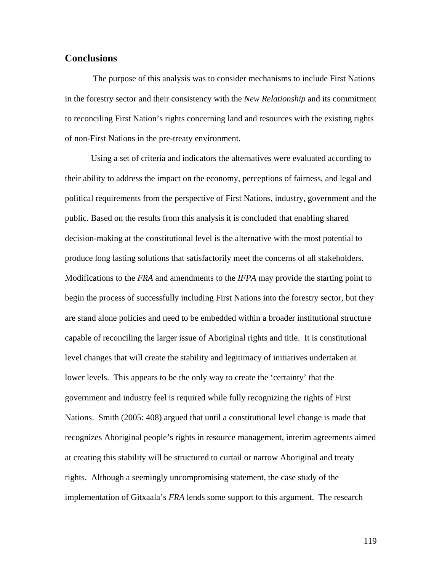## **Conclusions**

 The purpose of this analysis was to consider mechanisms to include First Nations in the forestry sector and their consistency with the *New Relationship* and its commitment to reconciling First Nation's rights concerning land and resources with the existing rights of non-First Nations in the pre-treaty environment.

Using a set of criteria and indicators the alternatives were evaluated according to their ability to address the impact on the economy, perceptions of fairness, and legal and political requirements from the perspective of First Nations, industry, government and the public. Based on the results from this analysis it is concluded that enabling shared decision-making at the constitutional level is the alternative with the most potential to produce long lasting solutions that satisfactorily meet the concerns of all stakeholders. Modifications to the *FRA* and amendments to the *IFPA* may provide the starting point to begin the process of successfully including First Nations into the forestry sector, but they are stand alone policies and need to be embedded within a broader institutional structure capable of reconciling the larger issue of Aboriginal rights and title. It is constitutional level changes that will create the stability and legitimacy of initiatives undertaken at lower levels. This appears to be the only way to create the 'certainty' that the government and industry feel is required while fully recognizing the rights of First Nations. Smith (2005: 408) argued that until a constitutional level change is made that recognizes Aboriginal people's rights in resource management, interim agreements aimed at creating this stability will be structured to curtail or narrow Aboriginal and treaty rights. Although a seemingly uncompromising statement, the case study of the implementation of Gitxaala's *FRA* lends some support to this argument. The research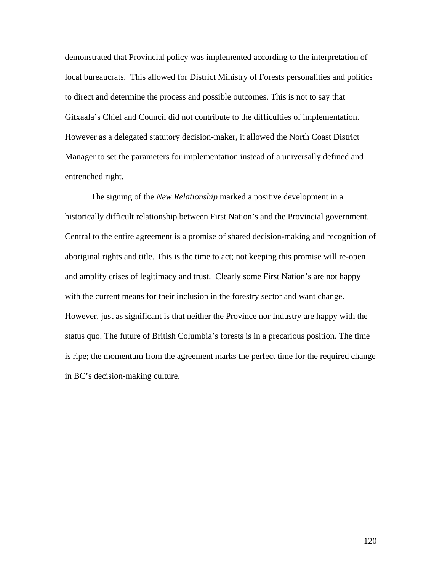demonstrated that Provincial policy was implemented according to the interpretation of local bureaucrats. This allowed for District Ministry of Forests personalities and politics to direct and determine the process and possible outcomes. This is not to say that Gitxaala's Chief and Council did not contribute to the difficulties of implementation. However as a delegated statutory decision-maker, it allowed the North Coast District Manager to set the parameters for implementation instead of a universally defined and entrenched right.

The signing of the *New Relationship* marked a positive development in a historically difficult relationship between First Nation's and the Provincial government. Central to the entire agreement is a promise of shared decision-making and recognition of aboriginal rights and title. This is the time to act; not keeping this promise will re-open and amplify crises of legitimacy and trust. Clearly some First Nation's are not happy with the current means for their inclusion in the forestry sector and want change. However, just as significant is that neither the Province nor Industry are happy with the status quo. The future of British Columbia's forests is in a precarious position. The time is ripe; the momentum from the agreement marks the perfect time for the required change in BC's decision-making culture.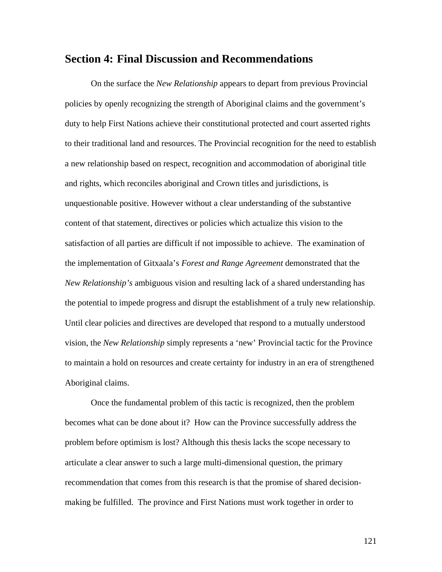## **Section 4: Final Discussion and Recommendations**

On the surface the *New Relationship* appears to depart from previous Provincial policies by openly recognizing the strength of Aboriginal claims and the government's duty to help First Nations achieve their constitutional protected and court asserted rights to their traditional land and resources. The Provincial recognition for the need to establish a new relationship based on respect, recognition and accommodation of aboriginal title and rights, which reconciles aboriginal and Crown titles and jurisdictions, is unquestionable positive. However without a clear understanding of the substantive content of that statement, directives or policies which actualize this vision to the satisfaction of all parties are difficult if not impossible to achieve. The examination of the implementation of Gitxaala's *Forest and Range Agreement* demonstrated that the *New Relationship's* ambiguous vision and resulting lack of a shared understanding has the potential to impede progress and disrupt the establishment of a truly new relationship. Until clear policies and directives are developed that respond to a mutually understood vision, the *New Relationship* simply represents a 'new' Provincial tactic for the Province to maintain a hold on resources and create certainty for industry in an era of strengthened Aboriginal claims.

Once the fundamental problem of this tactic is recognized, then the problem becomes what can be done about it? How can the Province successfully address the problem before optimism is lost? Although this thesis lacks the scope necessary to articulate a clear answer to such a large multi-dimensional question, the primary recommendation that comes from this research is that the promise of shared decisionmaking be fulfilled. The province and First Nations must work together in order to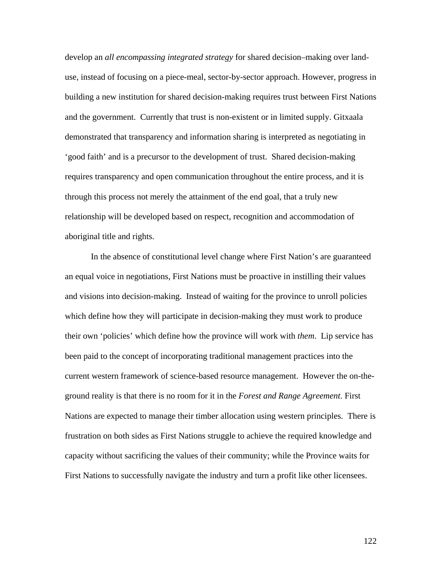develop an *all encompassing integrated strategy* for shared decision–making over landuse, instead of focusing on a piece-meal, sector-by-sector approach. However, progress in building a new institution for shared decision-making requires trust between First Nations and the government. Currently that trust is non-existent or in limited supply. Gitxaala demonstrated that transparency and information sharing is interpreted as negotiating in 'good faith' and is a precursor to the development of trust. Shared decision-making requires transparency and open communication throughout the entire process, and it is through this process not merely the attainment of the end goal, that a truly new relationship will be developed based on respect, recognition and accommodation of aboriginal title and rights.

In the absence of constitutional level change where First Nation's are guaranteed an equal voice in negotiations, First Nations must be proactive in instilling their values and visions into decision-making. Instead of waiting for the province to unroll policies which define how they will participate in decision-making they must work to produce their own 'policies' which define how the province will work with *them*. Lip service has been paid to the concept of incorporating traditional management practices into the current western framework of science-based resource management. However the on-theground reality is that there is no room for it in the *Forest and Range Agreement*. First Nations are expected to manage their timber allocation using western principles. There is frustration on both sides as First Nations struggle to achieve the required knowledge and capacity without sacrificing the values of their community; while the Province waits for First Nations to successfully navigate the industry and turn a profit like other licensees.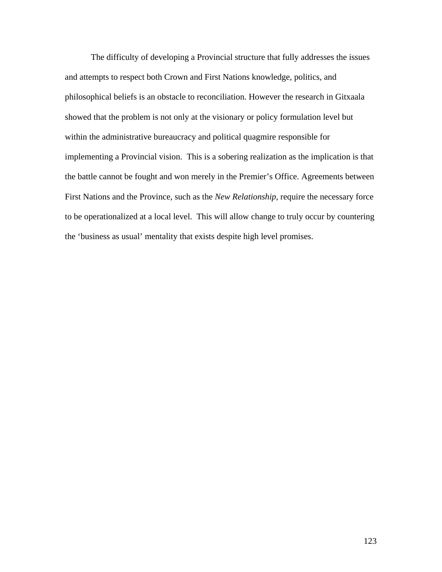The difficulty of developing a Provincial structure that fully addresses the issues and attempts to respect both Crown and First Nations knowledge, politics, and philosophical beliefs is an obstacle to reconciliation. However the research in Gitxaala showed that the problem is not only at the visionary or policy formulation level but within the administrative bureaucracy and political quagmire responsible for implementing a Provincial vision. This is a sobering realization as the implication is that the battle cannot be fought and won merely in the Premier's Office. Agreements between First Nations and the Province, such as the *New Relationship,* require the necessary force to be operationalized at a local level. This will allow change to truly occur by countering the 'business as usual' mentality that exists despite high level promises.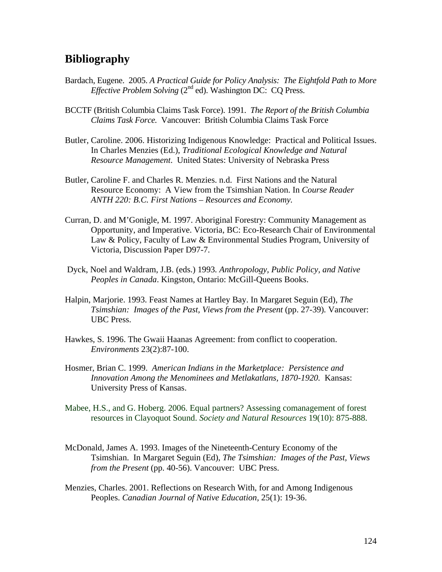# **Bibliography**

- Bardach, Eugene. 2005. *A Practical Guide for Policy Analysis: The Eightfold Path to More Effective Problem Solving* (2<sup>nd</sup> ed). Washington DC: CQ Press.
- BCCTF (British Columbia Claims Task Force). 1991. *The Report of the British Columbia Claims Task Force.* Vancouver: British Columbia Claims Task Force
- Butler, Caroline. 2006. Historizing Indigenous Knowledge: Practical and Political Issues. In Charles Menzies (Ed.), *Traditional Ecological Knowledge and Natural Resource Management*. United States: University of Nebraska Press
- Butler, Caroline F. and Charles R. Menzies. n.d. First Nations and the Natural Resource Economy: A View from the Tsimshian Nation. In *Course Reader ANTH 220: B.C. First Nations – Resources and Economy.*
- Curran, D. and M'Gonigle, M. 1997. Aboriginal Forestry: Community Management as Opportunity, and Imperative. Victoria, BC: Eco-Research Chair of Environmental Law & Policy, Faculty of Law & Environmental Studies Program, University of Victoria, Discussion Paper D97-7.
- Dyck, Noel and Waldram, J.B. (eds.) 1993*. Anthropology, Public Policy, and Native Peoples in Canada*. Kingston, Ontario: McGill-Queens Books.
- Halpin, Marjorie. 1993. Feast Names at Hartley Bay. In Margaret Seguin (Ed), *The Tsimshian: Images of the Past, Views from the Present (pp. 27-39). Vancouver:* UBC Press.
- Hawkes, S. 1996. The Gwaii Haanas Agreement: from conflict to cooperation. *Environments* 23(2):87-100.
- Hosmer, Brian C. 1999. *American Indians in the Marketplace: Persistence and Innovation Among the Menominees and Metlakatlans, 1870-1920.* Kansas: University Press of Kansas.
- Mabee, H.S., and G. Hoberg. 2006. Equal partners? Assessing comanagement of forest resources in Clayoquot Sound. *Society and Natural Resources* 19(10): 875-888.
- McDonald, James A. 1993. Images of the Nineteenth-Century Economy of the Tsimshian. In Margaret Seguin (Ed), *The Tsimshian: Images of the Past, Views from the Present* (pp. 40-56). Vancouver: UBC Press.
- Menzies, Charles. 2001. Reflections on Research With, for and Among Indigenous Peoples. *Canadian Journal of Native Education,* 25(1): 19-36.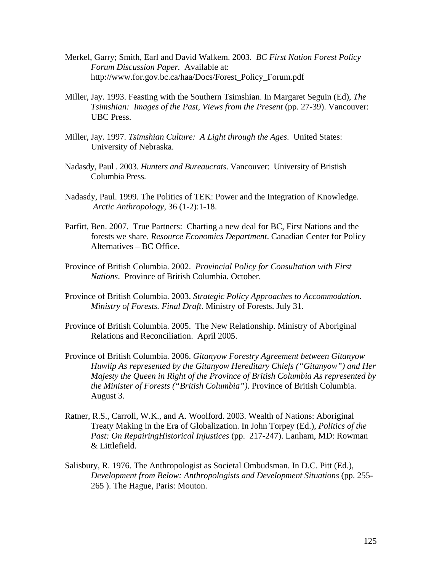- Merkel, Garry; Smith, Earl and David Walkem. 2003. *BC First Nation Forest Policy Forum Discussion Paper.* Available at: http://www.for.gov.bc.ca/haa/Docs/Forest\_Policy\_Forum.pdf
- Miller, Jay. 1993. Feasting with the Southern Tsimshian. In Margaret Seguin (Ed), *The Tsimshian: Images of the Past, Views from the Present* (pp. 27-39). Vancouver: UBC Press.
- Miller, Jay. 1997. *Tsimshian Culture: A Light through the Ages*. United States: University of Nebraska.
- Nadasdy, Paul . 2003. *Hunters and Bureaucrats*. Vancouver: University of Bristish Columbia Press.
- Nadasdy, Paul. 1999. The Politics of TEK: Power and the Integration of Knowledge. *Arctic Anthropology*, 36 (1-2):1-18.
- Parfitt, Ben. 2007. True Partners: Charting a new deal for BC, First Nations and the forests we share. *Resource Economics Department*. Canadian Center for Policy Alternatives – BC Office.
- Province of British Columbia. 2002. *Provincial Policy for Consultation with First Nations*. Province of British Columbia. October.
- Province of British Columbia. 2003. *Strategic Policy Approaches to Accommodation. Ministry of Forests. Final Draft*. Ministry of Forests. July 31.
- Province of British Columbia. 2005. The New Relationship. Ministry of Aboriginal Relations and Reconciliation. April 2005.
- Province of British Columbia. 2006. *Gitanyow Forestry Agreement between Gitanyow Huwlip As represented by the Gitanyow Hereditary Chiefs ("Gitanyow") and Her Majesty the Queen in Right of the Province of British Columbia As represented by the Minister of Forests ("British Columbia")*. Province of British Columbia. August 3.
- Ratner, R.S., Carroll, W.K., and A. Woolford. 2003. Wealth of Nations: Aboriginal Treaty Making in the Era of Globalization. In John Torpey (Ed.), *Politics of the Past: On RepairingHistorical Injustices* (pp. 217-247). Lanham, MD: Rowman & Littlefield.
- Salisbury, R. 1976. The Anthropologist as Societal Ombudsman. In D.C. Pitt (Ed.), *Development from Below: Anthropologists and Development Situations* (pp. 255- 265 ). The Hague, Paris: Mouton.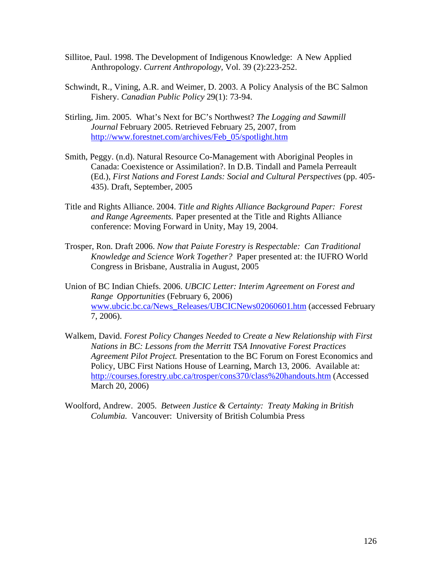- Sillitoe, Paul. 1998. The Development of Indigenous Knowledge: A New Applied Anthropology. *Current Anthropology,* Vol. 39 (2):223-252.
- Schwindt, R., Vining, A.R. and Weimer, D. 2003. A Policy Analysis of the BC Salmon Fishery. *Canadian Public Policy* 29(1): 73-94.
- Stirling, Jim. 2005. What's Next for BC's Northwest? *The Logging and Sawmill Journal* February 2005. Retrieved February 25, 2007, from [http://www.forestnet.com/archives/Feb\\_05/spotlight.htm](http://www.forestnet.com/archives/Feb_05/spotlight.htm)
- Smith, Peggy. (n.d). Natural Resource Co-Management with Aboriginal Peoples in Canada: Coexistence or Assimilation?. In D.B. Tindall and Pamela Perreault (Ed.), *First Nations and Forest Lands: Social and Cultural Perspectives* (pp. 405- 435). Draft, September, 2005
- Title and Rights Alliance. 2004. *Title and Rights Alliance Background Paper: Forest and Range Agreements.* Paper presented at the Title and Rights Alliance conference: Moving Forward in Unity, May 19, 2004.
- Trosper, Ron. Draft 2006. *Now that Paiute Forestry is Respectable: Can Traditional Knowledge and Science Work Together?* Paper presented at: the IUFRO World Congress in Brisbane, Australia in August, 2005
- Union of BC Indian Chiefs. 2006. *UBCIC Letter: Interim Agreement on Forest and Range Opportunities* (February 6, 2006) [www.ubcic.bc.ca/News\\_Releases/UBCICNews02060601.htm](http://www.ubcic.bc.ca/News_Releases/UBCICNews02060601.htm) (accessed February 7, 2006).
- Walkem, David. *Forest Policy Changes Needed to Create a New Relationship with First Nations in BC: Lessons from the Merritt TSA Innovative Forest Practices Agreement Pilot Project.* Presentation to the BC Forum on Forest Economics and Policy, UBC First Nations House of Learning, March 13, 2006. Available at: <http://courses.forestry.ubc.ca/trosper/cons370/class%20handouts.htm>(Accessed March 20, 2006)
- Woolford, Andrew. 2005. *Between Justice & Certainty: Treaty Making in British Columbia.* Vancouver: University of British Columbia Press